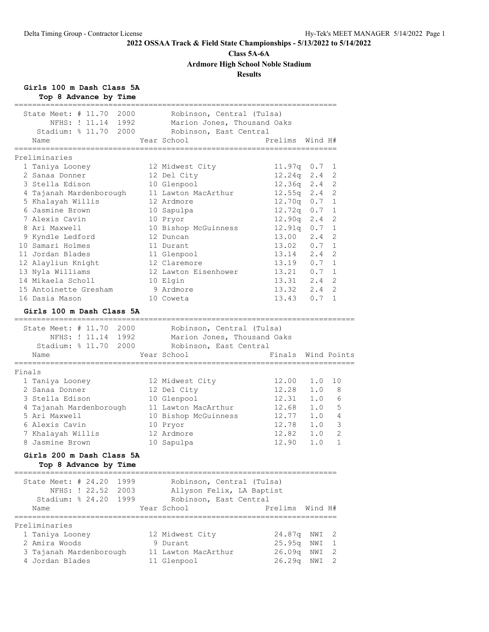### **Class 5A-6A**

**Ardmore High School Noble Stadium**

### **Results**

**Girls 100 m Dash Class 5A**

| Top 8 Advance by Time                                                         |                                                                                    |                                     |         |              |
|-------------------------------------------------------------------------------|------------------------------------------------------------------------------------|-------------------------------------|---------|--------------|
| State Meet: $\#$ 11.70<br>2000<br>NFHS: ! 11.14 1992<br>Stadium: % 11.70 2000 | Robinson, Central (Tulsa)<br>Marion Jones, Thousand Oaks<br>Robinson, East Central |                                     |         |              |
| Name                                                                          | Year School                                                                        | Prelims<br>.======================= | Wind H# |              |
| Preliminaries                                                                 |                                                                                    |                                     |         |              |
| 1 Taniya Looney                                                               | 12 Midwest City                                                                    | $11.97q$ 0.7                        |         | 1            |
| 2 Sanaa Donner                                                                | 12 Del City                                                                        | $12.24q$ $2.4$                      |         | 2            |
| 3 Stella Edison                                                               | 10 Glenpool                                                                        | $12.36q$ $2.4$                      |         | 2            |
| 4 Tajanah Mardenborough                                                       | 11 Lawton MacArthur                                                                | $12.55q$ $2.4$                      |         | 2            |
| 5 Khalayah Willis                                                             | 12 Ardmore                                                                         | $12.70q$ 0.7                        |         | 1            |
| 6 Jasmine Brown                                                               | 10 Sapulpa                                                                         | 12.72q 0.7                          |         | $\mathbf{1}$ |
| 7 Alexis Cavin                                                                | 10 Pryor                                                                           | 12.90q 2.4                          |         | 2            |
| 8 Ari Maxwell                                                                 | 10 Bishop McGuinness                                                               | 12.91q 0.7                          |         | 1            |
| 9 Kyndle Ledford                                                              | 12 Duncan                                                                          | 13.00                               | 2.4     | 2            |
| 10 Samari Holmes                                                              | 11 Durant                                                                          | 13.02 0.7                           |         | 1            |
| 11 Jordan Blades                                                              | 11 Glenpool                                                                        | $13.14$ $2.4$                       |         | 2            |
| 12 Alayliun Knight                                                            | 12 Claremore                                                                       | $13.19$ 0.7                         |         | $\mathbf{1}$ |
| 13 Nyla Williams                                                              | 12 Lawton Eisenhower                                                               | 13.21 0.7                           |         | 1            |
| 14 Mikaela Scholl                                                             | 10 Elgin                                                                           | 13.31 2.4                           |         | 2            |
| 15 Antoinette Gresham                                                         | 9 Ardmore                                                                          | 13.32                               | 2.4     | 2            |
| 16 Dasia Mason                                                                | 10 Coweta                                                                          | 13.43 0.7                           |         | 1            |
| Girls 100 m Dash Class 5A                                                     |                                                                                    |                                     |         |              |
| =====================================<br>State Meet: # 11.70 2000             | Robinson, Central (Tulsa)                                                          |                                     |         |              |
| NFHS: ! 11.14 1992                                                            | Marion Jones, Thousand Oaks                                                        |                                     |         |              |
| Stadium: $\frac{1}{6}$ 11.70<br>2000                                          | Robinson, East Central                                                             |                                     |         |              |
| Name                                                                          | Year School                                                                        | Finals Wind Points                  |         |              |
| Finals                                                                        |                                                                                    |                                     |         |              |
| 1 Taniya Looney                                                               | 12 Midwest City                                                                    | 12.00                               | 1.0     | 10           |
| 2 Sanaa Donner                                                                | 12 Del City                                                                        | 12.28                               | 1.0     | 8            |
| 3 Stella Edison                                                               | 10 Glenpool                                                                        | 12.31 1.0                           |         | 6            |
| 4 Tajanah Mardenborough                                                       | 11 Lawton MacArthur                                                                |                                     |         | 5            |
| 5 Ari Maxwell                                                                 | 10 Bishop McGuinness                                                               | $12.68$ 1.0<br>12.77                | 1.0     | 4            |
| 6 Alexis Cavin                                                                | 10 Pryor                                                                           | 12.78 1.0                           |         | 3            |
| 7 Khalayah Willis                                                             | 12 Ardmore                                                                         | 12.82                               | 1.0     | 2            |
| 8 Jasmine Brown                                                               | 10 Sapulpa                                                                         | 12.90                               | 1.0     | $\mathbf{1}$ |
| Girls 200 m Dash Class 5A                                                     |                                                                                    |                                     |         |              |
| Top 8 Advance by Time                                                         |                                                                                    |                                     |         |              |
| State Meet: $#24.20$<br>1999                                                  | Robinson, Central (Tulsa)                                                          |                                     |         |              |
| NFHS: ! 22.52<br>2003                                                         | Allyson Felix, LA Baptist                                                          |                                     |         |              |
| Stadium: $824.20$<br>1999                                                     | Robinson, East Central                                                             |                                     |         |              |
| Name                                                                          | Year School                                                                        | Prelims                             | Wind H# |              |
| Preliminaries                                                                 |                                                                                    | ;====================               |         |              |
| 1 Taniya Looney                                                               | 12 Midwest City                                                                    | 24.87q                              | NWI     | 2            |
| 2 Amira Woods                                                                 | 9 Durant                                                                           | 25.95q                              | NWI     | 1            |
| 3 Tajanah Mardenborough                                                       | 11 Lawton MacArthur                                                                | 26.09q                              | NWI     | 2            |
| 4 Jordan Blades                                                               | 11 Glenpool                                                                        | 26.29q                              | NWI     | 2            |
|                                                                               |                                                                                    |                                     |         |              |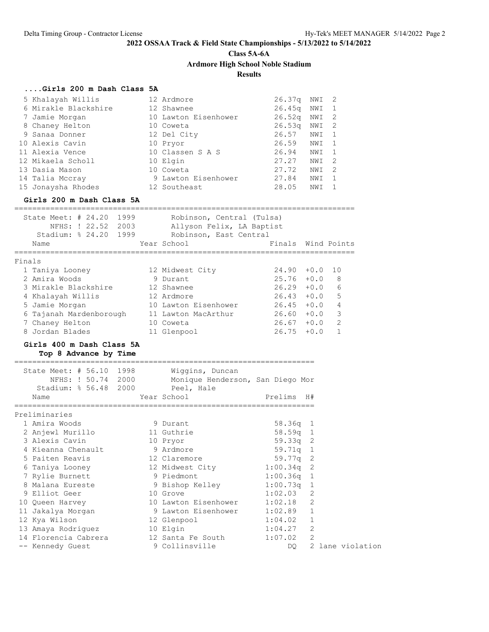**Class 5A-6A**

**Ardmore High School Noble Stadium**

### **Results**

============================================================================

### **....Girls 200 m Dash Class 5A**

| 5 Khalayah Willis    | 12 Ardmore           | 26.37q             | NWI  | - 2 |
|----------------------|----------------------|--------------------|------|-----|
| 6 Mirakle Blackshire | 12 Shawnee           | 26.45 <sub>q</sub> | NWI  |     |
| 7 Jamie Morgan       | 10 Lawton Eisenhower | 26.52 <sub>q</sub> | NWI  | -2  |
| 8 Chaney Helton      | 10 Coweta            | 26.53q             | NWI  | - 2 |
| 9 Sanaa Donner       | 12 Del City          | 26.57              | NWI  |     |
| 10 Alexis Cavin      | 10 Pryor             | 26.59              | NWI  |     |
| 11 Alexia Vence      | 10 Classen S A S     | 26.94              | NWI  |     |
| 12 Mikaela Scholl    | 10 Elgin             | 27.27              | NWI  | - 2 |
| 13 Dasia Mason       | 10 Coweta            | 27.72              | NWI  | -2  |
| 14 Talia Mccray      | 9 Lawton Eisenhower  | 27.84              | NWI  |     |
| 15 Jonaysha Rhodes   | 12 Southeast         | 28.05              | NW I |     |
|                      |                      |                    |      |     |

### **Girls 200 m Dash Class 5A**

|        | State Meet: $\#$ 24.20<br>Stadium: $824.20$ | NFHS: ! 22.52 | 1999<br>2003<br>1999 | Robinson, Central (Tulsa)<br>Allyson Felix, LA Baptist<br>Robinson, East Central |        |        |                |
|--------|---------------------------------------------|---------------|----------------------|----------------------------------------------------------------------------------|--------|--------|----------------|
|        | Name                                        |               |                      | Year School                                                                      | Finals |        | Wind Points    |
| Finals |                                             |               |                      |                                                                                  |        |        |                |
|        | 1 Taniya Looney                             |               |                      | 12 Midwest City                                                                  | 24.90  | $+0.0$ | 10             |
|        | 2 Amira Woods                               |               |                      | 9 Durant                                                                         | 25.76  | $+0.0$ | 8              |
|        | 3 Mirakle Blackshire                        |               |                      | 12 Shawnee                                                                       | 26.29  | $+0.0$ | 6              |
|        | 4 Khalayah Willis                           |               |                      | 12 Ardmore                                                                       | 26.43  | $+0.0$ | 5              |
|        | 5 Jamie Morgan                              |               |                      | 10 Lawton Eisenhower                                                             | 26.45  | $+0.0$ | $\overline{4}$ |
|        | 6 Tajanah Mardenborough                     |               |                      | 11 Lawton MacArthur                                                              | 26.60  | $+0.0$ | 3              |
|        | 7 Chaney Helton                             |               |                      | 10 Coweta                                                                        | 26.67  | $+0.0$ | $\overline{2}$ |
|        | 8 Jordan Blades                             |               |                      | 11 Glenpool                                                                      | 26.75  | $+0.0$ |                |

### **Girls 400 m Dash Class 5A Top 8 Advance by Time**

| State Meet: # 56.10 1998<br>NFHS: ! 50.74 2000<br>Stadium: % 56.48 2000 |          | Wiggins, Duncan<br>Monique Henderson, San Diego Mor<br>Peel, Hale |              |                  |  |
|-------------------------------------------------------------------------|----------|-------------------------------------------------------------------|--------------|------------------|--|
| Name                                                                    |          | Year School                                                       | Prelims H#   |                  |  |
| Preliminaries                                                           |          |                                                                   |              |                  |  |
| 1 Amira Woods                                                           |          | 9 Durant                                                          | $58.36q$ 1   |                  |  |
| 2 Anjewl Murillo                                                        |          | 11 Guthrie                                                        | $58.59q$ 1   |                  |  |
| 3 Alexis Cavin                                                          |          | 10 Pryor                                                          | $59.33q$ 2   |                  |  |
| 4 Kieanna Chenault                                                      |          | 9 Ardmore                                                         | 59.71q 1     |                  |  |
| 5 Paiten Reavis                                                         |          | 12 Claremore                                                      | $59.77q$ 2   |                  |  |
|                                                                         |          | 6 Taniya Looney 12 Midwest City 1:00.34q 2                        |              |                  |  |
| 7 Rylie Burnett                                                         |          | 9 Piedmont                                                        | $1:00.36q$ 1 |                  |  |
| 8 Malana Eureste                                                        |          | 9 Bishop Kelley 1:00.73q 1                                        |              |                  |  |
| 9 Elliot Geer                                                           | 10 Grove |                                                                   | $1:02.03$ 2  |                  |  |
| 10 Queen Harvey                                                         |          | 10 Lawton Eisenhower 1:02.18                                      |              | 2                |  |
| 11 Jakalya Morgan                                                       |          | 9 Lawton Eisenhower 1:02.89 1                                     |              |                  |  |
| 12 Kya Wilson                                                           |          | 12 Glenpool                                                       | 1:04.02      | 1                |  |
| 13 Amaya Rodriquez 10 Elgin                                             |          |                                                                   | 1:04.27      | 2                |  |
|                                                                         |          | 14 Florencia Cabrera 12 Santa Fe South                            | 1:07.02      | 2                |  |
| -- Kennedy Guest                                                        |          | 9 Collinsville                                                    | DQ.          | 2 lane violation |  |
|                                                                         |          |                                                                   |              |                  |  |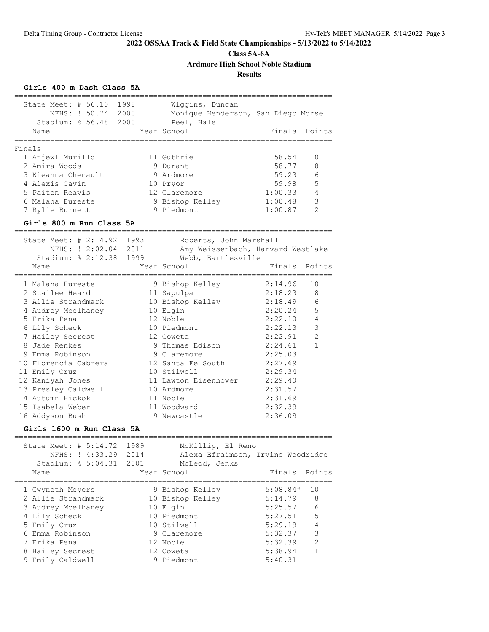# **Class 5A-6A**

**Ardmore High School Noble Stadium**

### **Results**

### **Girls 400 m Dash Class 5A**

| State Meet: # 56.10<br>1998<br>Wiggins, Duncan<br>NFHS: ! 50.74 2000<br>Monique Henderson, San Diego Morse<br>Stadium: % 56.48<br>2000<br>Peel, Hale<br>Year School<br>Name<br>===========<br>===========================<br>Finals<br>11 Guthrie<br>58.54<br>1 Anjewl Murillo<br>2 Amira Woods<br>58.77<br>9 Durant<br>59.23<br>3 Kieanna Chenault<br>9 Ardmore<br>4 Alexis Cavin<br>59.98<br>10 Pryor<br>5 Paiten Reavis<br>12 Claremore<br>1:00.33<br>6 Malana Eureste<br>9 Bishop Kelley<br>1:00.48<br>9 Piedmont<br>1:00.87<br>7 Rylie Burnett | Finals Points<br>10<br>8<br>6<br>5<br>4 |
|-----------------------------------------------------------------------------------------------------------------------------------------------------------------------------------------------------------------------------------------------------------------------------------------------------------------------------------------------------------------------------------------------------------------------------------------------------------------------------------------------------------------------------------------------------|-----------------------------------------|
|                                                                                                                                                                                                                                                                                                                                                                                                                                                                                                                                                     |                                         |
|                                                                                                                                                                                                                                                                                                                                                                                                                                                                                                                                                     |                                         |
|                                                                                                                                                                                                                                                                                                                                                                                                                                                                                                                                                     |                                         |
|                                                                                                                                                                                                                                                                                                                                                                                                                                                                                                                                                     |                                         |
|                                                                                                                                                                                                                                                                                                                                                                                                                                                                                                                                                     |                                         |
|                                                                                                                                                                                                                                                                                                                                                                                                                                                                                                                                                     |                                         |
|                                                                                                                                                                                                                                                                                                                                                                                                                                                                                                                                                     |                                         |
|                                                                                                                                                                                                                                                                                                                                                                                                                                                                                                                                                     |                                         |
|                                                                                                                                                                                                                                                                                                                                                                                                                                                                                                                                                     |                                         |
|                                                                                                                                                                                                                                                                                                                                                                                                                                                                                                                                                     |                                         |
|                                                                                                                                                                                                                                                                                                                                                                                                                                                                                                                                                     | 3                                       |
|                                                                                                                                                                                                                                                                                                                                                                                                                                                                                                                                                     | $\overline{2}$                          |
| Girls 800 m Run Class 5A                                                                                                                                                                                                                                                                                                                                                                                                                                                                                                                            |                                         |
|                                                                                                                                                                                                                                                                                                                                                                                                                                                                                                                                                     |                                         |
| State Meet: # 2:14.92<br>1993<br>Roberts, John Marshall                                                                                                                                                                                                                                                                                                                                                                                                                                                                                             |                                         |
| NFHS: ! 2:02.04 2011<br>Amy Weissenbach, Harvard-Westlake                                                                                                                                                                                                                                                                                                                                                                                                                                                                                           |                                         |
| Stadium: % 2:12.38 1999<br>Webb, Bartlesville                                                                                                                                                                                                                                                                                                                                                                                                                                                                                                       |                                         |
| Year School<br>Finals<br>Name                                                                                                                                                                                                                                                                                                                                                                                                                                                                                                                       | Points                                  |
| 1 Malana Eureste<br>2:14.96<br>9 Bishop Kelley                                                                                                                                                                                                                                                                                                                                                                                                                                                                                                      | 10                                      |
| 2:18.23<br>2 Stailee Heard<br>11 Sapulpa                                                                                                                                                                                                                                                                                                                                                                                                                                                                                                            | 8                                       |
| 3 Allie Strandmark<br>2:18.49<br>10 Bishop Kelley                                                                                                                                                                                                                                                                                                                                                                                                                                                                                                   | 6                                       |
| 4 Audrey Mcelhaney<br>10 Elgin<br>2:20.24                                                                                                                                                                                                                                                                                                                                                                                                                                                                                                           | 5                                       |
| 2:22.10<br>5 Erika Pena<br>12 Noble                                                                                                                                                                                                                                                                                                                                                                                                                                                                                                                 | $\overline{4}$                          |
| 2:22.13<br>6 Lily Scheck<br>10 Piedmont                                                                                                                                                                                                                                                                                                                                                                                                                                                                                                             | 3                                       |
| 7 Hailey Secrest<br>2:22.91<br>12 Coweta                                                                                                                                                                                                                                                                                                                                                                                                                                                                                                            | $\overline{2}$                          |
| 8 Jade Renkes<br>9 Thomas Edison<br>2:24.61                                                                                                                                                                                                                                                                                                                                                                                                                                                                                                         | $\mathbf{1}$                            |
| 9 Emma Robinson<br>9 Claremore<br>2:25.03                                                                                                                                                                                                                                                                                                                                                                                                                                                                                                           |                                         |
| 10 Florencia Cabrera<br>12 Santa Fe South<br>2:27.69                                                                                                                                                                                                                                                                                                                                                                                                                                                                                                |                                         |
| 10 Stilwell<br>2:29.34<br>11 Emily Cruz                                                                                                                                                                                                                                                                                                                                                                                                                                                                                                             |                                         |
| 12 Kaniyah Jones<br>11 Lawton Eisenhower<br>2:29.40                                                                                                                                                                                                                                                                                                                                                                                                                                                                                                 |                                         |
| 13 Presley Caldwell<br>10 Ardmore<br>2:31.57                                                                                                                                                                                                                                                                                                                                                                                                                                                                                                        |                                         |
| 14 Autumn Hickok<br>2:31.69<br>11 Noble                                                                                                                                                                                                                                                                                                                                                                                                                                                                                                             |                                         |
| 15 Isabela Weber<br>2:32.39<br>11 Woodward                                                                                                                                                                                                                                                                                                                                                                                                                                                                                                          |                                         |
| 9 Newcastle<br>2:36.09<br>16 Addyson Bush                                                                                                                                                                                                                                                                                                                                                                                                                                                                                                           |                                         |
| Girls 1600 m Run Class 5A                                                                                                                                                                                                                                                                                                                                                                                                                                                                                                                           |                                         |
|                                                                                                                                                                                                                                                                                                                                                                                                                                                                                                                                                     |                                         |
|                                                                                                                                                                                                                                                                                                                                                                                                                                                                                                                                                     |                                         |
| State Meet: # 5:14.72 1989<br>McKillip, El Reno                                                                                                                                                                                                                                                                                                                                                                                                                                                                                                     |                                         |

| Stadium: % 5:04.31 2001 | McLeod, Jenks    |          |                |
|-------------------------|------------------|----------|----------------|
| Name                    | Year School      | Finals   | Points         |
| 1 Gwyneth Meyers        | 9 Bishop Kelley  | 5:08.84# | 10             |
| 2 Allie Strandmark      | 10 Bishop Kelley | 5:14.79  | 8              |
| 3 Audrey Mcelhaney      | 10 Elgin         | 5:25.57  | 6              |
| 4 Lily Scheck           | 10 Piedmont      | 5:27.51  | 5              |
| 5 Emily Cruz            | 10 Stilwell      | 5:29.19  | $\overline{4}$ |
| 6 Emma Robinson         | 9 Claremore      | 5:32.37  | 3              |
| 7 Erika Pena            | 12 Noble         | 5:32.39  | $\overline{2}$ |
| 8 Hailey Secrest        | 12 Coweta        | 5:38.94  |                |
| 9 Emily Caldwell        | 9 Piedmont       | 5:40.31  |                |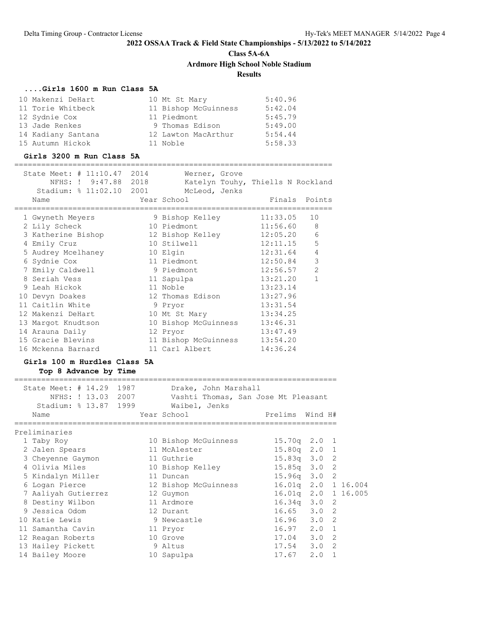**Class 5A-6A**

**Ardmore High School Noble Stadium**

### **Results**

### **....Girls 1600 m Run Class 5A**

| 10 Makenzi DeHart  | 10 Mt St Mary        | 5:40.96 |
|--------------------|----------------------|---------|
| 11 Torie Whitbeck  | 11 Bishop McGuinness | 5:42.04 |
| 12 Sydnie Cox      | 11 Piedmont          | 5:45.79 |
| 13 Jade Renkes     | 9 Thomas Edison      | 5:49.00 |
| 14 Kadiany Santana | 12 Lawton MacArthur  | 5:54.44 |
| 15 Autumn Hickok   | 11 Noble             | 5:58.33 |

#### **Girls 3200 m Run Class 5A**

=======================================================================  $State$  Meet:  $\#$  11:10.47 2014 Werner, Grove

| SLALE MEEL: # II;IV.47 ZUI4 | Werner, Grove                     |               |                |
|-----------------------------|-----------------------------------|---------------|----------------|
| NFHS: ! 9:47.88 2018        | Katelyn Touhy, Thiells N Rockland |               |                |
| Stadium: % 11:02.10 2001    | McLeod, Jenks                     |               |                |
| Name                        | Year School                       | Finals Points |                |
|                             |                                   |               |                |
| 1 Gwyneth Meyers            | 9 Bishop Kelley                   | 11:33.05      | 10             |
| 2 Lily Scheck               | 10 Piedmont                       | 11:56.60 8    |                |
| 3 Katherine Bishop          | 12 Bishop Kelley                  | $12:05.20$ 6  |                |
| 4 Emily Cruz                | 10 Stilwell                       | 12:11.15      | 5              |
| 5 Audrey Mcelhaney          | 10 Elgin                          | 12:31.64      | $\overline{4}$ |
| 6 Sydnie Cox                | 11 Piedmont                       | 12:50.84      | $\mathcal{S}$  |
| 7 Emily Caldwell            | 9 Piedmont                        | 12:56.57      | 2              |
| 8 Seriah Vess               | 11 Sapulpa                        | 13:21.20      | $\mathbf{1}$   |
| 9 Leah Hickok               | 11 Noble                          | 13:23.14      |                |
| 10 Devyn Doakes             | 12 Thomas Edison                  | 13:27.96      |                |
| 11 Caitlin White            | 9 Pryor                           | 13:31.54      |                |
| 12 Makenzi DeHart           | 10 Mt St Mary                     | 13:34.25      |                |
| 13 Margot Knudtson          | 10 Bishop McGuinness              | 13:46.31      |                |
| 14 Arauna Daily             | 12 Pryor                          | 13:47.49      |                |
| 15 Gracie Blevins           | 11 Bishop McGuinness              | 13:54.20      |                |
| 16 Mckenna Barnard          | 11 Carl Albert                    | 14:36.24      |                |
|                             |                                   |               |                |

## **Girls 100 m Hurdles Class 5A**

**Top 8 Advance by Time**

| State Meet: # 14.29 1987<br>Stadium: % 13.87 1999 Waibel, Jenks<br>Name | Drake, John Marshall<br>NFHS: ! 13.03 2007 Vashti Thomas, San Jose Mt Pleasant<br>Year School in the School and the School and School | Prelims Wind H#     |              |
|-------------------------------------------------------------------------|---------------------------------------------------------------------------------------------------------------------------------------|---------------------|--------------|
| Preliminaries                                                           |                                                                                                                                       |                     |              |
| 1 Taby Roy                                                              | 10 Bishop McGuinness                                                                                                                  | $15.70q$ $2.0$ $1$  |              |
| 2 Jalen Spears                                                          | 11 McAlester                                                                                                                          | $15.80q$ 2.0 1      |              |
| 3 Cheyenne Gaymon                                                       | 11 Guthrie                                                                                                                            | $15.83q$ 3.0 2      |              |
| 4 Olivia Miles                                                          | 10 Bishop Kelley                                                                                                                      | $15.85q$ 3.0 2      |              |
| 5 Kindalyn Miller                                                       | 11 Duncan                                                                                                                             | $15.96q$ 3.0 2      |              |
| 6 Logan Pierce                                                          | 12 Bishop McGuinness                                                                                                                  | 16.01g 2.0 1 16.004 |              |
| 7 Aaliyah Gutierrez                                                     | 12 Guymon                                                                                                                             | 16.01q 2.0 1 16.005 |              |
| 8 Destiny Wilbon                                                        | 11 Ardmore                                                                                                                            | $16.34q$ 3.0 2      |              |
| 9 Jessica Odom International                                            | 12 Durant                                                                                                                             | $16.65$ $3.0$ 2     |              |
| 10 Katie Lewis                                                          | 9 Newcastle                                                                                                                           | $16.96$ $3.0$ 2     |              |
| 11 Samantha Cavin                                                       | 11 Pryor                                                                                                                              | $16.97$ $2.0$ 1     |              |
| 12 Reagan Roberts                                                       | 10 Grove                                                                                                                              | $17.04$ 3.0 2       |              |
| 13 Hailey Pickett                                                       | 9 Altus                                                                                                                               | $17.54$ $3.0$ 2     |              |
| 14 Bailey Moore                                                         | 10 Sapulpa                                                                                                                            | 17.67 2.0           | $\mathbf{1}$ |

========================================================================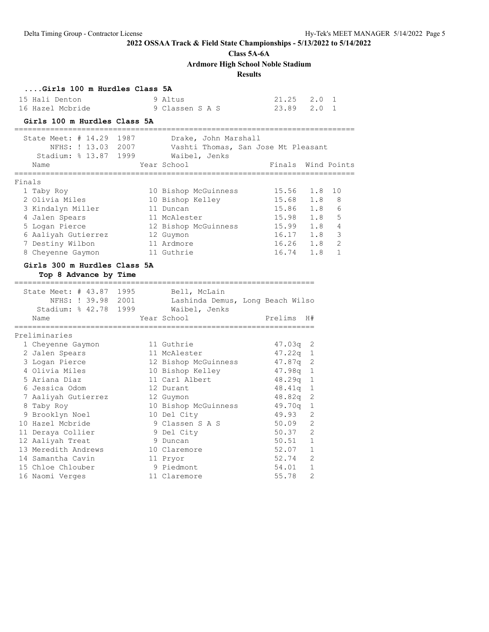**Class 5A-6A**

**Ardmore High School Noble Stadium**

### **Results**

### **....Girls 100 m Hurdles Class 5A**

| 15 Hali Denton   | 9 Altus         | 21.25 2.0 1 |  |
|------------------|-----------------|-------------|--|
| 16 Hazel Mcbride | 9 Classen S A S | 23.89 2.0 1 |  |

### **Girls 100 m Hurdles Class 5A**

|        | State Meet: $\#$ 14.29<br>NFHS: ! 13.03<br>Stadium: $% 13.87$<br>Name | 1987<br>2007<br>1999 | Drake, John Marshall<br>Vashti Thomas, San Jose Mt Pleasant<br>Waibel, Jenks<br>Year School | Finals | Wind Points          |
|--------|-----------------------------------------------------------------------|----------------------|---------------------------------------------------------------------------------------------|--------|----------------------|
| Finals |                                                                       |                      |                                                                                             |        |                      |
|        | 1 Taby Roy                                                            |                      | 10 Bishop McGuinness                                                                        | 15.56  | 1 N<br>1.8           |
|        | 2 Olivia Miles                                                        |                      | 10 Bishop Kelley                                                                            | 15.68  | 8<br>1.8             |
|        | 3 Kindalyn Miller                                                     |                      | 11 Duncan                                                                                   | 15.86  | $\epsilon$<br>1.8    |
|        | 4 Jalen Spears                                                        |                      | 11 McAlester                                                                                | 15.98  | 5<br>1.8             |
|        | 5 Logan Pierce                                                        |                      | 12 Bishop McGuinness                                                                        | 15.99  | 4<br>1.8             |
|        | 6 Aaliyah Gutierrez                                                   |                      | 12 Guymon                                                                                   | 16.17  | 3<br>1.8             |
|        | 7 Destiny Wilbon                                                      |                      | 11 Ardmore                                                                                  | 16.26  | $\mathcal{L}$<br>1.8 |
|        | 8 Cheyenne Gaymon                                                     |                      | 11 Guthrie                                                                                  | 16.74  | 1.8                  |
|        |                                                                       |                      |                                                                                             |        |                      |

### **Girls 300 m Hurdles Class 5A Top 8 Advance by Time**

|   | State Meet: # 43.87 1995 |  | Bell, McLain                     |            |                |
|---|--------------------------|--|----------------------------------|------------|----------------|
|   | NFHS: ! 39.98 2001       |  | Lashinda Demus, Long Beach Wilso |            |                |
|   | Stadium: % 42.78 1999    |  | Waibel, Jenks                    |            |                |
|   | Name                     |  | Year School                      | Prelims    | H#             |
|   |                          |  |                                  |            |                |
|   | Preliminaries            |  |                                  |            |                |
|   | 1 Cheyenne Gaymon        |  | 11 Guthrie                       | 47.03q     | -2             |
|   | 2 Jalen Spears           |  | 11 McAlester                     | $47.22q$ 1 |                |
|   | 3 Logan Pierce           |  | 12 Bishop McGuinness             | $47.87q$ 2 |                |
|   | 4 Olivia Miles           |  | 10 Bishop Kelley                 | $47.98q$ 1 |                |
|   | 5 Ariana Diaz            |  | 11 Carl Albert                   | $48.29q$ 1 |                |
|   | 6 Jessica Odom           |  | 12 Durant                        | 48.41q     | 1              |
|   | 7 Aaliyah Gutierrez      |  | 12 Guymon                        | $48.82q$ 2 |                |
| 8 | Taby Roy                 |  | 10 Bishop McGuinness             | 49.70a     | $\mathbf{1}$   |
|   | 9 Brooklyn Noel          |  | 10 Del City                      | 49.93      | $\overline{c}$ |
|   | 10 Hazel Mcbride         |  | 9 Classen S A S                  | 50.09      | $\overline{2}$ |
|   | 11 Deraya Collier        |  | 9 Del City                       | 50.37      | $\overline{2}$ |
|   | 12 Aaliyah Treat         |  | 9 Duncan                         | 50.51      | $\mathbf{1}$   |
|   | 13 Meredith Andrews      |  | 10 Claremore                     | 52.07      | $\mathbf{1}$   |
|   | 14 Samantha Cavin        |  | 11 Pryor                         | 52.74      | $\overline{2}$ |
|   | 15 Chloe Chlouber        |  | 9 Piedmont                       | 54.01      | $\mathbf{1}$   |
|   | 16 Naomi Verges          |  | 11 Claremore                     | 55.78      | $\overline{2}$ |
|   |                          |  |                                  |            |                |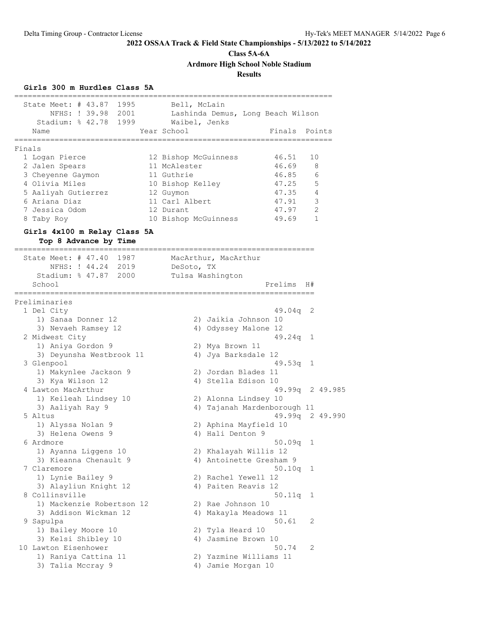**Class 5A-6A**

**Ardmore High School Noble Stadium**

**Results**

### **Girls 300 m Hurdles Class 5A**

| State Meet: # 43.87 1995                              | Bell, McLain         |                       |                                   |    |                |
|-------------------------------------------------------|----------------------|-----------------------|-----------------------------------|----|----------------|
| NFHS: ! 39.98 2001                                    |                      |                       | Lashinda Demus, Long Beach Wilson |    |                |
| Stadium: % 42.78 1999                                 | Waibel, Jenks        |                       |                                   |    |                |
| Name                                                  | Year School          |                       | Finals                            |    | Points         |
|                                                       |                      |                       |                                   |    |                |
| Finals<br>1 Logan Pierce                              | 12 Bishop McGuinness |                       | 46.51                             | 10 |                |
| 2 Jalen Spears                                        | 11 McAlester         |                       | 46.69                             | 8  |                |
| 3 Cheyenne Gaymon                                     | 11 Guthrie           |                       | 46.85                             |    | 6              |
| 4 Olivia Miles                                        | 10 Bishop Kelley     |                       | 47.25                             |    | 5              |
| 5 Aaliyah Gutierrez                                   | 12 Guymon            |                       | 47.35                             |    | 4              |
| 6 Ariana Diaz                                         | 11 Carl Albert       |                       | 47.91                             |    | $\mathsf 3$    |
| 7 Jessica Odom                                        | 12 Durant            |                       | 47.97                             |    | $\overline{2}$ |
| 8 Taby Roy                                            | 10 Bishop McGuinness |                       | 49.69                             |    | 1              |
|                                                       |                      |                       |                                   |    |                |
| Girls 4x100 m Relay Class 5A<br>Top 8 Advance by Time |                      |                       |                                   |    |                |
| =======================                               |                      |                       |                                   |    |                |
| State Meet: # 47.40 1987                              |                      | MacArthur, MacArthur  |                                   |    |                |
| NFHS: ! 44.24 2019                                    | DeSoto, TX           |                       |                                   |    |                |
| Stadium: % 47.87 2000                                 |                      | Tulsa Washington      |                                   |    |                |
| School                                                |                      |                       | Prelims                           | H# |                |
| -----------                                           |                      |                       |                                   |    |                |
| Preliminaries                                         |                      |                       |                                   |    |                |
| 1 Del City                                            |                      |                       | 49.04q                            | 2  |                |
| 1) Sanaa Donner 12                                    |                      | 2) Jaikia Johnson 10  |                                   |    |                |
| 3) Nevaeh Ramsey 12                                   |                      | 4) Odyssey Malone 12  |                                   |    |                |
| 2 Midwest City                                        |                      |                       | 49.24q                            | 1  |                |
| 1) Aniya Gordon 9                                     |                      | 2) Mya Brown 11       |                                   |    |                |
| 3) Deyunsha Westbrook 11                              |                      | 4) Jya Barksdale 12   |                                   |    |                |
| 3 Glenpool                                            |                      |                       | $49.53q$ 1                        |    |                |
| 1) Makynlee Jackson 9                                 |                      | 2) Jordan Blades 11   |                                   |    |                |
| 3) Kya Wilson 12<br>4 Lawton MacArthur                |                      | 4) Stella Edison 10   | 49.99q 2 49.985                   |    |                |
| 1) Keileah Lindsey 10                                 |                      | 2) Alonna Lindsey 10  |                                   |    |                |
| 3) Aaliyah Ray 9                                      |                      |                       | 4) Tajanah Mardenborough 11       |    |                |
| 5 Altus                                               |                      |                       | 49.99q 2 49.990                   |    |                |
| 1) Alyssa Nolan 9                                     |                      | 2) Aphina Mayfield 10 |                                   |    |                |
| 3) Helena Owens 9                                     |                      | 4) Hali Denton 9      |                                   |    |                |
| 6 Ardmore                                             |                      |                       | 50.09q                            | 1  |                |
| 1) Ayanna Liggens 10                                  |                      | 2) Khalayah Willis 12 |                                   |    |                |
| 3) Kieanna Chenault 9                                 |                      |                       | 4) Antoinette Gresham 9           |    |                |
| 7 Claremore                                           |                      |                       | $50.10q$ 1                        |    |                |
| 1) Lynie Bailey 9                                     |                      | 2) Rachel Yewell 12   |                                   |    |                |
| 3) Alayliun Knight 12                                 |                      | 4) Paiten Reavis 12   |                                   |    |                |
| 8 Collinsville                                        |                      |                       | 50.11q                            | 1  |                |
| 1) Mackenzie Robertson 12                             |                      | 2) Rae Johnson 10     |                                   |    |                |
| 3) Addison Wickman 12                                 |                      | 4) Makayla Meadows 11 |                                   |    |                |
| 9 Sapulpa                                             |                      |                       | 50.61                             | 2  |                |
| 1) Bailey Moore 10                                    |                      | 2) Tyla Heard 10      |                                   |    |                |
| 3) Kelsi Shibley 10                                   |                      | 4) Jasmine Brown 10   |                                   |    |                |
| 10 Lawton Eisenhower                                  |                      |                       | 50.74                             | 2  |                |
| 1) Raniya Cattina 11                                  |                      |                       | 2) Yazmine Williams 11            |    |                |
| 3) Talia Mccray 9                                     |                      | 4) Jamie Morgan 10    |                                   |    |                |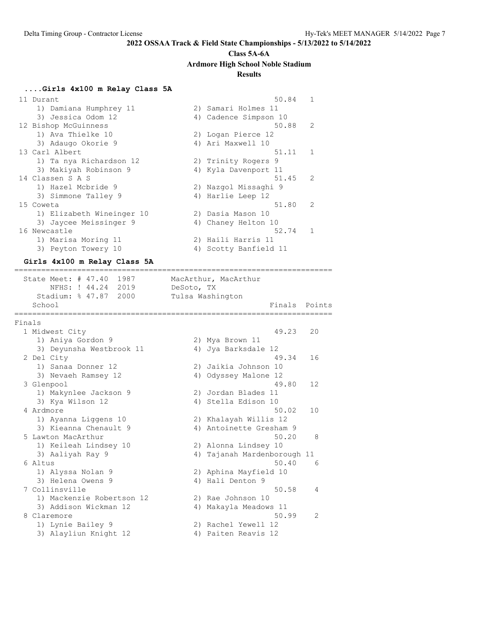#### **Class 5A-6A**

**Ardmore High School Noble Stadium**

### **Results**

#### **....Girls 4x100 m Relay Class 5A**

11 Durant 50.84 1 1) Damiana Humphrey 11 2) Samari Holmes 11 3) Jessica Odom 12 4) Cadence Simpson 10 12 Bishop McGuinness 50.88 2 1) Ava Thielke 10 2) Logan Pierce 12 3) Adaugo Okorie 9 1922 - 4 4 Ari Maxwell 10 13 Carl Albert 51.11 1 1) Ta nya Richardson 12 2) Trinity Rogers 9 3) Makiyah Robinson 9 4) Kyla Davenport 11 14 Classen S A S 51.45 2 1) Hazel Mcbride 9 2) Nazgol Missaghi 9 3) Simmone Talley 9 4) Harlie Leep 12 15 Coweta 51.80 2 1) Elizabeth Wineinger 10 2) Dasia Mason 10 3) Jaycee Meissinger 9 4) Chaney Helton 10 16 Newcastle 52.74 1 1) Marisa Moring 11 2) Haili Harris 11 3) Peyton Towery 10 4) Scotty Banfield 11

#### **Girls 4x100 m Relay Class 5A**

=======================================================================

State Meet: # 47.40 1987 MacArthur, MacArthur NFHS: ! 44.24 2019 DeSoto, TX Stadium: % 47.87 2000 Tulsa Washington School **Finals** Points ======================================================================= Finals 1 Midwest City 49.23 20 1) Aniya Gordon 9 2) Mya Brown 11 3) Deyunsha Westbrook 11  $\hskip1cm$  4) Jya Barksdale 12 2 Del City 49.34 16 1) Sanaa Donner 12 2) Jaikia Johnson 10 3) Nevaeh Ramsey 12  $\hskip1cm$  4) Odyssey Malone 12 3 Glenpool 49.80 12 1) Makynlee Jackson 9 2) Jordan Blades 11 3) Kya Wilson 12 4) Stella Edison 10 4 Ardmore 50.02 10 1) Ayanna Liggens 10 2) Khalayah Willis 12 3) Kieanna Chenault 9 4) Antoinette Gresham 9 5 Lawton MacArthur 50.20 8 1) Keileah Lindsey 10 2) Alonna Lindsey 10 3) Aaliyah Ray 9 4) Tajanah Mardenborough 11 6 Altus 50.40 6 1) Alyssa Nolan 9 2) Aphina Mayfield 10 3) Helena Owens 9 (4) Hali Denton 9 7 Collinsville 50.58 4 1) Mackenzie Robertson 12 2) Rae Johnson 10 3) Addison Wickman 12 4) Makayla Meadows 11 8 Claremore 50.99 2 1) Lynie Bailey 9 2) Rachel Yewell 12 3) Alayliun Knight 12 4) Paiten Reavis 12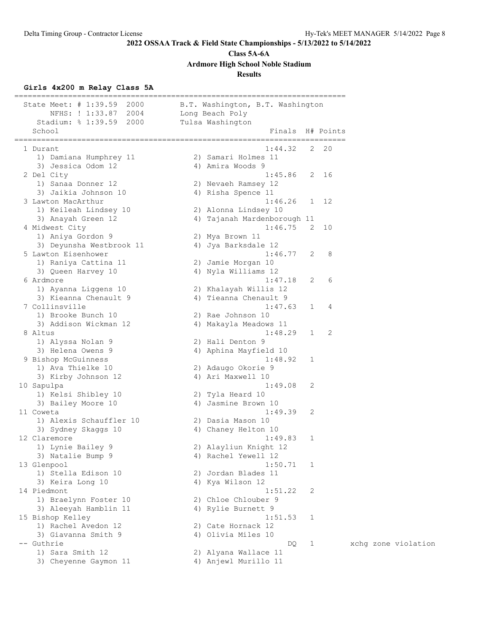**Class 5A-6A**

**Ardmore High School Noble Stadium**

### **Results**

# **Girls 4x200 m Relay Class 5A**

| State Meet: # 1:39.59<br>2000           | B.T. Washington, B.T. Washington            |
|-----------------------------------------|---------------------------------------------|
| 2004<br>NFHS: ! 1:33.87                 | Long Beach Poly                             |
| Stadium: % 1:39.59 2000<br>School       | Tulsa Washington<br>Finals H# Points        |
|                                         | ----------------------                      |
| 1 Durant                                | 1:44.32<br>$2^{2}$ 20                       |
| 1) Damiana Humphrey 11                  | 2) Samari Holmes 11                         |
| 3) Jessica Odom 12                      | 4) Amira Woods 9                            |
| 2 Del City                              | 1:45.86<br>2 16                             |
| 1) Sanaa Donner 12                      | 2) Nevaeh Ramsey 12                         |
| 3) Jaikia Johnson 10                    | 4) Risha Spence 11                          |
| 3 Lawton MacArthur                      | 1:46.26<br>1 12                             |
| 1) Keileah Lindsey 10                   | 2) Alonna Lindsey 10                        |
| 3) Anayah Green 12                      | 4) Tajanah Mardenborough 11                 |
| 4 Midwest City                          | 1:46.75<br>2 10                             |
| 1) Aniya Gordon 9                       | 2) Mya Brown 11                             |
| 3) Deyunsha Westbrook 11                | 4) Jya Barksdale 12                         |
| 5 Lawton Eisenhower                     | 1:46.77<br>-2<br>8                          |
| 1) Raniya Cattina 11                    | 2) Jamie Morgan 10                          |
| 3) Queen Harvey 10                      | 4) Nyla Williams 12                         |
| 6 Ardmore                               | 6<br>1:47.18<br>2                           |
| 1) Ayanna Liggens 10                    | 2) Khalayah Willis 12                       |
| 3) Kieanna Chenault 9                   | 4) Tieanna Chenault 9                       |
| 7 Collinsville                          | 1:47.63<br>4<br>1                           |
| 1) Brooke Bunch 10                      | 2) Rae Johnson 10                           |
| 3) Addison Wickman 12                   | 4) Makayla Meadows 11                       |
| 8 Altus                                 | 1:48.29<br>2<br>$\mathbf{1}$                |
| 1) Alyssa Nolan 9                       | 2) Hali Denton 9                            |
| 3) Helena Owens 9                       | 4) Aphina Mayfield 10                       |
| 9 Bishop McGuinness                     | 1:48.92<br>1                                |
| 1) Ava Thielke 10                       | 2) Adaugo Okorie 9                          |
| 3) Kirby Johnson 12                     | 4) Ari Maxwell 10                           |
| 10 Sapulpa                              | 1:49.08<br>2                                |
| 1) Kelsi Shibley 10                     | 2) Tyla Heard 10                            |
| 3) Bailey Moore 10                      | 4) Jasmine Brown 10                         |
| 11 Coweta                               | 1:49.39<br>2                                |
| 1) Alexis Schauffler 10                 | 2) Dasia Mason 10                           |
| 3) Sydney Skaggs 10<br>12 Claremore     | 4) Chaney Helton 10                         |
|                                         | 1:49.83<br>1                                |
| 1) Lynie Bailey 9                       | 2) Alayliun Knight 12                       |
| 3) Natalie Bump 9                       | 4) Rachel Yewell 12<br>1:50.71              |
| 13 Glenpool<br>1) Stella Edison 10      | 1<br>2) Jordan Blades 11                    |
|                                         |                                             |
| 3) Keira Long 10                        | 4) Kya Wilson 12                            |
| 14 Piedmont                             | 1:51.22<br>2                                |
| 1) Braelynn Foster 10                   | 2) Chloe Chlouber 9                         |
| 3) Aleeyah Hamblin 11                   | 4) Rylie Burnett 9                          |
| 15 Bishop Kelley<br>1) Rachel Avedon 12 | 1:51.53<br>1                                |
| 3) Giavanna Smith 9                     | 2) Cate Hornack 12                          |
| -- Guthrie                              | 4) Olivia Miles 10                          |
| 1) Sara Smith 12                        | DQ.<br>$\mathbf{1}$<br>2) Alyana Wallace 11 |
|                                         |                                             |
| 3) Cheyenne Gaymon 11                   | 4) Anjewl Murillo 11                        |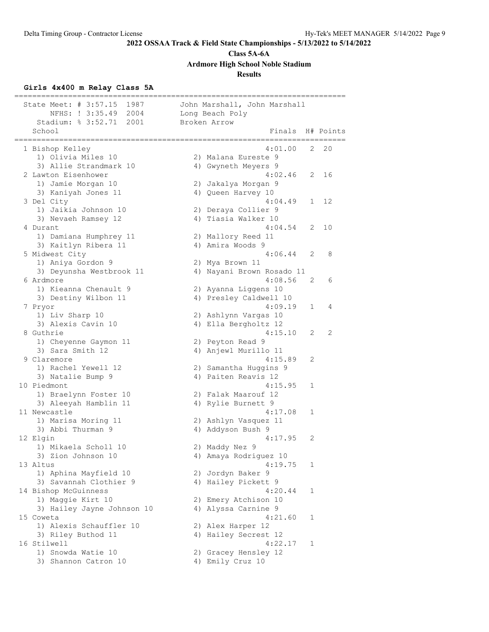**Class 5A-6A**

**Ardmore High School Noble Stadium**

### **Results**

## **Girls 4x400 m Relay Class 5A**

| State Meet: # 3:57.15<br>1987<br>NFHS: ! 3:35.49<br>2004<br>2001<br>Stadium: % 3:52.71 | John Marshall, John Marshall<br>Long Beach Poly<br>Broken Arrow |
|----------------------------------------------------------------------------------------|-----------------------------------------------------------------|
| School<br>---------------                                                              | Finals H# Points                                                |
| 1 Bishop Kelley                                                                        | 4:01.00<br>20<br>2                                              |
| 1) Olivia Miles 10                                                                     | 2) Malana Eureste 9                                             |
| 3) Allie Strandmark 10                                                                 | 4) Gwyneth Meyers 9                                             |
| 2 Lawton Eisenhower                                                                    | 4:02.46<br>2 16                                                 |
| 1) Jamie Morgan 10                                                                     | 2) Jakalya Morgan 9                                             |
| 3) Kaniyah Jones 11                                                                    | 4) Queen Harvey 10                                              |
| 3 Del City                                                                             | 4:04.49<br>12<br>1                                              |
| 1) Jaikia Johnson 10                                                                   | 2) Deraya Collier 9                                             |
| 3) Nevaeh Ramsey 12                                                                    | 4) Tiasia Walker 10                                             |
| 4 Durant                                                                               | 4:04.54<br>2<br>10                                              |
| 1) Damiana Humphrey 11                                                                 | 2) Mallory Reed 11                                              |
| 3) Kaitlyn Ribera 11                                                                   | 4) Amira Woods 9                                                |
| 5 Midwest City                                                                         | 4:06.44<br>2<br>8                                               |
| 1) Aniya Gordon 9                                                                      | 2) Mya Brown 11                                                 |
| 3) Deyunsha Westbrook 11                                                               | 4) Nayani Brown Rosado 11                                       |
| 6 Ardmore                                                                              | 4:08.56<br>2<br>6                                               |
| 1) Kieanna Chenault 9                                                                  | 2) Ayanna Liggens 10                                            |
| 3) Destiny Wilbon 11                                                                   | 4) Presley Caldwell 10<br>4:09.19<br>1<br>4                     |
| 7 Pryor<br>1) Liv Sharp 10                                                             |                                                                 |
| 3) Alexis Cavin 10                                                                     | 2) Ashlynn Vargas 10<br>4) Ella Bergholtz 12                    |
| 8 Guthrie                                                                              | 4:15.10<br>2<br>2                                               |
| 1) Cheyenne Gaymon 11                                                                  | 2) Peyton Read 9                                                |
| 3) Sara Smith 12                                                                       | 4) Anjewl Murillo 11                                            |
| 9 Claremore                                                                            | 4:15.89<br>2                                                    |
| 1) Rachel Yewell 12                                                                    | 2) Samantha Huggins 9                                           |
| 3) Natalie Bump 9                                                                      | 4) Paiten Reavis 12                                             |
| 10 Piedmont                                                                            | 4:15.95<br>1                                                    |
| 1) Braelynn Foster 10                                                                  | 2) Falak Maarouf 12                                             |
| 3) Aleeyah Hamblin 11                                                                  | 4) Rylie Burnett 9                                              |
| 11 Newcastle                                                                           | 4:17.08<br>1                                                    |
| 1) Marisa Moring 11                                                                    | 2) Ashlyn Vasquez 11                                            |
| 3) Abbi Thurman 9                                                                      | 4) Addyson Bush 9                                               |
| 12 Elgin                                                                               | 4:17.95<br>2                                                    |
| 1) Mikaela Scholl 10                                                                   | 2) Maddy Nez 9                                                  |
| 3) Zion Johnson 10                                                                     | 4) Amaya Rodriguez 10                                           |
| 13 Altus                                                                               | 4:19.75<br>1                                                    |
| 1) Aphina Mayfield 10                                                                  | 2) Jordyn Baker 9                                               |
| 3) Savannah Clothier 9                                                                 | 4) Hailey Pickett 9                                             |
| 14 Bishop McGuinness                                                                   | 4:20.44<br>1                                                    |
| 1) Maggie Kirt 10                                                                      | 2) Emery Atchison 10                                            |
| 3) Hailey Jayne Johnson 10                                                             | 4) Alyssa Carnine 9                                             |
| 15 Coweta                                                                              | 4:21.60<br>1                                                    |
| 1) Alexis Schauffler 10                                                                | 2) Alex Harper 12                                               |
| 3) Riley Buthod 11                                                                     | 4) Hailey Secrest 12                                            |
| 16 Stilwell                                                                            | 4:22.17<br>1                                                    |
| 1) Snowda Watie 10                                                                     | 2) Gracey Hensley 12                                            |
| 3) Shannon Catron 10                                                                   | 4) Emily Cruz 10                                                |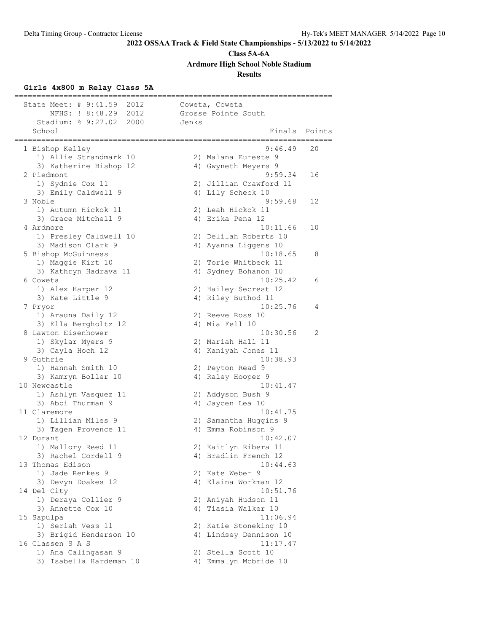**Class 5A-6A**

**Ardmore High School Noble Stadium**

### **Results**

### **Girls 4x800 m Relay Class 5A**

| State Meet: # 9:41.59 2012        |       | Coweta, Coweta              |        |
|-----------------------------------|-------|-----------------------------|--------|
| NFHS: ! 8:48.29 2012              |       | Grosse Pointe South         |        |
| Stadium: % 9:27.02<br>2000        | Jenks |                             |        |
| School<br>==================      |       | Finals                      | Points |
| 1 Bishop Kelley                   |       | 9:46.49                     | 20     |
| 1) Allie Strandmark 10            |       | 2) Malana Eureste 9         |        |
| 3) Katherine Bishop 12            |       | 4) Gwyneth Meyers 9         |        |
| 2 Piedmont                        |       | 9:59.34                     | 16     |
| 1) Sydnie Cox 11                  |       | 2) Jillian Crawford 11      |        |
| 3) Emily Caldwell 9               |       | 4) Lily Scheck 10           |        |
| 3 Noble                           |       | 9:59.68                     | 12     |
| 1) Autumn Hickok 11               |       | 2) Leah Hickok 11           |        |
| 3) Grace Mitchell 9               |       | 4) Erika Pena 12            |        |
| 4 Ardmore                         |       | 10:11.66                    | 10     |
| 1) Presley Caldwell 10            |       | 2) Delilah Roberts 10       |        |
| 3) Madison Clark 9                |       | 4) Ayanna Liggens 10        |        |
| 5 Bishop McGuinness               |       | 10:18.65                    | 8      |
| 1) Maggie Kirt 10                 |       | 2) Torie Whitbeck 11        |        |
| 3) Kathryn Hadrava 11             |       | 4) Sydney Bohanon 10        |        |
| 6 Coweta                          |       | 10:25.42                    | 6      |
| 1) Alex Harper 12                 |       | 2) Hailey Secrest 12        |        |
| 3) Kate Little 9                  |       | 4) Riley Buthod 11          |        |
| 7 Pryor                           |       | 10:25.76                    | 4      |
| 1) Arauna Daily 12                |       | 2) Reeve Ross 10            |        |
| 3) Ella Bergholtz 12              |       | 4) Mia Fell 10              |        |
| 8 Lawton Eisenhower               |       | 10:30.56                    | 2      |
| 1) Skylar Myers 9                 |       | 2) Mariah Hall 11           |        |
| 3) Cayla Hoch 12                  |       | 4) Kaniyah Jones 11         |        |
| 9 Guthrie                         |       | 10:38.93                    |        |
| 1) Hannah Smith 10                |       | 2) Peyton Read 9            |        |
| 3) Kamryn Boller 10               |       | 4) Raley Hooper 9           |        |
| 10 Newcastle                      |       | 10:41.47                    |        |
| 1) Ashlyn Vasquez 11              |       | 2) Addyson Bush 9           |        |
| 3) Abbi Thurman 9                 |       | 4) Jaycen Lea 10            |        |
| 11 Claremore                      |       | 10:41.75                    |        |
| 1) Lillian Miles 9                |       | 2) Samantha Huggins 9       |        |
| 3) Tagen Provence 11              |       | 4) Emma Robinson 9          |        |
| 12 Durant                         |       | 10:42.07                    |        |
| 1) Mallory Reed 11                |       | 2) Kaitlyn Ribera 11        |        |
| 3) Rachel Cordell 9               |       | 4) Bradlin French 12        |        |
| 13 Thomas Edison                  |       | 10:44.63<br>2) Kate Weber 9 |        |
| 1) Jade Renkes 9                  |       | 4) Elaina Workman 12        |        |
| 3) Devyn Doakes 12<br>14 Del City |       | 10:51.76                    |        |
| 1) Deraya Collier 9               |       | 2) Aniyah Hudson 11         |        |
| 3) Annette Cox 10                 |       | 4) Tiasia Walker 10         |        |
| 15 Sapulpa                        |       | 11:06.94                    |        |
| 1) Seriah Vess 11                 |       | 2) Katie Stoneking 10       |        |
| 3) Brigid Henderson 10            |       | 4) Lindsey Dennison 10      |        |
| 16 Classen S A S                  |       | 11:17.47                    |        |
| 1) Ana Calingasan 9               |       | 2) Stella Scott 10          |        |
| 3) Isabella Hardeman 10           |       | 4) Emmalyn Mcbride 10       |        |
|                                   |       |                             |        |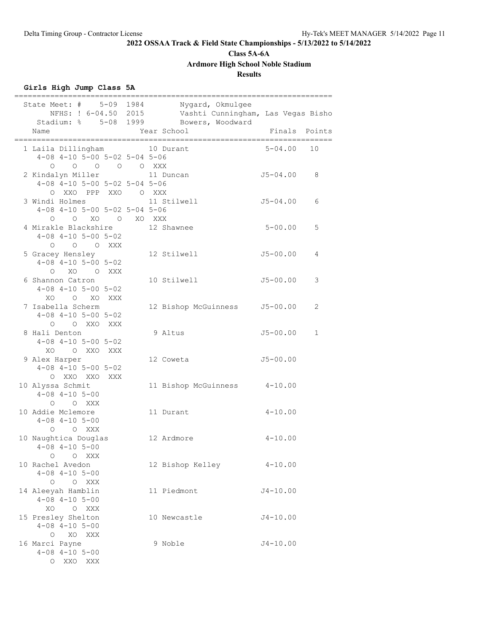# **Class 5A-6A**

**Ardmore High School Noble Stadium**

### **Results**

### **Girls High Jump Class 5A**

| State Meet: # 5-09 1984<br>NFHS: ! 6-04.50 2015<br>Stadium: % 5-08 1999<br>Name           | Nygard, Okmulgee<br>Vashti Cunningham, Las Vegas Bisho<br>Bowers, Woodward<br>Year School | Finals Points |    |
|-------------------------------------------------------------------------------------------|-------------------------------------------------------------------------------------------|---------------|----|
| 1 Laila Dillingham<br>$4-08$ $4-10$ $5-00$ $5-02$ $5-04$ $5-06$<br>0 0 0 0 XXX<br>$\circ$ | 10 Durant                                                                                 | $5 - 04.00$   | 10 |
| 2 Kindalyn Miller<br>4-08 4-10 5-00 5-02 5-04 5-06<br>O XXO PPP XXO O XXX                 | 11 Duncan                                                                                 | $J5 - 04.00$  | 8  |
| 3 Windi Holmes<br>$4-08$ $4-10$ $5-00$ $5-02$ $5-04$ $5-06$<br>O XO O XO XXX<br>$\circ$   | 11 Stilwell                                                                               | $J5 - 04.00$  | 6  |
| 4 Mirakle Blackshire<br>$4-08$ $4-10$ $5-00$ $5-02$<br>$O$ $O$ $O$ XXX                    | 12 Shawnee                                                                                | $5 - 00.00$   | 5  |
| 5 Gracey Hensley<br>$4-08$ $4-10$ $5-00$ $5-02$<br>$\Omega$<br>XO OXXX                    | 12 Stilwell                                                                               | $J5 - 00.00$  | 4  |
| 6 Shannon Catron<br>$4 - 08$ $4 - 10$ $5 - 00$ $5 - 02$<br>XO O XO XXX                    | 10 Stilwell                                                                               | $J5 - 00.00$  | 3  |
| 7 Isabella Scherm<br>$4-08$ $4-10$ $5-00$ $5-02$<br>O XXO XXX<br>$\Omega$                 | 12 Bishop McGuinness                                                                      | $J5 - 00.00$  | 2  |
| 8 Hali Denton<br>$4 - 08$ $4 - 10$ $5 - 00$ $5 - 02$<br>XO O XXO XXX                      | 9 Altus                                                                                   | $J5 - 00.00$  | 1  |
| 9 Alex Harper<br>$4 - 08$ $4 - 10$ $5 - 00$ $5 - 02$<br>O XXO XXO<br>XXX                  | 12 Coweta                                                                                 | $J5 - 00.00$  |    |
| 10 Alyssa Schmit<br>$4 - 08$ $4 - 10$ $5 - 00$<br>$O$ $O$ XXX                             | 11 Bishop McGuinness 4-10.00                                                              |               |    |
| 10 Addie Mclemore<br>$4 - 08$ $4 - 10$ $5 - 00$<br>O XXX<br>$\Omega$                      | 11 Durant                                                                                 | $4 - 10.00$   |    |
| 10 Naughtica Douglas<br>$4 - 08$ $4 - 10$ $5 - 00$<br>O XXX<br>$\circ$                    | 12 Ardmore                                                                                | $4 - 10.00$   |    |
| 10 Rachel Avedon<br>$4 - 08$ $4 - 10$ $5 - 00$<br>O XXX<br>$\circ$                        | 12 Bishop Kelley                                                                          | $4 - 10.00$   |    |
| 14 Aleeyah Hamblin<br>$4 - 08$ $4 - 10$ $5 - 00$<br>XO O XXX                              | 11 Piedmont                                                                               | $J4 - 10.00$  |    |
| 15 Presley Shelton<br>$4 - 08$ $4 - 10$ $5 - 00$<br>O XO XXX                              | 10 Newcastle                                                                              | $J4 - 10.00$  |    |
| 16 Marci Payne<br>$4 - 08$ $4 - 10$ $5 - 00$<br>O XXO<br>XXX                              | 9 Noble                                                                                   | $J4 - 10.00$  |    |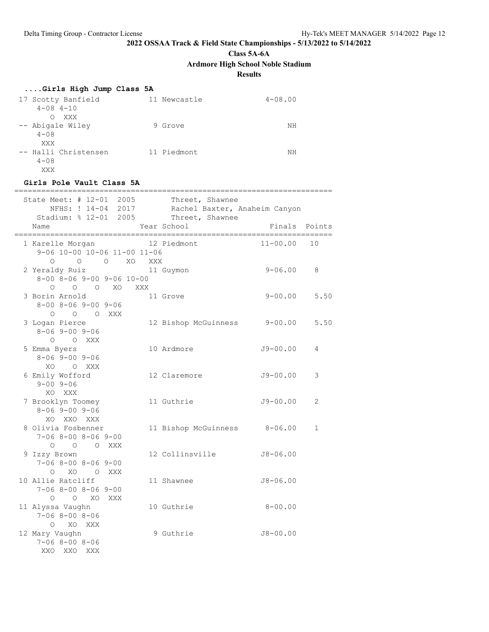**Class 5A-6A**

**Ardmore High School Noble Stadium**

**Results**

| Girls High Jump Class 5A |  |  |  |  |
|--------------------------|--|--|--|--|
|--------------------------|--|--|--|--|

| 17 Scotty Banfield<br>$4 - 08$ $4 - 10$ | 11 Newcastle | $4 - 08.00$ |
|-----------------------------------------|--------------|-------------|
| XXX<br>$\Omega$                         |              |             |
| -- Abigale Wiley                        | 9 Grove      | ΝH          |
| $4 - 0.8$                               |              |             |
| XXX                                     |              |             |
| -- Halli Christensen                    | 11 Piedmont  | NΗ          |
| $4 - 0.8$                               |              |             |
| XXX                                     |              |             |

#### **Girls Pole Vault Class 5A**

| State Meet: # 12-01 2005<br>Stadium: % 12-01 2005                          |     |                                |     | Threet, Shawnee<br>NFHS: ! 14-04 2017 Rachel Baxter, Anaheim Canyon<br>Threet, Shawnee |                        |                |
|----------------------------------------------------------------------------|-----|--------------------------------|-----|----------------------------------------------------------------------------------------|------------------------|----------------|
| Name                                                                       |     |                                |     | Year School                                                                            | Finals Points<br>===== |                |
| 1 Karelle Morgan<br>9-06 10-00 10-06 11-00 11-06                           |     |                                |     | 12 Piedmont                                                                            | $11 - 00.00$           | 10             |
| 2 Yeraldy Ruiz<br>$8 - 00$ $8 - 06$ $9 - 00$ $9 - 06$ $10 - 00$<br>$\circ$ |     | $O$ $O$ $O$ $XO$<br>O O XO XXX | XXX | 11 Guymon                                                                              | $9 - 06.00$            | 8              |
| 3 Borin Arnold<br>$8 - 00$ $8 - 06$ $9 - 00$ $9 - 06$<br>O O O XXX         |     |                                |     | 11 Grove                                                                               | $9 - 00.00$            | 5.50           |
| 3 Logan Pierce<br>$8 - 06$ 9 - 00 9 - 06<br>$O$ $O$ XXX                    |     |                                |     | 12 Bishop McGuinness 9-00.00                                                           |                        | 5.50           |
| 5 Emma Byers<br>$8 - 069 - 009 - 06$<br>XO OXXX                            |     |                                |     | 10 Ardmore                                                                             | $J9 - 00.00$           | 4              |
| 6 Emily Wofford<br>$9 - 00$ $9 - 06$<br>XO XXX                             |     |                                |     | 12 Claremore                                                                           | $J9 - 00.00$           | 3              |
| 7 Brooklyn Toomey<br>$8 - 069 - 009 - 06$<br>XO XXO XXX                    |     |                                |     | 11 Guthrie                                                                             | $J9 - 00.00$           | $\mathfrak{D}$ |
| 8 Olivia Fosbenner<br>$7 - 068 - 008 - 069 - 00$<br>O O O XXX              |     |                                |     | 11 Bishop McGuinness 8-06.00                                                           |                        | $\mathbf{1}$   |
| 9 Izzy Brown<br>$7 - 068 - 008 - 069 - 00$<br>O XO O XXX                   |     |                                |     | 12 Collinsville                                                                        | $J8 - 06.00$           |                |
| 10 Allie Ratcliff<br>$7 - 068 - 008 - 069 - 00$<br>O O XO XXX              |     |                                |     | 11 Shawnee                                                                             | $J8 - 06.00$           |                |
| 11 Alyssa Vaughn<br>$7 - 068 - 008 - 06$<br>O XO XXX                       |     |                                |     | 10 Guthrie                                                                             | $8 - 00.00$            |                |
| 12 Mary Vaughn<br>$7 - 068 - 008 - 06$<br>XXO<br>XXO                       | XXX |                                |     | 9 Guthrie                                                                              | $J8 - 00.00$           |                |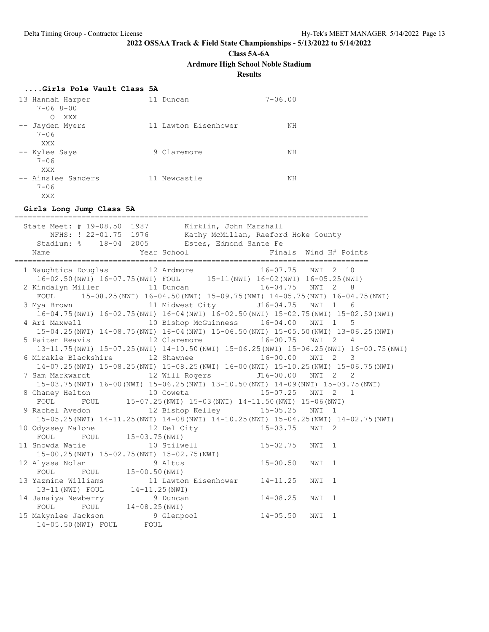**Class 5A-6A**

**Ardmore High School Noble Stadium**

**Results**

| Girls Pole Vault Class 5A                             |                      |             |
|-------------------------------------------------------|----------------------|-------------|
| 13 Hannah Harper<br>$7 - 068 - 00$<br>$\Omega$<br>XXX | Duncan<br>11         | $7 - 06.00$ |
| -- Jayden Myers<br>$7 - 06$<br>XXX                    | 11 Lawton Eisenhower | ΝH          |
| -- Kylee Saye<br>$7 - 06$<br>XXX                      | 9 Claremore          | ΝH          |
| -- Ainslee Sanders<br>$7 - 06$<br>XXX                 | 11 Newcastle         | ΝH          |

#### **Girls Long Jump Class 5A**

=============================================================================== State Meet: # 19-08.50 1987 Kirklin, John Marshall NFHS: ! 22-01.75 1976 Kathy McMillan, Raeford Hoke County NFHS: ! 22-01.75 1976 Kathy McMillan, Raeford<br>Stadium: % 18-04 2005 Estes, Edmond Sante Fe Name  $Year School$  Finals Wind H# Points =============================================================================== 1 Naughtica Douglas 12 Ardmore 16-07.75 NWI 2 10 16-02.50(NWI) 16-07.75(NWI) FOUL 15-11(NWI) 16-02(NWI) 16-05.25(NWI) 2 Kindalyn Miller 11 Duncan 16-04.75 NWI 2 8 FOUL 15-08.25(NWI) 16-04.50(NWI) 15-09.75(NWI) 14-05.75(NWI) 16-04.75(NWI) 3 Mya Brown 11 Midwest City J16-04.75 NWI 1 6 16-04.75(NWI) 16-02.75(NWI) 16-04(NWI) 16-02.50(NWI) 15-02.75(NWI) 15-02.50(NWI) 4 Ari Maxwell 10 Bishop McGuinness 16-04.00 NWI 1 5 15-04.25(NWI) 14-08.75(NWI) 16-04(NWI) 15-06.50(NWI) 15-05.50(NWI) 13-06.25(NWI) 5 Paiten Reavis 12 Claremore 16-00.75 NWI 2 4 13-11.75(NWI) 15-07.25(NWI) 14-10.50(NWI) 15-06.25(NWI) 15-06.25(NWI) 16-00.75(NWI) 6 Mirakle Blackshire 12 Shawnee 16-00.00 NWI 2 3 14-07.25(NWI) 15-08.25(NWI) 15-08.25(NWI) 16-00(NWI) 15-10.25(NWI) 15-06.75(NWI) 7 Sam Markwardt 12 Will Rogers J16-00.00 NWI 2 2 15-03.75(NWI) 16-00(NWI) 15-06.25(NWI) 13-10.50(NWI) 14-09(NWI) 15-03.75(NWI) 8 Chaney Helton 10 Coweta 15-07.25 NWI 2 1 FOUL FOUL 15-07.25(NWI) 15-03(NWI) 14-11.50(NWI) 15-06(NWI) 9 Rachel Avedon 12 Bishop Kelley 15-05.25 NWI 1 15-05.25(NWI) 14-11.25(NWI) 14-08(NWI) 14-10.25(NWI) 15-04.25(NWI) 14-02.75(NWI) 10 Odyssey Malone 12 Del City 15-03.75 NWI 2 FOUL FOUL 15-03.75(NWI)<br>11 Snowda Watie 10 Stilw 11 Snowda Watie 10 Stilwell 15-02.75 NWI 1 15-00.25(NWI) 15-02.75(NWI) 15-02.75(NWI) 12 Alyssa Nolan 9 Altus 15-00.50 NWI 1 12 Alyssa Nolan 9 Altus<br>FOUL FOUL 15-00.50 (NWI) 13 Yazmine Williams 11 Lawton Eisenhower 14-11.25 NWI 1 13-11(NWI) FOUL 14-11.25(NWI) 14 Janaiya Newberry 9 Duncan 14-08.25 NWI 1 FOUL FOUL 14-08.25 (NWI) 15 Makynlee Jackson 9 Glenpool 14-05.50 NWI 1 14-05.50(NWI) FOUL FOUL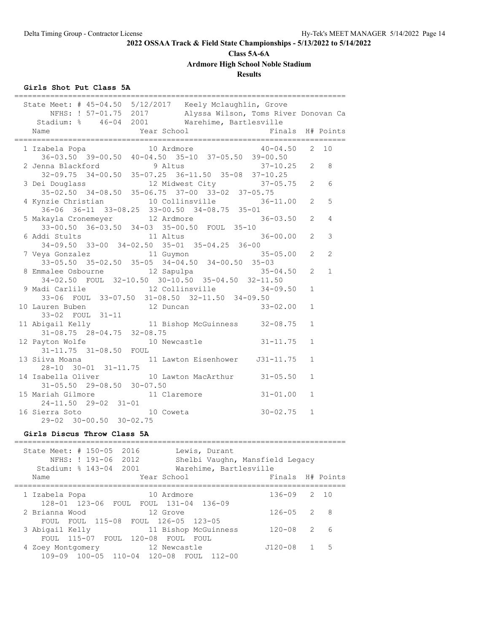# **Class 5A-6A**

**Ardmore High School Noble Stadium**

### **Results**

### **Girls Shot Put Class 5A**

| State Meet: # 45-04.50 5/12/2017 Keely Mclaughlin, Grove<br>NFHS: ! 57-01.75 2017 Alyssa Wilson, Toms River Donovan Ca<br>Stadium: % 46-04 2001 Warehime, Bartlesville |                |                |
|------------------------------------------------------------------------------------------------------------------------------------------------------------------------|----------------|----------------|
| Year School<br>Finals<br>Name                                                                                                                                          |                | H# Points      |
| 10 Ardmore<br>$40 - 04.50$<br>1 Izabela Popa<br>$36-03.50$ $39-00.50$ $40-04.50$ $35-10$ $37-05.50$ $39-00.50$                                                         | $\overline{2}$ | 10             |
| 2 Jenna Blackford 9 Altus 37-10.25<br>32-09.75 34-00.50 35-07.25 36-11.50 35-08 37-10.25<br>$37 - 10.25$                                                               | 2              | 8              |
| 3 Dei Douglass<br>12 Midwest City 37-05.75<br>35-02.50 34-08.50 35-06.75 37-00 33-02 37-05.75                                                                          | 2              | 6              |
| 10 Collinsville<br>4 Kynzie Christian<br>$36 - 11.00$ 2                                                                                                                |                | 5              |
| 36-06 36-11 33-08.25 33-00.50 34-08.75 35-01<br>5 Makayla Cronemeyer 12 Ardmore 3<br>$36 - 03.50$<br>33-00.50 36-03.50 34-03 35-00.50 FOUL 35-10                       | 2              | 4              |
| 6 Addi Stults<br>11 Altus<br>$36 - 00.00$<br>34-09.50 33-00 34-02.50 35-01 35-04.25 36-00                                                                              | $\overline{2}$ | 3              |
| 11 Guymon<br>7 Veya Gonzalez<br>$35 - 05.00$<br>33-05.50 35-02.50 35-05 34-04.50 34-00.50 35-03                                                                        | $\overline{2}$ | $\mathfrak{D}$ |
| 12 Sapulpa<br>8 Emmalee Osbourne<br>$35 - 04.50$<br>34-02.50 FOUL 32-10.50 30-10.50 35-04.50 32-11.50                                                                  | $\overline{2}$ | $\mathbf{1}$   |
| 12 Collinsville<br>9 Madi Carlile<br>$34 - 09.50$<br>33-06 FOUL 33-07.50 31-08.50 32-11.50 34-09.50                                                                    | $\mathbf{1}$   |                |
| 10 Lauren Buben<br>12 Duncan<br>$33 - 02.00$<br>33-02 FOUL 31-11                                                                                                       | $\mathbf{1}$   |                |
| 11 Bishop McGuinness 32-08.75<br>11 Abigail Kelly<br>$31-08.75$ $28-04.75$ $32-08.75$                                                                                  | $\mathbf{1}$   |                |
| 12 Payton Wolfe<br>10 Newcastle<br>$31 - 11.75$<br>31-11.75 31-08.50 FOUL                                                                                              | $\mathbf{1}$   |                |
| 13 Siiva Moana<br>11 Lawton Eisenhower J31-11.75<br>28-10 30-01 31-11.75                                                                                               | $\mathbf{1}$   |                |
| 14 Isabella Oliver 10 Lawton MacArthur 31-05.50<br>$31 - 05.50$ 29-08.50 30-07.50                                                                                      | $\mathbf{1}$   |                |
| 15 Mariah Gilmore<br>$31 - 01.00$<br>11 Claremore<br>$24-11.50$ $29-02$ $31-01$                                                                                        | $\mathbf{1}$   |                |
| $30 - 02.75$<br>16 Sierra Soto<br>10 Coweta<br>29-02 30-00.50 30-02.75                                                                                                 | 1              |                |
| Girls Discus Throw Class 5A<br>===========================                                                                                                             |                |                |
| State Meet: # 150-05 2016<br>Lewis, Durant<br>Shelbi Vaughn, Mansfield Legacy<br>NFHS: ! 191-06 2012<br>Stadium: $% 143-04$<br>2001<br>Warehime, Bartlesville          |                |                |

|                                                         | Stadium: 8 143-04 2001 Marenime, Bartiesville |                  |   |      |
|---------------------------------------------------------|-----------------------------------------------|------------------|---|------|
| Name                                                    | Year School                                   | Finals H# Points |   |      |
| 1 Izabela Popa<br>128-01 123-06 FOUL FOUL 131-04 136-09 | 10 Ardmore                                    | $136 - 09$       |   | 2 10 |
| 2 Brianna Wood<br>FOUL FOUL 115-08 FOUL 126-05 123-05   | 12 Grove                                      | $126 - 05$ 2 8   |   |      |
| 3 Abigail Kelly<br>FOUL 115-07 FOUL 120-08 FOUL         | 11 Bishop McGuinness<br>FOUL.                 | $120 - 08$       | 2 | 6    |
| 4 Zoey Montgomery<br>109-09 100-05 110-04 120-08 FOUL   | 12 Newcastle<br>$112 - 00$                    | J120-08          |   | .5   |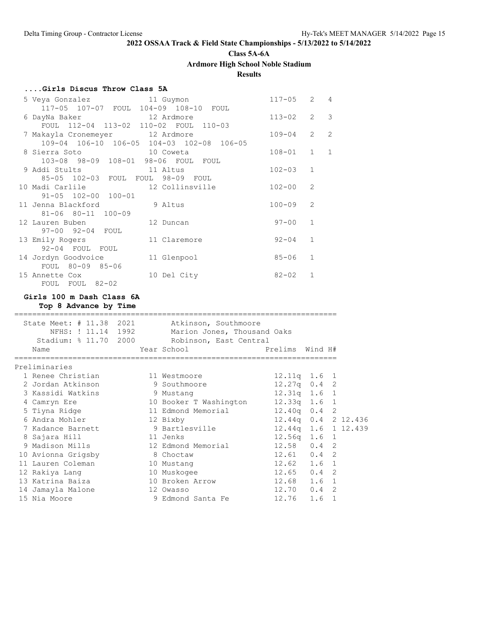**Class 5A-6A**

**Ardmore High School Noble Stadium**

**Results**

### **....Girls Discus Throw Class 5A**

|                                           | $117 - 05$   | $2 \quad 4$   |                |
|-------------------------------------------|--------------|---------------|----------------|
| 117-05 107-07 FOUL 104-09 108-10 FOUL     |              |               |                |
| 6 DayNa Baker 12 Ardmore                  | $113 - 02$   | $2 \quad 3$   |                |
| FOUL 112-04 113-02 110-02 FOUL 110-03     |              |               |                |
| 7 Makayla Cronemeyer 12 Ardmore           | $109 - 04$ 2 |               | 2              |
| 109-04 106-10 106-05 104-03 102-08 106-05 |              |               |                |
| 8 Sierra Soto 10 Coweta                   | $108 - 01$ 1 |               | $\overline{1}$ |
| 103-08 98-09 108-01 98-06 FOUL FOUL       |              |               |                |
| 9 Addi Stults 11 Altus                    | $102 - 03$   | $\mathbf{1}$  |                |
| 85-05 102-03 FOUL FOUL 98-09 FOUL         |              |               |                |
| 10 Madi Carlile 12 Collinsville           | $102 - 00$   | $\mathcal{L}$ |                |
| 91-05 102-00 100-01                       |              |               |                |
| 11 Jenna Blackford<br>9 Altus             | $100 - 09$   | $\mathcal{L}$ |                |
| 81-06 80-11 100-09                        |              |               |                |
| 12 Lauren Buben<br>12 Duncan              | $97 - 00$    | $\mathbf{1}$  |                |
| 97-00 92-04 FOUL                          |              |               |                |
| 13 Emily Rogers 11 Claremore              | $92 - 04$    | $\mathbf{1}$  |                |
| 92-04 FOUL FOUL                           |              |               |                |
| 14 Jordyn Goodvoice<br>11 Glenpool        | 85-06        | $\mathbf{1}$  |                |
| FOUL 80-09 85-06                          |              |               |                |
| 15 Annette Cox<br>10 Del City             | $82 - 02$    | $\mathbf{1}$  |                |
| FOUL FOUL 82-02                           |              |               |                |

### **Girls 100 m Dash Class 6A**

**Top 8 Advance by Time**

|                                        |                                                                                                                                                                                                                                                                                     | 1.6                                                                                                                                                            | $\mathbf{1}$                                                                                                                                                                                                                                                                                                |
|----------------------------------------|-------------------------------------------------------------------------------------------------------------------------------------------------------------------------------------------------------------------------------------------------------------------------------------|----------------------------------------------------------------------------------------------------------------------------------------------------------------|-------------------------------------------------------------------------------------------------------------------------------------------------------------------------------------------------------------------------------------------------------------------------------------------------------------|
| 1 Renee Christian<br>2 Jordan Atkinson | State Meet: # 11.38 2021<br>NFHS: ! 11.14 1992<br>Stadium: % 11.70 2000<br>11 Westmoore<br>9 Southmoore<br>9 Mustang<br>12 Bixby<br>9 Bartlesville<br>11 Jenks<br>12 Edmond Memorial<br>8 Choctaw<br>10 Mustang<br>10 Muskogee<br>10 Broken Arrow<br>12 Owasso<br>9 Edmond Santa Fe | Atkinson, Southmoore<br>Marion Jones, Thousand Oaks<br>Robinson, East Central<br>Year School in the School and the School and School<br>10 Booker T Washington | Prelims Wind H#<br>$12.11q$ $1.6$ 1<br>$12.27q$ 0.4 2<br>12.31q 1.6 1<br>$12.33q$ $1.6$ 1<br>11 Edmond Memorial 12.40g 0.4 2<br>12.44q 0.4 2 12.436<br>12.44q 1.6 1 12.439<br>$12.56q$ 1.6 1<br>$12.58$ 0.4 2<br>$12.61$ 0.4 2<br>$12.62$ $1.6$ 1<br>$12.65$ 0.4 2<br>12.68 1.6 1<br>$12.70$ 0.4 2<br>12.76 |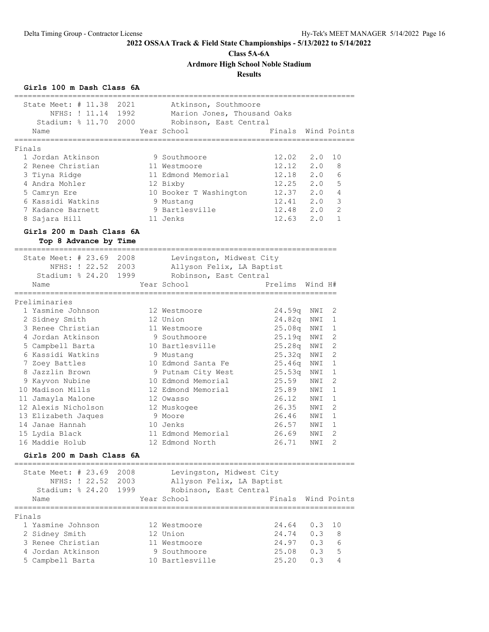**Class 5A-6A**

**Ardmore High School Noble Stadium**

**Results**

### **Girls 100 m Dash Class 6A**

| State Meet: $\#$ 11.38<br>NFHS: ! 11.14 1992<br>Stadium: $% 11.70$<br>Name | 2021<br>2000 | Atkinson, Southmoore<br>Marion Jones, Thousand Oaks<br>Robinson, East Central<br>Year School<br>------------- | Finals Wind Points<br>==================== |          |                |
|----------------------------------------------------------------------------|--------------|---------------------------------------------------------------------------------------------------------------|--------------------------------------------|----------|----------------|
| ============                                                               |              |                                                                                                               |                                            |          |                |
| Finals                                                                     |              |                                                                                                               |                                            |          |                |
| 1 Jordan Atkinson                                                          |              | 9 Southmoore                                                                                                  | 12.02                                      | 2.0      | 10             |
| 2 Renee Christian                                                          |              | 11 Westmoore                                                                                                  | 12.12                                      | 2.0      | 8              |
| 3 Tiyna Ridge                                                              |              | 11 Edmond Memorial                                                                                            | $12.18$ $2.0$                              |          | 6              |
| 4 Andra Mohler                                                             |              | 12 Bixby                                                                                                      | $12.25$ $2.0$                              |          | 5              |
| 5 Camryn Ere                                                               |              | 10 Booker T Washington                                                                                        | 12.37 2.0                                  |          | 4              |
| 6 Kassidi Watkins                                                          |              | 9 Mustang                                                                                                     | 12.41 2.0                                  |          | 3              |
| 7 Kadance Barnett                                                          |              | 9 Bartlesville                                                                                                | $12.48$ $2.0$                              |          | $\overline{2}$ |
| 8 Sajara Hill                                                              |              | 11 Jenks                                                                                                      | $12.63$ $2.0$                              |          | $\mathbf{1}$   |
| Girls 200 m Dash Class 6A<br>Top 8 Advance by Time                         |              |                                                                                                               |                                            |          |                |
|                                                                            |              |                                                                                                               |                                            |          |                |
| State Meet: $\#$ 23.69                                                     | 2008         | Levingston, Midwest City                                                                                      |                                            |          |                |
| NFHS: ! 22.52                                                              | 2003         | Allyson Felix, LA Baptist                                                                                     |                                            |          |                |
| Stadium: % 24.20 1999                                                      |              | Robinson, East Central                                                                                        |                                            |          |                |
| Name                                                                       |              | Year School                                                                                                   | Prelims                                    | Wind H#  |                |
| ______________                                                             |              |                                                                                                               |                                            |          |                |
| Preliminaries                                                              |              |                                                                                                               |                                            |          |                |
| 1 Yasmine Johnson                                                          |              | 12 Westmoore                                                                                                  | 24.59q NWI                                 |          | 2              |
| 2 Sidney Smith                                                             |              | 12 Union                                                                                                      | 24.82q NWI                                 |          | 1              |
| 3 Renee Christian                                                          |              | 11 Westmoore                                                                                                  | 25.08q                                     | NWI      | $\mathbf{1}$   |
| 4 Jordan Atkinson                                                          |              | 9 Southmoore                                                                                                  | 25.19q NWI                                 |          | $\overline{2}$ |
| 5 Campbell Barta                                                           |              | 10 Bartlesville                                                                                               | 25.28q NWI                                 |          | $\overline{2}$ |
| 6 Kassidi Watkins                                                          |              |                                                                                                               | 25.32q                                     | NWI      | $\overline{2}$ |
|                                                                            |              | 9 Mustang                                                                                                     |                                            |          | 1              |
| 7 Zoey Battles                                                             |              | 10 Edmond Santa Fe                                                                                            | 25.46q                                     | NWI      |                |
| 8 Jazzlin Brown                                                            |              | 9 Putnam City West                                                                                            | 25.53q                                     | NWI      | 1              |
| 9 Kayvon Nubine                                                            |              | 10 Edmond Memorial                                                                                            | 25.59                                      | NWI      | $\overline{2}$ |
| 10 Madison Mills                                                           |              | 12 Edmond Memorial                                                                                            | 25.89                                      | NWI      | $\mathbf{1}$   |
| 11 Jamayla Malone                                                          |              | 12 Owasso                                                                                                     | 26.12 NWI                                  |          | $\mathbf{1}$   |
| 12 Alexis Nicholson                                                        |              | 12 Muskogee                                                                                                   | 26.35                                      | NWI      | $\overline{2}$ |
| 13 Elizabeth Jaques                                                        |              | 9 Moore                                                                                                       | 26.46 NWI                                  |          | 1              |
| 14 Janae Hannah                                                            |              | 10 Jenks                                                                                                      | 26.57                                      | NWI      | 1              |
| 15 Lydia Black                                                             |              | 11 Edmond Memorial                                                                                            | 26.69                                      | NWI      | $\overline{2}$ |
| 16 Maddie Holub                                                            |              | 12 Edmond North                                                                                               | 26.71                                      | NWI      | $\overline{2}$ |
| Girls 200 m Dash Class 6A                                                  |              |                                                                                                               |                                            |          |                |
| State Meet: $\#$ 23.69                                                     | 2008         | Levingston, Midwest City                                                                                      |                                            |          |                |
| NFHS: ! 22.52                                                              | 2003         | Allyson Felix, LA Baptist                                                                                     |                                            |          |                |
| Stadium: $824.20$                                                          | 1999         | Robinson, East Central                                                                                        |                                            |          |                |
| Name                                                                       |              | Year School                                                                                                   | Finals                                     |          | Wind Points    |
|                                                                            |              |                                                                                                               |                                            | ======== |                |
| Finals                                                                     |              |                                                                                                               |                                            |          |                |
| 1 Yasmine Johnson                                                          |              | 12 Westmoore                                                                                                  | 24.64                                      | 0.3      | 10             |
| 2 Sidney Smith                                                             |              | 12 Union                                                                                                      | 24.74                                      | 0.3      | 8              |
| 3 Renee Christian                                                          |              | 11 Westmoore                                                                                                  | 24.97                                      | 0.3      | 6              |
| 4 Jordan Atkinson                                                          |              | 9 Southmoore                                                                                                  | 25.08                                      | 0.3      | 5              |
| 5 Campbell Barta                                                           |              | 10 Bartlesville                                                                                               | 25.20                                      | 0.3      | 4              |
|                                                                            |              |                                                                                                               |                                            |          |                |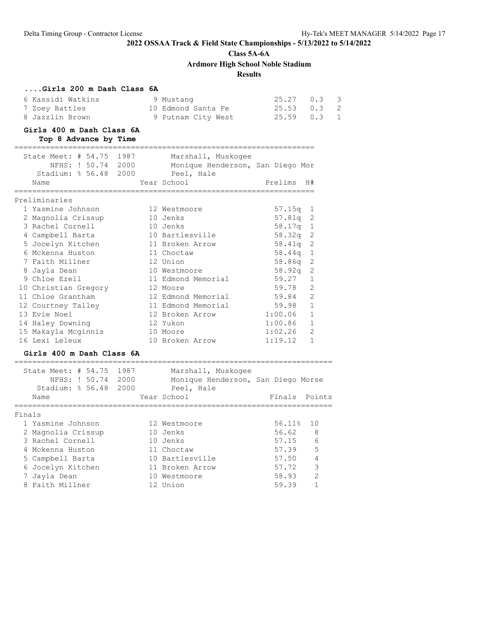**Class 5A-6A**

**Ardmore High School Noble Stadium**

### **Results**

| Girls 200 m Dash Class 6A                                    |      |                                                       |         |                |
|--------------------------------------------------------------|------|-------------------------------------------------------|---------|----------------|
| 6 Kassidi Watkins                                            |      | 9 Mustang                                             | 25.27   | 0.3<br>3       |
| 7 Zoey Battles                                               |      | 10 Edmond Santa Fe                                    | 25.53   | 0.3<br>2       |
| 8 Jazzlin Brown                                              |      | 9 Putnam City West                                    | 25.59   | 0.3<br>1       |
| Girls 400 m Dash Class 6A                                    |      |                                                       |         |                |
| Top 8 Advance by Time                                        |      |                                                       |         |                |
| --------------------------<br>State Meet: $\#$ 54.75         | 1987 | _______________________________<br>Marshall, Muskogee |         |                |
| NFHS: ! 50.74 2000                                           |      | Monique Henderson, San Diego Mor                      |         |                |
| Stadium: $8\,56.48$                                          | 2000 | Peel, Hale                                            |         |                |
| Name                                                         |      | Year School                                           | Prelims | H#             |
|                                                              |      |                                                       |         |                |
| Preliminaries                                                |      |                                                       |         |                |
| 1 Yasmine Johnson                                            |      | 12 Westmoore                                          | 57.15q  | 1              |
| 2 Magnolia Crissup                                           |      | 10 Jenks                                              | 57.81q  | 2              |
| 3 Rachel Cornell                                             |      | 10 Jenks                                              | 58.17q  | 1              |
| 4 Campbell Barta                                             |      | 10 Bartlesville                                       | 58.32q  | 2              |
| 5 Jocelyn Kitchen                                            |      | 11 Broken Arrow                                       | 58.41q  | 2              |
| 6 Mckenna Huston                                             |      | 11 Choctaw                                            | 58.44q  | 1              |
| 7 Faith Millner                                              |      | 12 Union                                              | 58.86q  | 2              |
| 8 Jayla Dean                                                 |      | 10 Westmoore                                          | 58.92q  | 2              |
| 9 Chloe Ezell                                                |      | 11 Edmond Memorial                                    | 59.27   | $\mathbf{1}$   |
| 10 Christian Gregory                                         |      | 12 Moore                                              | 59.78   | 2              |
| 11 Chloe Grantham                                            |      | 12 Edmond Memorial                                    | 59.84   | 2              |
| 12 Courtney Talley                                           |      | 11 Edmond Memorial                                    | 59.98   | $\mathbf{1}$   |
| 13 Evie Noel                                                 |      | 12 Broken Arrow                                       | 1:00.06 | $\mathbf{1}$   |
| 14 Haley Downing                                             |      | 12 Yukon                                              | 1:00.86 | 1              |
| 15 Makayla Mcginnis                                          |      | 10 Moore                                              | 1:02.26 | $\overline{2}$ |
| 16 Lexi Leleux                                               |      | 10 Broken Arrow                                       | 1:19.12 | $\mathbf{1}$   |
| Girls 400 m Dash Class 6A<br>=============================== |      |                                                       |         |                |
| State Meet: # 54.75 1987                                     |      | Marshall, Muskogee                                    |         |                |
| NFHS: ! 50.74 2000                                           |      | Monique Henderson, San Diego Morse                    |         |                |
| Stadium: % 56.48                                             | 2000 | Peel, Hale                                            |         |                |
| Name                                                         |      | Year School                                           | Finals  | Points         |
| ============                                                 |      |                                                       |         |                |
| Finals<br>1 Yasmine Johnson                                  |      | 12 Westmoore                                          | 56.11%  | 10             |
| 2 Magnolia Crissup                                           |      | 10 Jenks                                              | 56.62   | 8              |
| 3 Rachel Cornell                                             |      | 10 Jenks                                              | 57.15   | 6              |
| 4 Mckenna Huston                                             |      | 11 Choctaw                                            | 57.39   | 5              |
|                                                              |      |                                                       |         |                |

5 Campbell Barta 10 Bartlesville 57.50 4

- 6 Jocelyn Kitchen 11 Broken Arrow 57.72 3 7 Jayla Dean 10 Westmoore 58.93 2 10 Westmoore 58.93 2<br>
8 Faith Millner 12 Union 59.39 1
	-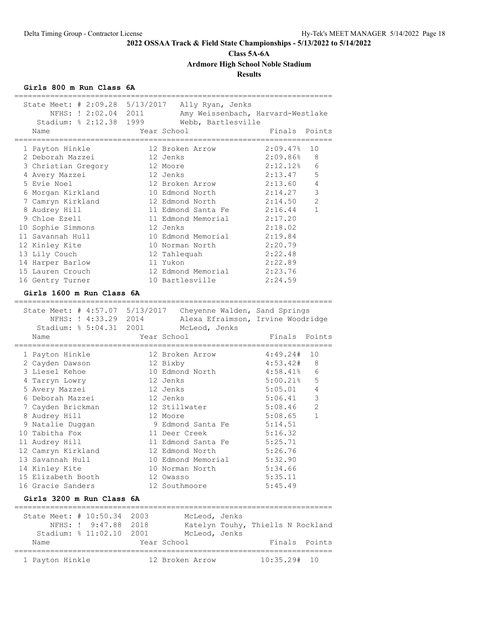# **Class 5A-6A**

**Ardmore High School Noble Stadium**

### **Results**

### **Girls 800 m Run Class 6A**

| NFHS: ! 2:02.04 2011<br>Stadium: % 2:12.38 1999 | State Meet: # 2:09.28 5/13/2017 Ally Ryan, Jenks<br>Webb, Bartlesville | Amy Weissenbach, Harvard-Westlake |
|-------------------------------------------------|------------------------------------------------------------------------|-----------------------------------|
| Name                                            | Year School                                                            | Finals Points                     |
|                                                 |                                                                        | 2:09.47%                          |
| 1 Payton Hinkle                                 | 12 Broken Arrow                                                        | 10                                |
| 2 Deborah Mazzei                                | 12 Jenks                                                               | 2:09.86%<br>8                     |
| 3 Christian Gregory                             | 12 Moore                                                               | $2:12.12$ <sup>8</sup><br>6       |
| 4 Avery Mazzei                                  | 12 Jenks                                                               | 5<br>2:13.47                      |
| 5 Evie Noel                                     | 12 Broken Arrow                                                        | $\overline{4}$<br>2:13.60         |
| 6 Morgan Kirkland                               | 10 Edmond North                                                        | $\mathsf 3$<br>2:14.27            |
| 7 Camryn Kirkland                               | 12 Edmond North                                                        | $\mathbf{2}$<br>2:14.50           |
| 8 Audrey Hill                                   | 11 Edmond Santa Fe                                                     | 2:16.44<br>$\mathbf{1}$           |
| 9 Chloe Ezell                                   | 11 Edmond Memorial                                                     | 2:17.20                           |
| 10 Sophie Simmons                               | 12 Jenks                                                               | 2:18.02                           |
| 11 Savannah Hull                                | 10 Edmond Memorial                                                     | 2:19.84                           |
| 12 Kinley Kite                                  | 10 Norman North                                                        | 2:20.79                           |
| 13 Lily Couch                                   | 12 Tahlequah                                                           | 2:22.48                           |
| 14 Harper Barlow                                | 11 Yukon                                                               | 2:22.89                           |
| 15 Lauren Crouch                                | 12 Edmond Memorial                                                     | 2:23.76                           |
| 16 Gentry Turner                                | 10 Bartlesville                                                        | 2:24.59                           |
|                                                 |                                                                        |                                   |
| Girls 1600 m Run Class 6A                       |                                                                        |                                   |
|                                                 |                                                                        |                                   |
|                                                 | State Meet: # 4:57.07 5/13/2017 Cheyenne Walden, Sand Springs          |                                   |
| NFHS: ! 4:33.29 2014                            |                                                                        | Alexa Efraimson, Irvine Woodridge |
| Stadium: % 5:04.31 2001                         | McLeod, Jenks                                                          |                                   |
| Name                                            | Year School                                                            | Finals<br>Points                  |
|                                                 |                                                                        |                                   |
| 1 Payton Hinkle                                 | 12 Broken Arrow                                                        | 4:49.24#<br>10                    |
| 2 Cayden Dawson                                 | 12 Bixby                                                               | 4:53.42#<br>8                     |
| 3 Liesel Kehoe                                  | 10 Edmond North                                                        | 4:58.41%<br>6                     |
| 4 Tarryn Lowry                                  | 12 Jenks                                                               | 5<br>$5:00.21$ <sup>8</sup>       |
| 5 Avery Mazzei                                  | 12 Jenks                                                               | $\overline{4}$<br>5:05.01         |
| 6 Deborah Mazzei                                | 12 Jenks                                                               | $\mathsf 3$<br>5:06.41            |
| 7 Cayden Brickman                               | 12 Stillwater                                                          | 2<br>5:08.46                      |
| 8 Audrey Hill                                   | 12 Moore                                                               | 5:08.65<br>1                      |
| 9 Natalie Duggan                                | 9 Edmond Santa Fe                                                      | 5:14.51                           |
| 10 Tabitha Fox                                  | 11 Deer Creek                                                          | 5:16.32                           |
| 11 Audrey Hill                                  | 11 Edmond Santa Fe                                                     | 5:25.71                           |
| 12 Camryn Kirkland                              | 12 Edmond North                                                        | 5:26.76                           |
| 13 Savannah Hull                                | 10 Edmond Memorial                                                     | 5:32.90                           |
|                                                 |                                                                        |                                   |
| 14 Kinley Kite                                  | 10 Norman North                                                        | 5:34.66                           |
| 15 Elizabeth Booth                              | 12 Owasso                                                              | 5:35.11                           |
| 16 Gracie Sanders                               | 12 Southmoore                                                          | 5:45.49                           |
| Girls 3200 m Run Class 6A                       |                                                                        |                                   |
|                                                 |                                                                        |                                   |
| State Meet: # 10:50.34 2003                     | McLeod, Jenks                                                          |                                   |
|                                                 | NFHS: ! 9:47.88 2018 Katelyn Touhy, Thiells N Rockland                 |                                   |
|                                                 | Stadium: % 11:02.10 2001 McLeod, Jenks                                 |                                   |
| Name                                            | Year School                                                            | Finals<br>Points                  |
| ==============                                  |                                                                        |                                   |
|                                                 |                                                                        |                                   |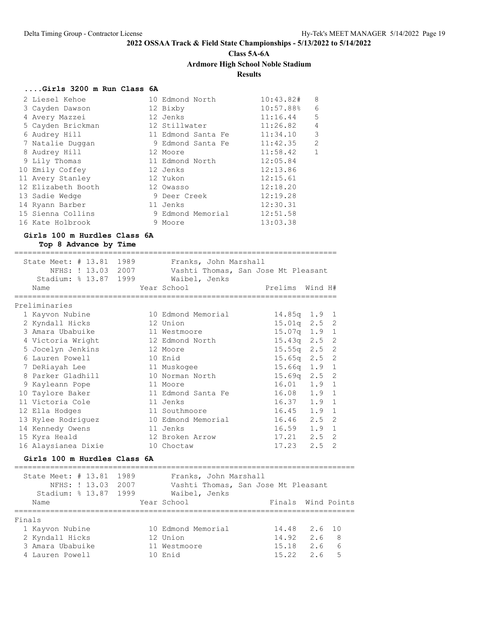# **Class 5A-6A**

### **Ardmore High School Noble Stadium**

### **Results**

#### **....Girls 3200 m Run Class 6A**

| 2 Liesel Kehoe     | 10 Edmond North    | 10:43.82# | 8  |
|--------------------|--------------------|-----------|----|
| 3 Cayden Dawson    | 12 Bixby           | 10:57.88% | 6  |
| 4 Avery Mazzei     | 12 Jenks           | 11:16.44  | .5 |
| 5 Cayden Brickman  | 12 Stillwater      | 11:26.82  | 4  |
| 6 Audrey Hill      | 11 Edmond Santa Fe | 11:34.10  | 3  |
| 7 Natalie Duggan   | 9 Edmond Santa Fe  | 11:42.35  | 2  |
| 8 Audrey Hill      | 12 Moore           | 11:58.42  | 1  |
| 9 Lily Thomas      | 11 Edmond North    | 12:05.84  |    |
| 10 Emily Coffey    | 12 Jenks           | 12:13.86  |    |
| 11 Avery Stanley   | 12 Yukon           | 12:15.61  |    |
| 12 Elizabeth Booth | 12 Owasso          | 12:18.20  |    |
| 13 Sadie Wedge     | 9 Deer Creek       | 12:19.28  |    |
| 14 Ryann Barber    | 11 Jenks           | 12:30.31  |    |
| 15 Sienna Collins  | 9 Edmond Memorial  | 12:51.58  |    |
| 16 Kate Holbrook   | 9 Moore            | 13:03.38  |    |

#### **Girls 100 m Hurdles Class 6A**

**Top 8 Advance by Time**

========================================================================

| State Meet: # 13.81 1989 |          | Franks, John Marshall               |                 |                  |
|--------------------------|----------|-------------------------------------|-----------------|------------------|
| NFHS: ! 13.03 2007       |          | Vashti Thomas, San Jose Mt Pleasant |                 |                  |
| Stadium: % 13.87 1999    |          | Waibel, Jenks                       |                 |                  |
| Name                     |          | Year School Theory                  | Prelims Wind H# |                  |
|                          |          |                                     |                 |                  |
| Preliminaries            |          |                                     |                 |                  |
| 1 Kayvon Nubine          |          | 10 Edmond Memorial                  |                 | 14.85q 1.9 1     |
| 2 Kyndall Hicks          | 12 Union |                                     |                 | $15.01q$ $2.5$ 2 |
| 3 Amara Ubabuike         |          | 11 Westmoore                        |                 | 15.07q 1.9 1     |
| 4 Victoria Wright        |          | 12 Edmond North                     |                 | $15.43q$ $2.5$ 2 |
| 5 Jocelyn Jenkins        | 12 Moore |                                     |                 | $15.55q$ $2.5$ 2 |
| 6 Lauren Powell          | 10 Enid  |                                     |                 | 15.65q 2.5 2     |
| 7 DeRiayah Lee           |          | 11 Muskogee                         | 15.66q          | $1.9$ 1          |
| 8 Parker Gladhill        |          | 10 Norman North                     |                 | $15.69q$ $2.5$ 2 |
| 9 Kayleann Pope          | 11 Moore |                                     | 16.01           | $1.9 \quad 1$    |
| 10 Taylore Baker         |          | 11 Edmond Santa Fe                  | 16.08           | $1.9 \quad 1$    |
| 11 Victoria Cole         |          | 11 Jenks                            | 16.37           | $1.9 \quad 1$    |
| 12 Ella Hodges           |          | 11 Southmoore                       | 16.45           | $1.9 \quad 1$    |
| 13 Rylee Rodriquez       |          | 10 Edmond Memorial                  | 16.46           | $2.5 \quad 2$    |
| 14 Kennedy Owens         |          | 11 Jenks                            | 16.59           | $1.9 \quad 1$    |
| 15 Kyra Heald            |          | 12 Broken Arrow                     | 17.21           | $2.5 \quad 2$    |
| 16 Alaysianea Dixie      |          | 10 Choctaw                          | 17.23           | $2.5 \quad 2$    |
|                          |          |                                     |                 |                  |

#### **Girls 100 m Hurdles Class 6A**

============================================================================ State Meet: # 13.81 1989 Franks, John Marshall NFHS: ! 13.03 2007 Vashti Thomas, San Jose Mt Pleasant Stadium: % 13.87 1999 Waibel, Jenks Name The Year School Team Points Wind Points ============================================================================ Finals 1 Kayvon Nubine 10 Edmond Memorial 14.48 2.6 10 2 Kyndall Hicks 12 Union 14.92 2.6 8 3 Amara Ubabuike 11 Westmoore 15.18 2.6 6 4 Lauren Powell 10 Enid 15.22 2.6 5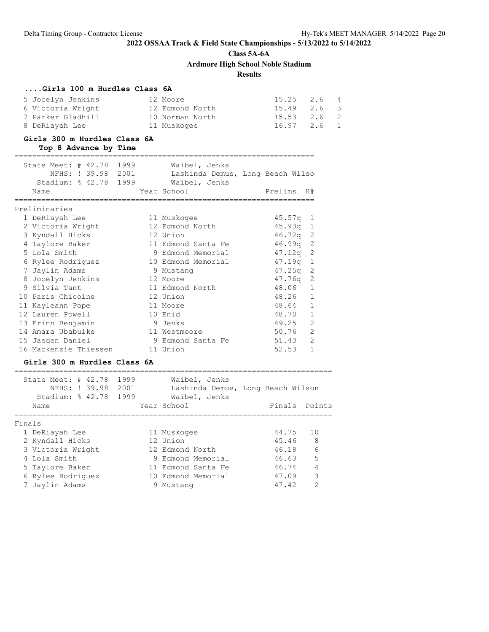**Class 5A-6A**

**Ardmore High School Noble Stadium**

## **Results**

### **....Girls 100 m Hurdles Class 6A**

| 5 Jocelyn Jenkins | 12 Moore        | $15.25$ $2.6$ 4   |  |
|-------------------|-----------------|-------------------|--|
| 6 Victoria Wright | 12 Edmond North | 15.49 2.6 3       |  |
| 7 Parker Gladhill | 10 Norman North | 15.53 2.6 2       |  |
| 8 DeRiayah Lee    | 11 Muskogee     | $16.97$ $2.6$ $1$ |  |

#### **Girls 300 m Hurdles Class 6A Top 8 Advance by Time**

| State Meet: # 42.78 1999<br>NFHS: ! 39.98 2001<br>Stadium: % 42.78 1999<br>Name |  | Waibel, Jenks<br>Lashinda Demus, Long Beach Wilso<br>Waibel, Jenks<br>Year School | Prelims    | H#             |
|---------------------------------------------------------------------------------|--|-----------------------------------------------------------------------------------|------------|----------------|
| Preliminaries                                                                   |  |                                                                                   |            |                |
| 1 DeRiayah Lee                                                                  |  | 11 Muskogee                                                                       | $45.57q$ 1 |                |
| 2 Victoria Wright                                                               |  | 12 Edmond North                                                                   | $45.93q$ 1 |                |
| 3 Kyndall Hicks                                                                 |  | 12 Union                                                                          | $46.72q$ 2 |                |
| 4 Taylore Baker                                                                 |  | 11 Edmond Santa Fe                                                                | $46.99q$ 2 |                |
| 5 Lola Smith                                                                    |  | 9 Edmond Memorial                                                                 | $47.12q$ 2 |                |
| 6 Rylee Rodriguez                                                               |  | 10 Edmond Memorial                                                                | $47.19q$ 1 |                |
| 7 Jaylin Adams                                                                  |  | 9 Mustang                                                                         | $47.25q$ 2 |                |
| 8 Jocelyn Jenkins                                                               |  | 12 Moore                                                                          | $47.76q$ 2 |                |
| 9 Silvia Tant                                                                   |  | 11 Edmond North                                                                   | 48.06      | $\mathbf{1}$   |
| 10 Paris Chicoine                                                               |  | 12 Union                                                                          | 48.26 1    |                |
| 11 Kayleann Pope                                                                |  | 11 Moore                                                                          | 48.64      | $\mathbf{1}$   |
| 12 Lauren Powell                                                                |  | 10 Enid                                                                           | 48.70      | $\mathbf{1}$   |
| 13 Erinn Benjamin                                                               |  | 9 Jenks                                                                           | 49.25      | 2              |
| 14 Amara Ubabuike                                                               |  | 11 Westmoore                                                                      | 50.76      | 2              |
| 15 Jaeden Daniel                                                                |  | 9 Edmond Santa Fe                                                                 | 51.43      | $\overline{c}$ |
| 16 Mackenzie Thiessen                                                           |  | 11 Union                                                                          | 52.53      | $\mathbf{1}$   |

### **Girls 300 m Hurdles Class 6A**

|        | State Meet: $\#$ 42.78<br>Stadium: $% 42.78$                                                | NFHS: ! 39.98 | 1999<br>2001<br>1999 | Waibel, Jenks<br>Lashinda Demus, Long Beach Wilson<br>Waibel, Jenks                           |                                  |                               |
|--------|---------------------------------------------------------------------------------------------|---------------|----------------------|-----------------------------------------------------------------------------------------------|----------------------------------|-------------------------------|
| Name   |                                                                                             |               |                      | Year School                                                                                   | Finals                           | Points                        |
| Finals | 1 DeRiayah Lee<br>2 Kyndall Hicks                                                           |               |                      | 11 Muskogee<br>12 Union                                                                       | 44.75<br>45.46<br>46.18          | 1 O<br>- 8<br>$6\overline{6}$ |
|        | 3 Victoria Wright<br>4 Lola Smith<br>5 Taylore Baker<br>6 Rylee Rodriquez<br>7 Jaylin Adams |               |                      | 12 Edmond North<br>9 Edmond Memorial<br>11 Edmond Santa Fe<br>10 Edmond Memorial<br>9 Mustang | 46.63<br>46.74<br>47.09<br>47.42 | 5<br>3<br>$\mathcal{D}$       |
|        |                                                                                             |               |                      |                                                                                               |                                  |                               |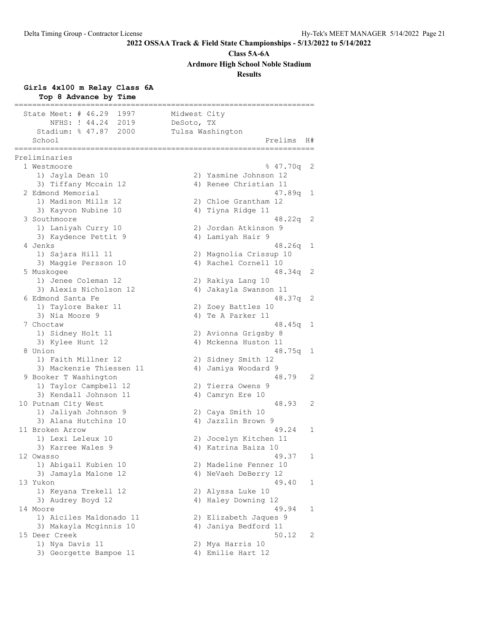**Class 5A-6A**

**Ardmore High School Noble Stadium**

### **Results**

## **Girls 4x100 m Relay Class 6A**

| Top 8 Advance by Time                     |              |                                       |    |
|-------------------------------------------|--------------|---------------------------------------|----|
| State Meet: $#$ 46.29<br>1997             | Midwest City |                                       |    |
| NFHS: ! 44.24<br>2019                     | DeSoto, TX   |                                       |    |
| Stadium: % 47.87<br>2000                  |              | Tulsa Washington                      |    |
| School<br>==============<br>===========   |              | Prelims                               | H# |
| Preliminaries                             |              |                                       |    |
| 1 Westmoore                               |              | 847.70q                               | 2  |
| 1) Jayla Dean 10                          |              | 2) Yasmine Johnson 12                 |    |
| 3) Tiffany Mccain 12                      |              | 4) Renee Christian 11                 |    |
| 2 Edmond Memorial                         |              | 47.89q                                | 1  |
| 1) Madison Mills 12                       |              | 2) Chloe Grantham 12                  |    |
| 3) Kayvon Nubine 10                       |              | 4) Tiyna Ridge 11                     |    |
| 3 Southmoore                              |              | 48.22q                                | 2  |
| 1) Laniyah Curry 10                       |              | 2) Jordan Atkinson 9                  |    |
| 3) Kaydence Pettit 9                      |              | 4) Lamiyah Hair 9                     |    |
| 4 Jenks                                   |              | 48.26q                                | 1  |
| 1) Sajara Hill 11                         |              | 2) Magnolia Crissup 10                |    |
| 3) Maggie Persson 10                      |              | 4) Rachel Cornell 10                  |    |
| 5 Muskogee                                |              | 48.34q                                | 2  |
| 1) Jenee Coleman 12                       |              | 2) Rakiya Lang 10                     |    |
| 3) Alexis Nicholson 12                    | 4)           | Jakayla Swanson 11                    |    |
| 6 Edmond Santa Fe                         |              | 48.37q                                | 2  |
| 1) Taylore Baker 11                       |              | 2) Zoey Battles 10                    |    |
| 3) Nia Moore 9<br>7 Choctaw               |              | 4) Te A Parker 11<br>48.45q           | 1  |
| 1) Sidney Holt 11                         |              | 2) Avionna Grigsby 8                  |    |
| 3) Kylee Hunt 12                          |              | 4) Mckenna Huston 11                  |    |
| 8 Union                                   |              | 48.75q                                | 1  |
| 1) Faith Millner 12                       |              | 2) Sidney Smith 12                    |    |
| 3) Mackenzie Thiessen 11                  |              | 4) Jamiya Woodard 9                   |    |
| 9 Booker T Washington                     |              | 48.79                                 | 2  |
| 1) Taylor Campbell 12                     | 2)           | Tierra Owens 9                        |    |
| 3) Kendall Johnson 11                     |              | 4) Camryn Ere 10                      |    |
| 10 Putnam City West                       |              | 48.93                                 | 2  |
| 1) Jaliyah Johnson 9                      |              | 2) Caya Smith 10                      |    |
| 3) Alana Hutchins 10                      |              | 4) Jazzlin Brown 9                    |    |
| 11 Broken Arrow                           |              | 49.24                                 | 1  |
| 1) Lexi Leleux 10                         |              | 2) Jocelyn Kitchen 11                 |    |
| 3) Karree Wales 9                         |              | 4) Katrina Baiza 10                   |    |
| 12 Owasso                                 |              | 49.37                                 | 1  |
| 1) Abigail Kubien 10                      |              | 2) Madeline Fenner 10                 |    |
| 3) Jamayla Malone 12                      |              | 4) NeVaeh DeBerry 12                  |    |
| 13 Yukon                                  |              | 49.40                                 | 1  |
| 1) Keyana Trekell 12                      |              | 2) Alyssa Luke 10                     |    |
| 3) Audrey Boyd 12                         |              | 4) Haley Downing 12                   |    |
| 14 Moore                                  |              | 49.94                                 | 1  |
| 1) Aiciles Maldonado 11                   |              | 2) Elizabeth Jaques 9                 |    |
| 3) Makayla Mcginnis 10                    |              | 4) Janiya Bedford 11                  |    |
| 15 Deer Creek                             |              | 50.12                                 | 2  |
| 1) Nya Davis 11<br>3) Georgette Bampoe 11 |              | 2) Mya Harris 10<br>4) Emilie Hart 12 |    |
|                                           |              |                                       |    |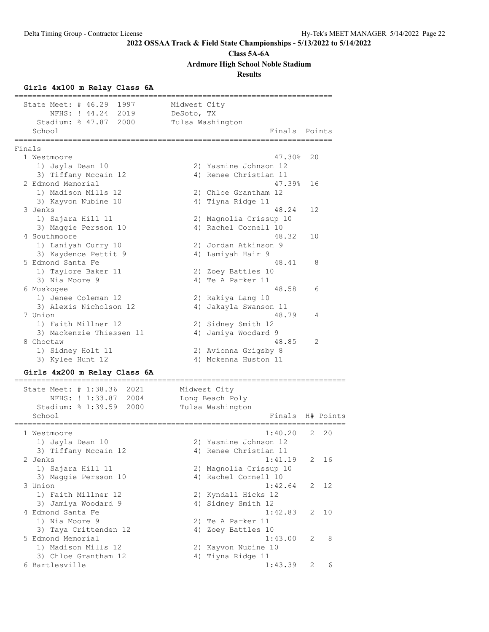**Class 5A-6A**

**Ardmore High School Noble Stadium**

**Results**

### **Girls 4x100 m Relay Class 6A**

======================================================================= State Meet: # 46.29 1997 Midwest City NFHS: ! 44.24 2019 DeSoto, TX Stadium: % 47.87 2000 Tulsa Washington School **Finals** Points **Points** ======================================================================= Finals 1 Westmoore 47.30% 20 1) Jayla Dean 10 2) Yasmine Johnson 12 3) Tiffany Mccain 12 4) Renee Christian 11 2 Edmond Memorial 47.39% 16 1) Madison Mills 12 2) Chloe Grantham 12 3) Kayvon Nubine 10 4) Tiyna Ridge 11 3 Jenks 48.24 12 1) Sajara Hill 11 2) Magnolia Crissup 10 3) Maggie Persson 10  $\hphantom{\text{2.65}$  4) Rachel Cornell 10 4 Southmoore 48.32 10 1) Laniyah Curry 10 2) Jordan Atkinson 9 3) Kaydence Pettit 9 4) Lamiyah Hair 9 5 Edmond Santa Fe 48.41 8 1) Taylore Baker 11 2) Zoey Battles 10 3) Nia Moore 9 4) Te A Parker 11 6 Muskogee 48.58 6 1) Jenee Coleman 12 2) Rakiya Lang 10 3) Alexis Nicholson 12 4) Jakayla Swanson 11 7 Union 48.79 4 1) Faith Millner 12 2) Sidney Smith 12 3) Mackenzie Thiessen 11 4) Jamiya Woodard 9 8 Choctaw 48.85 2 1) Sidney Holt 11 2) Avionna Grigsby 8 3) Kylee Hunt 12 4) Mckenna Huston 11 **Girls 4x200 m Relay Class 6A**

### ==========================================================================

 State Meet: # 1:38.36 2021 Midwest City NFHS: ! 1:33.87 2004 Long Beach Poly Stadium: % 1:39.59 2000 Tulsa Washington School **Finals** H# Points ========================================================================== 1 Westmoore 1:40.20 2 20 1) Jayla Dean 10 2) Yasmine Johnson 12 3) Tiffany Mccain 12 4) Renee Christian 11 2 Jenks 1:41.19 2 16 1) Sajara Hill 11 2) Magnolia Crissup 10 3) Maggie Persson 10  $\hphantom{\text{2.65}$  4) Rachel Cornell 10 3 Union 1:42.64 2 12 1) Faith Millner 12 2) Kyndall Hicks 12 3) Jamiya Woodard 9 4) Sidney Smith 12 4 Edmond Santa Fe 1:42.83 2 10 1) Nia Moore 9 2) Te A Parker 11 3) Taya Crittenden 12 <a>> 4) Zoey Battles 10 5 Edmond Memorial 1:43.00 2 8 1) Madison Mills 12 2) Kayvon Nubine 10 3) Chloe Grantham 12 4) Tiyna Ridge 11 6 Bartlesville 1:43.39 2 6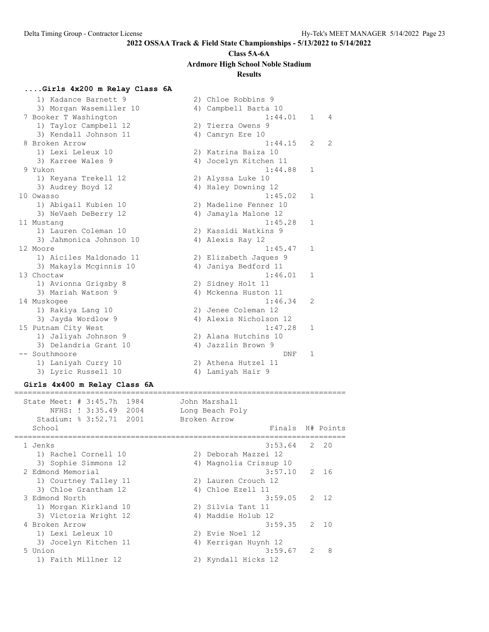#### **Class 5A-6A**

**Ardmore High School Noble Stadium**

#### **Results**

### **....Girls 4x200 m Relay Class 6A**

 1) Kadance Barnett 9 2) Chloe Robbins 9 3) Morgan Wasemiller 10  $\hskip1cm$  4) Campbell Barta 10 7 Booker T Washington 1:44.01 1 4 1) Taylor Campbell 12 2) Tierra Owens 9 3) Kendall Johnson 11  $\hskip10mm$  4) Camryn Ere 10 8 Broken Arrow 1:44.15 2 2 1) Lexi Leleux 10 2) Katrina Baiza 10 3) Karree Wales 9 4) Jocelyn Kitchen 11 9 Yukon 1:44.88 1 1) Keyana Trekell 12 2) Alyssa Luke 10 3) Audrey Boyd 12 4) Haley Downing 12 10 Owasso 1:45.02 1 1) Abigail Kubien 10 2) Madeline Fenner 10 3) NeVaeh DeBerry 12  $\hskip1cm$  4) Jamayla Malone 12 11 Mustang 1:45.28 1 1) Lauren Coleman 10 2) Kassidi Watkins 9 3) Jahmonica Johnson 10  $\hskip1cm$  4) Alexis Ray 12 12 Moore 1:45.47 1 1) Aiciles Maldonado 11 2) Elizabeth Jaques 9 3) Makayla Mcginnis 10 4) Janiya Bedford 11 13 Choctaw 1:46.01 1 1) Avionna Grigsby 8 2) Sidney Holt 11 3) Mariah Watson 9 1988 1989 1989 10 Mckenna Huston 11 14 Muskogee 1:46.34 2 1) Rakiya Lang 10 2) Jenee Coleman 12 3) Jayda Wordlow 9 4) Alexis Nicholson 12 15 Putnam City West 1:47.28 1 1) Jaliyah Johnson 9 2) Alana Hutchins 10 3) Delandria Grant 10 (4) Jazzlin Brown 9 -- Southmoore DNF 1 1) Laniyah Curry 10 2) Athena Hutzel 11 3) Lyric Russell 10 4) Lamiyah Hair 9

#### **Girls 4x400 m Relay Class 6A** ==========================================================================

 State Meet: # 3:45.7h 1984 John Marshall NFHS: ! 3:35.49 2004 Long Beach Poly Stadium: % 3:52.71 2001 Broken Arrow School **Finals H#** Points ========================================================================== 1 Jenks 3:53.64 2 20 1) Rachel Cornell 10 2) Deborah Mazzei 12 3) Sophie Simmons 12 4) Magnolia Crissup 10 2 Edmond Memorial 3:57.10 2 16 1) Courtney Talley 11 2) Lauren Crouch 12 3) Chloe Grantham 12 4) Chloe Ezell 11 3 Edmond North 3:59.05 2 12 1) Morgan Kirkland 10 2) Silvia Tant 11 3) Victoria Wright 12 (4) Maddie Holub 12 4 Broken Arrow 3:59.35 2 10 1) Lexi Leleux 10 2) Evie Noel 12 3) Jocelyn Kitchen 11 4) Kerrigan Huynh 12 5 Union 3:59.67 2 8 1) Faith Millner 12 2) Kyndall Hicks 12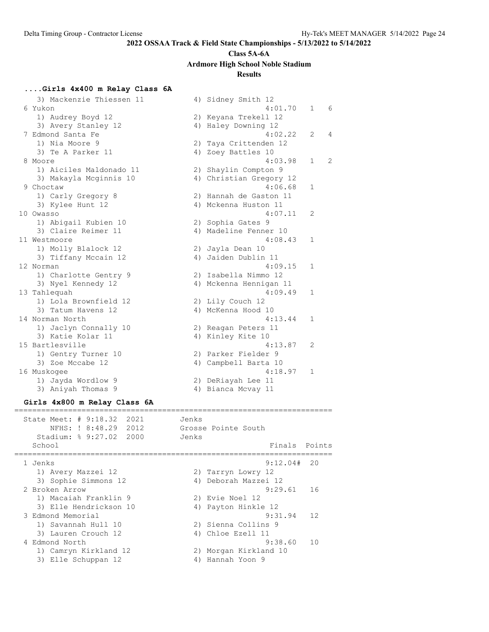## **Class 5A-6A**

**Ardmore High School Noble Stadium**

#### **Results**

#### **....Girls 4x400 m Relay Class 6A**

3) Mackenzie Thiessen 11 <a>> 4) Sidney Smith 12 6 Yukon 4:01.70 1 6 1) Audrey Boyd 12 2) Keyana Trekell 12 3) Avery Stanley 12 4) Haley Downing 12 7 Edmond Santa Fe 4:02.22 2 4 1) Nia Moore 9 2) Taya Crittenden 12 3) Te A Parker 11 4) Zoey Battles 10 9 Moore 1:02.22 2<br>
8 Moore 9 2) Taya Crittenden 12<br>
8 Moore 9 2) Taya Crittenden 12<br>
8 Moore 4:03.98 1 2 1) Aiciles Maldonado 11 2) Shaylin Compton 9 3) Makayla Mcginnis 10 4) Christian Gregory 12 9 Choctaw 4:06.68 1 1) Carly Gregory 8 2) Hannah de Gaston 11 3) Kylee Hunt 12 4) Mckenna Huston 11 10 Owasso 4:07.11 2 1) Abigail Kubien 10 2) Sophia Gates 9 3) Claire Reimer 11 4) Madeline Fenner 10 11 Westmoore 4:08.43 1 1) Molly Blalock 12 2) Jayla Dean 10 3) Tiffany Mccain 12 (4) Jaiden Dublin 11 12 Norman 4:09.15 1 1) Charlotte Gentry 9 2) Isabella Nimmo 12 3) Nyel Kennedy 12 4) Mckenna Hennigan 11 13 Tahlequah 4:09.49 1 1) Lola Brownfield 12 2) Lily Couch 12 3) Tatum Havens 12 (4) McKenna Hood 10 14 Norman North 4:13.44 1 1) Jaclyn Connally 10 2) Reagan Peters 11 3) Katie Kolar 11 1 4) Kinley Kite 10 15 Bartlesville 4:13.87 2 1) Gentry Turner 10 2) Parker Fielder 9 3) Zoe Mccabe 12 (a) 4) Campbell Barta 10 16 Muskogee 4:18.97 1 1) Jayda Wordlow 9 2) DeRiayah Lee 11 3) Aniyah Thomas 9 4) Bianca Mcvay 11 **Girls 4x800 m Relay Class 6A** ======================================================================= State Meet: # 9:18.32 2021 Jenks NFHS: ! 8:48.29 2012 Grosse Pointe South Stadium: % 9:27.02 2000 Jenks School **Finals** Points

======================================================================= 1 Jenks 9:12.04# 20 1) Avery Mazzei 12 2) Tarryn Lowry 12 3) Sophie Simmons 12 4) Deborah Mazzei 12 2 Broken Arrow 9:29.61 16 1) Macaiah Franklin 9 2) Evie Noel 12 3) Elle Hendrickson 10 4) Payton Hinkle 12 3 Edmond Memorial 9:31.94 12 1) Savannah Hull 10 2) Sienna Collins 9 3) Lauren Crouch 12 (4) Chloe Ezell 11 4 Edmond North 9:38.60 10 1) Camryn Kirkland 12 2) Morgan Kirkland 10 3) Elle Schuppan 12 (4) Hannah Yoon 9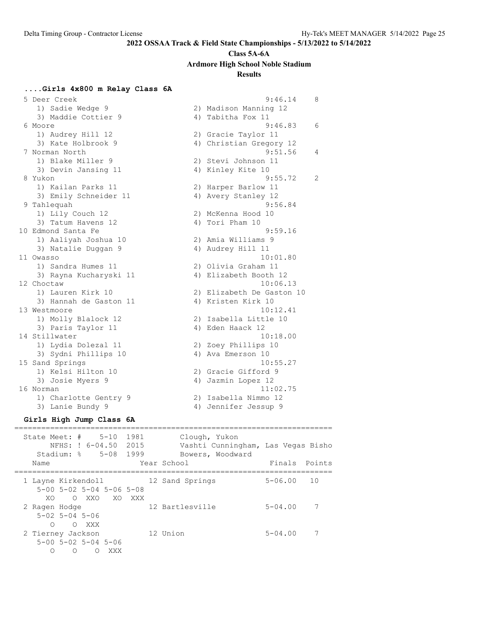#### **Class 5A-6A**

**Ardmore High School Noble Stadium**

### **Results**

#### **....Girls 4x800 m Relay Class 6A**

 5 Deer Creek 9:46.14 8 1) Sadie Wedge 9 2) Madison Manning 12 3) Maddie Cottier 9 4) Tabitha Fox 11 6 Moore 9:46.83 6 1) Audrey Hill 12 2) Gracie Taylor 11 3) Kate Holbrook 9 4) Christian Gregory 12 7 Norman North 9:51.56 4 1) Blake Miller 9 2) Stevi Johnson 11 3) Devin Jansing 11 4) Kinley Kite 10 8 Yukon 9:55.72 2 1) Kailan Parks 11 2) Harper Barlow 11 3) Emily Schneider 11 (4) Avery Stanley 12 9 Tahlequah 9:56.84 1) Lily Couch 12 2) McKenna Hood 10 3) Tatum Havens 12 (4) Tori Pham 10 10 Edmond Santa Fe 9:59.16 1) Aaliyah Joshua 10 2) Amia Williams 9 3) Natalie Duggan 9 19 10 10 4) Audrey Hill 11 11 Owasso 10:01.80 1) Sandra Humes 11 2) Olivia Graham 11 3) Rayna Kucharyski 11 4) Elizabeth Booth 12 12 Choctaw 10:06.13 1) Lauren Kirk 10 2) Elizabeth De Gaston 10 3) Hannah de Gaston 11  $\hspace{1.6cm}$  4) Kristen Kirk 10 13 Westmoore 10:12.41 1) Molly Blalock 12 2) Isabella Little 10 3) Paris Taylor 11 (4) Eden Haack 12 14 Stillwater 10:18.00 1) Lydia Dolezal 11 2) Zoey Phillips 10 3) Sydni Phillips 10 4) Ava Emerson 10 15 Sand Springs 10:55.27 1) Kelsi Hilton 10 2) Gracie Gifford 9 3) Josie Myers 9 12 12 4) Jazmin Lopez 12 16 Norman 11:02.75 1) Charlotte Gentry 9 2) Isabella Nimmo 12 3) Lanie Bundy 9 4) Jennifer Jessup 9

### **Girls High Jump Class 6A**

| State Meet: $\#$ 5-10<br>NFHS: ! 6-04.50<br>Stadium: % 5-08<br>Name                                             | 1981<br>2015<br>1999 | Clough, Yukon<br>Vashti Cunningham, Las Vegas Bisho<br>Bowers, Woodward<br>Year School | Points<br>Finals  |
|-----------------------------------------------------------------------------------------------------------------|----------------------|----------------------------------------------------------------------------------------|-------------------|
| 1 Layne Kirkendoll<br>$5 - 00$ $5 - 02$ $5 - 04$ $5 - 06$ $5 - 08$                                              |                      | 12 Sand Springs                                                                        | $5 - 06.00$<br>10 |
| XO.<br>OXXOXOXXX<br>2 Ragen Hodge<br>$5 - 02$ $5 - 04$ $5 - 06$                                                 |                      | 12 Bartlesville                                                                        | $5 - 04.00$       |
| ∩<br>XXX X<br>$\bigcirc$<br>2 Tierney Jackson<br>$5 - 00$ $5 - 02$ $5 - 04$ $5 - 06$<br>XXX<br>$\left( \right)$ |                      | 12 Union                                                                               | $5 - 04.00$       |
|                                                                                                                 |                      |                                                                                        |                   |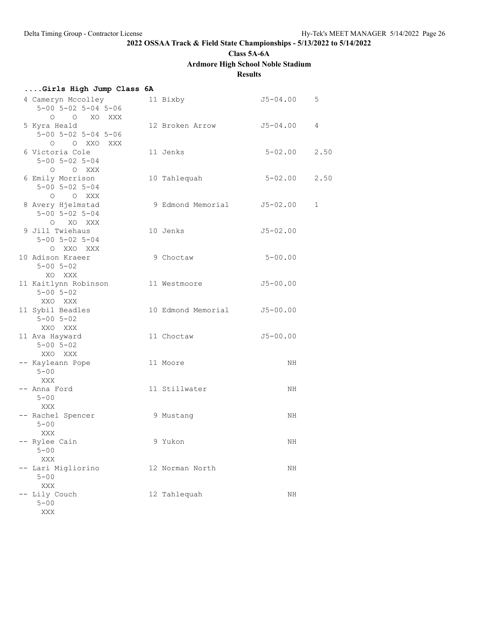**Class 5A-6A**

## **Ardmore High School Noble Stadium**

**Results**

| Girls High Jump Class 6A                                                |                    |              |      |
|-------------------------------------------------------------------------|--------------------|--------------|------|
| 4 Cameryn Mccolley<br>$5 - 00$ $5 - 02$ $5 - 04$ $5 - 06$<br>O O XO XXX | 11 Bixby           | $J5 - 04.00$ | 5    |
| 5 Kyra Heald<br>$5 - 00$ $5 - 02$ $5 - 04$ $5 - 06$<br>O XXO<br>$\circ$ | 12 Broken Arrow    | J5-04.00     | 4    |
| XXX<br>6 Victoria Cole<br>$5 - 00$ $5 - 02$ $5 - 04$<br>$O$ $O$ XXX     | 11 Jenks           | $5 - 02.00$  | 2.50 |
| 6 Emily Morrison<br>$5 - 00$ $5 - 02$ $5 - 04$<br>O O XXX               | 10 Tahlequah       | $5 - 02.00$  | 2.50 |
| 8 Avery Hjelmstad<br>$5 - 00$ $5 - 02$ $5 - 04$<br>O XO XXX             | 9 Edmond Memorial  | $J5 - 02.00$ | 1    |
| 9 Jill Twiehaus<br>$5 - 00$ $5 - 02$ $5 - 04$<br>O XXO XXX              | 10 Jenks           | $J5 - 02.00$ |      |
| 10 Adison Kraeer<br>$5 - 00$ $5 - 02$<br>XO XXX                         | 9 Choctaw          | $5 - 00.00$  |      |
| 11 Kaitlynn Robinson<br>$5 - 00$ $5 - 02$<br>XXO XXX                    | 11 Westmoore       | $J5 - 00.00$ |      |
| 11 Sybil Beadles<br>$5 - 00$ $5 - 02$<br>XXO XXX                        | 10 Edmond Memorial | $J5 - 00.00$ |      |
| 11 Ava Hayward<br>$5 - 00$ $5 - 02$<br>XXO XXX                          | 11 Choctaw         | $J5 - 00.00$ |      |
| -- Kayleann Pope<br>$5 - 00$<br>XXX                                     | 11 Moore           | NH           |      |
| -- Anna Ford<br>$5 - 00$<br>XXX                                         | 11 Stillwater      | NH           |      |
| -- Rachel Spencer<br>$5 - 00$<br>XXX                                    | 9 Mustang          | ΝH           |      |
| - Rylee Cain<br>$5 - 00$<br>XXX                                         | 9 Yukon            | ΝH           |      |
| Lari Migliorino<br>$5 - 00$<br>XXX                                      | 12 Norman North    | ΝH           |      |
| Lily Couch<br>$5 - 00$<br>XXX                                           | 12 Tahlequah       | ΝH           |      |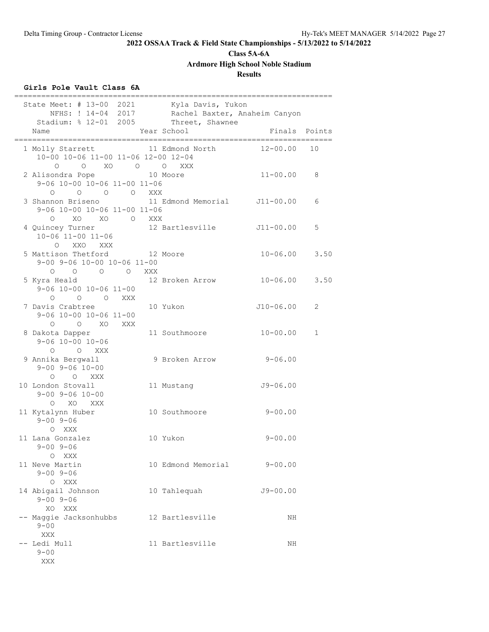**Class 5A-6A**

**Ardmore High School Noble Stadium**

**Results**

### **Girls Pole Vault Class 6A**

| State Meet: # 13-00 2021 Kyla Davis, Yukon                                                          | NFHS: ! 14-04 2017 Rachel Baxter, Anaheim Canyon<br>Stadium: % 12-01 2005 Threet, Shawnee |                   |             |
|-----------------------------------------------------------------------------------------------------|-------------------------------------------------------------------------------------------|-------------------|-------------|
| Name                                                                                                | Year School                                                                               | Finals Points     |             |
| 1 Molly Starrett 11 Edmond North<br>10-00 10-06 11-00 11-06 12-00 12-04<br>O XO O O XXX<br>$\Omega$ |                                                                                           | 12-00.00          | 10          |
| 2 Alisondra Pope<br>9-06 10-00 10-06 11-00 11-06                                                    | 10 Moore                                                                                  | $11 - 00.00$      | 8           |
| 3 Shannon Briseno<br>9-06 10-00 10-06 11-00 11-06<br>XO XO O XXX<br>$\circ$                         | 0 0 0 0 0 XXX<br>non Briseno 11 Edmond Memorial J11-00.00                                 |                   | 6           |
| 4 Quincey Turner 12 Bartlesville 511-00.00<br>10-06 11-00 11-06<br>O XXO XXX                        |                                                                                           |                   | 5           |
| 5 Mattison Thetford 12 Moore<br>9-00 9-06 10-00 10-06 11-00<br>0 0 0 0 XXX                          |                                                                                           | $10 - 06.00$      | 3.50        |
| 5 Kyra Heald<br>9-06 10-00 10-06 11-00<br>O O O XXX                                                 | 12 Broken Arrow                                                                           | $10 - 06.00$ 3.50 |             |
| 7 Davis Crabtree<br>9-06 10-00 10-06 11-00<br>$O$ $O$ $XO$<br>XXX                                   | 10 Yukon                                                                                  | J10-06.00         | 2           |
| 8 Dakota Dapper<br>$9 - 06$ 10-00 10-06<br>O O XXX                                                  | 11 Southmoore                                                                             | $10 - 00.00$      | $\mathbf 1$ |
| 9 Annika Bergwall<br>$9 - 00$ $9 - 06$ $10 - 00$<br>O O XXX                                         | 9 Broken Arrow                                                                            | $9 - 06.00$       |             |
| 10 London Stovall<br>$9 - 00$ $9 - 06$ $10 - 00$<br>O XO XXX                                        | 11 Mustang                                                                                | $J9 - 06.00$      |             |
| 11 Kytalynn Huber<br>$9 - 00$ $9 - 06$<br>O XXX                                                     | 10 Southmoore                                                                             | $9 - 00.00$       |             |
| 11 Lana Gonzalez<br>$9 - 00$ $9 - 06$<br>O XXX                                                      | 10 Yukon                                                                                  | $9 - 00.00$       |             |
| 11 Neve Martin<br>$9 - 00$ $9 - 06$<br>O XXX                                                        | 10 Edmond Memorial                                                                        | $9 - 00.00$       |             |
| 14 Abigail Johnson<br>$9 - 00$ $9 - 06$<br>XO XXX                                                   | 10 Tahlequah                                                                              | $J9 - 00.00$      |             |
| -- Maggie Jacksonhubbs<br>$9 - 00$<br>XXX                                                           | 12 Bartlesville                                                                           | NH                |             |
| -- Ledi Mull<br>$9 - 00$<br>XXX                                                                     | 11 Bartlesville                                                                           | NH                |             |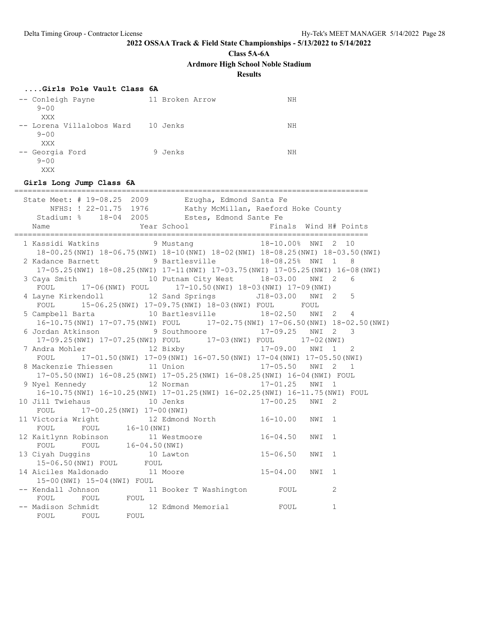**Class 5A-6A**

**Ardmore High School Noble Stadium**

**Results**

#### **....Girls Pole Vault Class 6A**

| -- Conleigh Payne<br>$9 - 00$         | 11 Broken Arrow | NΗ |
|---------------------------------------|-----------------|----|
| XXX                                   |                 |    |
| -- Lorena Villalobos Ward<br>$9 - 00$ | 10 Jenks        | NΗ |
| XXX                                   |                 |    |
| -- Georgia Ford<br>$9 - 00$<br>XXX    | 9 Jenks         | NΗ |

#### **Girls Long Jump Class 6A**

=============================================================================== State Meet: # 19-08.25 2009 Ezugha, Edmond Santa Fe NFHS: ! 22-01.75 1976 Kathy McMillan, Raeford Hoke County Stadium: % 18-04 2005 Estes, Edmond Sante Fe Name The Year School The Finals Wind H# Points =============================================================================== 1 Kassidi Watkins 9 Mustang 18-10.00% NWI 2 10 18-00.25(NWI) 18-06.75(NWI) 18-10(NWI) 18-02(NWI) 18-08.25(NWI) 18-03.50(NWI) 2 Kadance Barnett 9 Bartlesville 18-08.25% NWI 1 8 17-05.25(NWI) 18-08.25(NWI) 17-11(NWI) 17-03.75(NWI) 17-05.25(NWI) 16-08(NWI) 3 Caya Smith 10 Putnam City West 18-03.00 NWI 2 6 FOUL 17-06(NWI) FOUL 17-10.50(NWI) 18-03(NWI) 17-09(NWI) 4 Layne Kirkendoll 12 Sand Springs J18-03.00 NWI 2 5 FOUL 15-06.25(NWI) 17-09.75(NWI) 18-03(NWI) FOUL FOUL 5 Campbell Barta 10 Bartlesville 18-02.50 NWI 2 4 16-10.75(NWI) 17-07.75(NWI) FOUL 17-02.75(NWI) 17-06.50(NWI) 18-02.50(NWI) 6 Jordan Atkinson 9 Southmoore 17-09.25 NWI 2 3 17-09.25(NWI) 17-07.25(NWI) FOUL 17-03(NWI) FOUL 17-02(NWI) 7 Andra Mohler 12 Bixby 17-09.00 NWI 1 2 FOUL 17-01.50(NWI) 17-09(NWI) 16-07.50(NWI) 17-04(NWI) 17-05.50(NWI) 8 Mackenzie Thiessen 11 Union 17-05.50 NWI 2 1 17-05.50(NWI) 16-08.25(NWI) 17-05.25(NWI) 16-08.25(NWI) 16-04(NWI) FOUL 9 Nyel Kennedy 12 Norman 17-01.25 NWI 1 16-10.75(NWI) 16-10.25(NWI) 17-01.25(NWI) 16-02.25(NWI) 16-11.75(NWI) FOUL 10 Jill Twiehaus 10 Jenks 17-00.25 NWI 2 FOUL 17-00.25(NWI) 17-00(NWI) 11 Victoria Wright 12 Edmond North 16-10.00 NWI 1 FOUL FOUL 16-10 (NWI) 12 Kaitlynn Robinson 11 Westmoore 16-04.50 NWI 1 FOUL FOUL 16-04.50(NWI) 13 Ciyah Duggins 10 Lawton 15-06.50 NWI 1 15-06.50(NWI) FOUL FOUL 14 Aiciles Maldonado 11 Moore 15-04.00 NWI 1 15-00(NWI) 15-04(NWI) FOUL -- Kendall Johnson 11 Booker T Washington FOUL 2 FOUL FOUL FOUL -- Madison Schmidt 12 Edmond Memorial FOUL 1 FOUL FOUL FOUL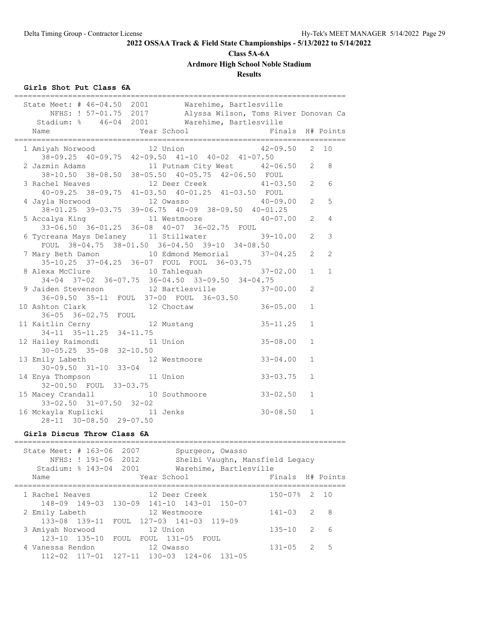### **Class 5A-6A**

**Ardmore High School Noble Stadium**

### **Results**

### **Girls Shot Put Class 6A**

| State Meet: # 46-04.50 2001 Warehime, Bartlesville<br>NFHS: ! 57-01.75 2017 Alyssa Wilson, Toms River Donovan Ca |                |                |                  |
|------------------------------------------------------------------------------------------------------------------|----------------|----------------|------------------|
| Warehime, Bartlesville<br>Stadium: % 46-04 2001                                                                  |                |                |                  |
| Year School<br>Name                                                                                              |                |                | Finals H# Points |
| 1 Amiyah Norwood<br>12 Union                                                                                     | $42 - 09.50$   | 2              | 10               |
| $38-09.25$ 40-09.75 42-09.50 41-10 40-02 41-07.50                                                                |                |                |                  |
| 2 Jazmin Adams<br>11 Putnam City West 42-06.50                                                                   |                | 2              | 8                |
| 38-10.50 38-08.50 38-05.50 40-05.75 42-06.50 FOUL                                                                |                |                |                  |
| 3 Rachel Neaves<br>12 Deer Creek                                                                                 | $41 - 03.50$ 2 |                | 6                |
| 40-09.25 38-09.75 41-03.50 40-01.25 41-03.50 FOUL                                                                |                |                |                  |
| 4 Jayla Norwood<br>12 Owasso<br>38-01.25 39-03.75 39-06.75 40-09 38-09.50 40-01.25                               | $40 - 09.00$   | 2              | 5                |
| 5 Accalya King<br>11 Westmoore                                                                                   | $40 - 07.00$   | 2              | 4                |
| 33-06.50 36-01.25 36-08 40-07 36-02.75 FOUL                                                                      |                |                |                  |
| 6 Tycreana Mays Delaney     11 Stillwater                                                                        | 39-10.00       | 2              | 3                |
| FOUL 38-04.75 38-01.50 36-04.50 39-10 34-08.50                                                                   |                |                |                  |
| 7 Mary Beth Damon<br>10 Edmond Memorial                                                                          | $37 - 04.25$   | 2              | $\overline{2}$   |
| 35-10.25 37-04.25 36-07 FOUL FOUL 36-03.75                                                                       |                |                |                  |
| 8 Alexa McClure<br>10 Tahlequah                                                                                  | $37 - 02.00$   | $\mathbf{1}$   | $\mathbf{1}$     |
| 34-04 37-02 36-07.75 36-04.50 33-09.50 34-04.75                                                                  |                |                |                  |
| 12 Bartlesville<br>9 Jaiden Stevenson                                                                            | $37 - 00.00$   | $\overline{2}$ |                  |
| 36-09.50 35-11 FOUL 37-00 FOUL 36-03.50                                                                          |                |                |                  |
| 10 Ashton Clark<br>12 Choctaw                                                                                    | $36 - 05.00$   | $\mathbf{1}$   |                  |
| 36-05 36-02.75 FOUL                                                                                              |                |                |                  |
| 11 Kaitlin Cerny<br>12 Mustang<br>itlin Cerny<br>34-11 35-11.25                                                  | $35 - 11.25$   | $\mathbf{1}$   |                  |
| $34 - 11.75$<br>12 Hailey Raimondi<br>11 Union                                                                   | $35 - 08.00$   | $\mathbf{1}$   |                  |
| $30 - 05.25$ $35 - 08$ $32 - 10.50$                                                                              |                |                |                  |
| 13 Emily Labeth<br>12 Westmoore                                                                                  | $33 - 04.00$   | $\mathbf 1$    |                  |
| $30 - 09.50$ $31 - 10$<br>$33 - 04$                                                                              |                |                |                  |
| 14 Enya Thompson<br>11 Union                                                                                     | $33 - 03.75$   | $\mathbf{1}$   |                  |
| 32-00.50 FOUL 33-03.75                                                                                           |                |                |                  |
| 15 Macey Crandall<br>10 Southmoore                                                                               | $33 - 02.50$   | $\mathbf{1}$   |                  |
| 33-02.50 31-07.50 32-02                                                                                          |                |                |                  |
| 16 Mckayla Kuplicki 11 Jenks                                                                                     | $30 - 08.50$   | $\mathbf{1}$   |                  |
| 28-11 30-08.50 29-07.50                                                                                          |                |                |                  |
| Girls Discus Throw Class 6A                                                                                      |                |                |                  |
| ====================<br>______<br>State Meet: # 163-06 2007<br>Spurgeon, Owasso                                  |                |                |                  |
| NFHS: ! 191-06 2012<br>Shelbi Vaughn, Mansfield Legacy                                                           |                |                |                  |
| Stadium: % 143-04 2001 Warehime, Bartlesville                                                                    |                |                |                  |
| Year School<br>Name                                                                                              | Finals         |                | H# Points        |
|                                                                                                                  |                |                |                  |
| 12 Deer Creek<br>1 Rachel Neaves                                                                                 | $150 - 07%$    | 2              | 10               |
| 148-09 149-03 130-09 141-10 143-01<br>$150 - 07$                                                                 |                |                |                  |

2 Emily Labeth 12 Westmoore 141-03 2 8

3 Amiyah Norwood 12 Union 135-10 2 6

4 Vanessa Rendon 12 Owasso 131-05 2 5

133-08 139-11 FOUL 127-03 141-03 119-09

111<sub>1</sub> in Norwool<br>123-10 135-10 FOUL FOUL 131-05 FOUL<br>anessa Rendon 12 Owasso

112-02 117-01 127-11 130-03 124-06 131-05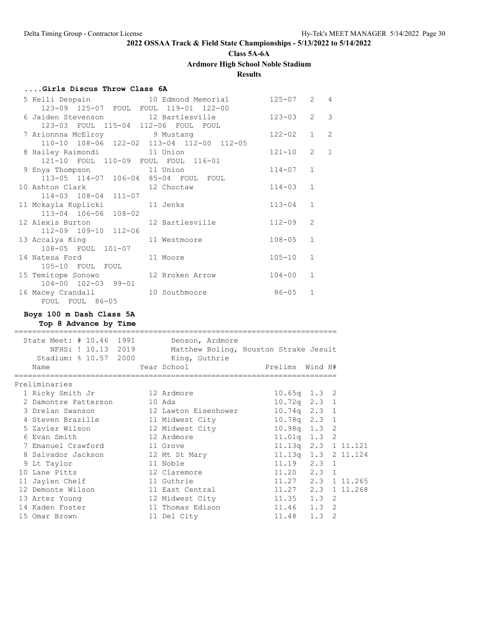**Class 5A-6A**

**Ardmore High School Noble Stadium**

**Results**

### **....Girls Discus Throw Class 6A**

| 5 Kelli Despain and 10 Edmond Memorial             |                 | 125-07     | 2              | $\overline{4}$ |
|----------------------------------------------------|-----------------|------------|----------------|----------------|
| 123-09 125-07 FOUL FOUL 119-01 122-00              |                 |            |                |                |
| 6 Jaiden Stevenson 12 Bartlesville                 |                 | $123 - 03$ | 2              | $\mathcal{E}$  |
| 123-03 FOUL 115-04 112-06 FOUL FOUL                |                 |            |                |                |
| 7 Arionnna McElroy 19 Mustang                      |                 | $122 - 02$ | $\mathbf{1}$   | $\overline{c}$ |
| 110-10 108-06 122-02 113-04 112-00 112-05          |                 |            |                |                |
| 8 Hailey Raimondi 11 Union                         |                 | $121 - 10$ | $\overline{2}$ | $\mathbf{1}$   |
| 121-10 FOUL 110-09 FOUL FOUL 116-01                |                 |            |                |                |
| 9 Enya Thompson 11 Union                           |                 | $114 - 07$ | $\mathbf{1}$   |                |
| 113-05 114-07 106-04 85-04 FOUL FOUL               |                 |            | $\mathbf{1}$   |                |
| 10 Ashton Clark 12 Choctaw<br>114-03 108-04 111-07 |                 | $114 - 03$ |                |                |
| 11 Mckayla Kuplicki               11 Jenks         |                 | $113 - 04$ | $\mathbf{1}$   |                |
| 113-04 106-06 108-02                               |                 |            |                |                |
| 12 Alexis Burton                                   | 12 Bartlesville | $112 - 09$ | $\overline{2}$ |                |
| 112-09 109-10 112-06                               |                 |            |                |                |
| 13 Accalya King                                    | 11 Westmoore    | $108 - 05$ | $\mathbf{1}$   |                |
| 108-05 FOUL 101-07                                 |                 |            |                |                |
| 14 Natesa Ford                                     | 11 Moore        | $105 - 10$ | $\mathbf{1}$   |                |
| 105-10 FOUL FOUL                                   |                 |            |                |                |
| 15 Temitope Sonowo 12 Broken Arrow                 |                 | $104 - 00$ | $\mathbf{1}$   |                |
| 104-00 102-03 99-01                                |                 |            |                |                |
| 16 Macey Crandall                                  | 10 Southmoore   | $86 - 05$  | $\mathbf{1}$   |                |
| FOUL FOUL 86-05                                    |                 |            |                |                |

### **Boys 100 m Dash Class 5A**

**Top 8 Advance by Time**

| State Meet: # 10.46 1991<br>NFHS: ! 10.13 2019<br>Stadium: % 10.57 2000 King, Guthrie | Denson, Ardmore<br>Matthew Boling, Houston Strake Jesuit |                            |                     |
|---------------------------------------------------------------------------------------|----------------------------------------------------------|----------------------------|---------------------|
| Name                                                                                  |                                                          |                            |                     |
| =====================<br>Preliminaries                                                |                                                          |                            |                     |
| 1 Ricky Smith Jr 12 Ardmore                                                           |                                                          |                            | $10.65q$ 1.3 2      |
| 2 Damontre Patterson                                                                  | 10 Ada                                                   |                            | $10.72q$ 2.3 1      |
| 3 Drelan Swanson                                                                      | 12 Lawton Eisenhower                                     |                            | $10.74q$ 2.3 1      |
| 4 Steven Brazille                                                                     | 11 Midwest City                                          |                            | $10.78q$ 2.3 1      |
| 5 Zavier Wilson                                                                       | 12 Midwest City                                          |                            | $10.98q$ 1.3 2      |
| 6 Evan Smith                                                                          | 12 Ardmore                                               |                            | 11.01q 1.3 2        |
| 7 Emanuel Crawford                                                                    | 11 Grove                                                 |                            | 11.13q 2.3 1 11.121 |
| 8 Salvador Jackson                                                                    | 12 Mt St Mary                                            |                            | 11.13q 1.3 2 11.124 |
| 9 Lt Taylor                                                                           | 11 Noble                                                 | 11.19 2.3 1                |                     |
| 10 Lane Pitts                                                                         | 12 Claremore                                             |                            | $11.20$ $2.3$ 1     |
| 11 Jaylen Chelf                                                                       | 11 Guthrie                                               |                            | 11.27 2.3 1 11.265  |
| 12 Demonte Wilson                                                                     | 11 East Central                                          | $11.27$ $2.3$ $1$ $11.268$ |                     |
| 13 Artez Young                                                                        | 12 Midwest City                                          | $11.35$ $1.3$ 2            |                     |
| 14 Kaden Foster                                                                       | 11 Thomas Edison                                         | $11.46$ $1.3$ 2            |                     |
| 15 Omar Brown                                                                         | 11 Del City                                              | $11.48$ 1.3                | 2                   |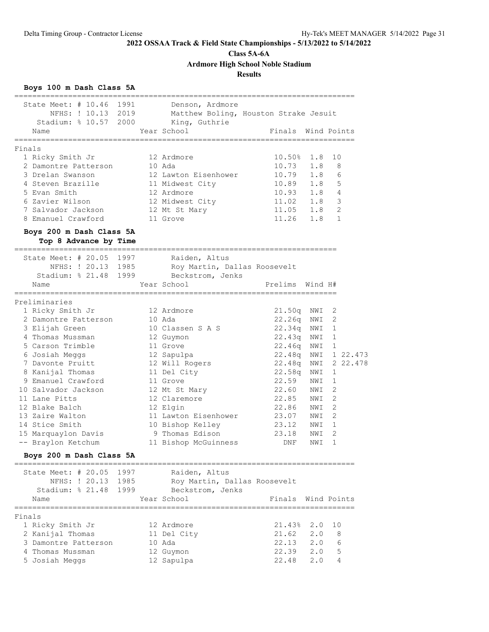**Class 5A-6A**

**Ardmore High School Noble Stadium**

### **Results**

### **Boys 100 m Dash Class 5A**

| State Meet: # 10.46 1991                                       |      |        | Denson, Ardmore<br>NFHS: ! 10.13 2019 Matthew Boling, Houston Strake Jesuit |                                                        |     |                |
|----------------------------------------------------------------|------|--------|-----------------------------------------------------------------------------|--------------------------------------------------------|-----|----------------|
| Stadium: % 10.57 2000 King, Guthrie<br>Name<br>=============== |      |        | Year School<br>================                                             | Finals Wind Points<br>________________________________ |     |                |
| Finals                                                         |      |        |                                                                             |                                                        |     |                |
| 1 Ricky Smith Jr                                               |      |        | 12 Ardmore                                                                  | $10.50\%$ 1.8                                          |     | 10             |
| 2 Damontre Patterson                                           |      | 10 Ada |                                                                             | $10.73$ $1.8$                                          |     | 8              |
| 3 Drelan Swanson                                               |      |        | 12 Lawton Eisenhower                                                        | 10.79 1.8                                              |     | 6              |
| 4 Steven Brazille                                              |      |        | 11 Midwest City                                                             | 10.89 1.8                                              |     | 5              |
| 5 Evan Smith                                                   |      |        | 12 Ardmore                                                                  | $10.93$ $1.8$                                          |     | $\overline{4}$ |
| 6 Zavier Wilson                                                |      |        | 12 Midwest City                                                             | $11.02$ 1.8                                            |     | 3              |
| 7 Salvador Jackson                                             |      |        | 12 Mt St Mary                                                               | $11.05$ $1.8$                                          |     | 2              |
| 8 Emanuel Crawford 11 Grove                                    |      |        |                                                                             | $11.26$ 1.8                                            |     | 1              |
| Boys 200 m Dash Class 5A                                       |      |        |                                                                             |                                                        |     |                |
| Top 8 Advance by Time                                          |      |        |                                                                             |                                                        |     |                |
| State Meet: # 20.05 1997                                       |      |        | Raiden, Altus                                                               |                                                        |     |                |
|                                                                |      |        | NFHS: ! 20.13 1985 Roy Martin, Dallas Roosevelt                             |                                                        |     |                |
|                                                                |      |        | Stadium: % 21.48 1999 Beckstrom, Jenks                                      |                                                        |     |                |
| Name                                                           |      |        | Year School                                                                 | Prelims Wind H#                                        |     |                |
| ==================                                             |      |        |                                                                             |                                                        |     |                |
| Preliminaries<br>1 Ricky Smith Jr                              |      |        | 12 Ardmore                                                                  | 21.50q NWI                                             |     | 2              |
| 2 Damontre Patterson                                           |      | 10 Ada |                                                                             | 22.26q NWI                                             |     | 2              |
| 3 Elijah Green                                                 |      |        | 10 Classen S A S                                                            | 22.34q NWI                                             |     | 1              |
| 4 Thomas Mussman                                               |      |        | 12 Guymon                                                                   | 22.43q NWI                                             |     | 1              |
| 5 Carson Trimble                                               |      |        | 11 Grove                                                                    | 22.46q NWI                                             |     | 1              |
| 6 Josiah Meggs                                                 |      |        | 12 Sapulpa                                                                  | 22.48q NWI                                             |     | 1 22.473       |
| 7 Davonte Pruitt                                               |      |        | 12 Will Rogers                                                              | 22.48q NWI                                             |     | 2 22.478       |
| 8 Kanijal Thomas                                               |      |        | 11 Del City                                                                 | 22.58q NWI                                             |     | 1              |
| 9 Emanuel Crawford                                             |      |        | 11 Grove                                                                    | 22.59                                                  | NWI | 1              |
| 10 Salvador Jackson                                            |      |        | 12 Mt St Mary                                                               | 22.60 NWI                                              |     | 2              |
| 11 Lane Pitts                                                  |      |        | 12 Claremore                                                                | 22.85 NWI                                              |     | 2              |
| 12 Blake Balch                                                 |      |        | 12 Elgin                                                                    | 22.86 NWI                                              |     | 2              |
| 13 Zaire Walton                                                |      |        | 11 Lawton Eisenhower                                                        | 23.07 NWI                                              |     | 2              |
| 14 Stice Smith                                                 |      |        | 10 Bishop Kelley                                                            | 23.12                                                  | NWI | 1              |
| 15 Marquaylon Davis                                            |      |        | 9 Thomas Edison                                                             | 23.18                                                  | NWI | $\overline{2}$ |
| -- Braylon Ketchum                                             |      |        | 11 Bishop McGuinness                                                        | DNF                                                    | NWI | 1              |
| Boys 200 m Dash Class 5A                                       |      |        |                                                                             |                                                        |     |                |
| State Meet: $\#$ 20.05                                         | 1997 |        | Raiden, Altus                                                               |                                                        |     |                |
| NFHS: ! 20.13                                                  | 1985 |        | Roy Martin, Dallas Roosevelt                                                |                                                        |     |                |
| Stadium: % 21.48                                               | 1999 |        | Beckstrom, Jenks                                                            |                                                        |     |                |
| Name<br>-------------                                          |      |        | Year School                                                                 | Finals                                                 |     | Wind Points    |
| Finals                                                         |      |        |                                                                             |                                                        |     |                |
| 1 Ricky Smith Jr                                               |      |        | 12 Ardmore                                                                  | 21.43%                                                 | 2.0 | 10             |
| 2 Kanijal Thomas                                               |      |        | 11 Del City                                                                 | 21.62                                                  | 2.0 | 8              |
| 3 Damontre Patterson                                           |      |        | 10 Ada                                                                      | 22.13                                                  | 2.0 | 6              |
| 4 Thomas Mussman                                               |      |        | 12 Guymon                                                                   | 22.39                                                  | 2.0 | 5              |
| 5 Josiah Meggs                                                 |      |        | 12 Sapulpa                                                                  | 22.48                                                  | 2.0 | 4              |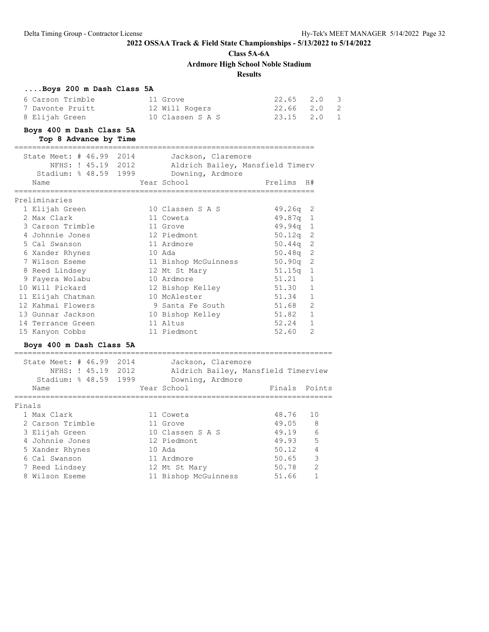**Class 5A-6A**

**Ardmore High School Noble Stadium**

### **Results**

| Boys 200 m Dash Class 5A                           |                                     |               |                         |
|----------------------------------------------------|-------------------------------------|---------------|-------------------------|
| 6 Carson Trimble                                   | 11 Grove                            | 22.65         | 2.0<br>3                |
| 7 Davonte Pruitt                                   | 12 Will Rogers                      | 22.66         | 2.0<br>2                |
| 8 Elijah Green                                     | 10 Classen S A S                    | 23.15         | $\mathbf{1}$<br>2.0     |
| Boys 400 m Dash Class 5A                           |                                     |               |                         |
| Top 8 Advance by Time                              |                                     |               |                         |
| State Meet: # 46.99<br>2014                        | Jackson, Claremore                  |               |                         |
| NFHS: ! 45.19 2012                                 | Aldrich Bailey, Mansfield Timerv    |               |                         |
| Stadium: % 48.59 1999 Downing, Ardmore             |                                     |               |                         |
| Name                                               | Year School                         | Prelims H#    |                         |
| Preliminaries                                      |                                     |               |                         |
| 1 Elijah Green                                     | 10 Classen S A S                    | 49.26q        | 2                       |
| 2 Max Clark                                        | 11 Coweta                           | 49.87q        | 1                       |
| 3 Carson Trimble                                   | 11 Grove                            | 49.94q        | 1                       |
| 4 Johnnie Jones                                    | 12 Piedmont                         | 50.12q        | 2                       |
| 5 Cal Swanson                                      | 11 Ardmore                          | 50.44q        | 2                       |
| 6 Xander Rhynes                                    | 10 Ada                              | 50.48q        | 2                       |
| 7 Wilson Eseme                                     | 11 Bishop McGuinness                | 50.90q        | 2                       |
| 8 Reed Lindsey                                     | 12 Mt St Mary                       | 51.15q        | 1                       |
| 9 Fayera Wolabu                                    | 10 Ardmore                          | 51.21         | $\mathbf{1}$            |
| 10 Will Pickard                                    | 12 Bishop Kelley                    | 51.30         | $\mathbf{1}$            |
| 11 Elijah Chatman                                  | 10 McAlester                        | 51.34         | 1                       |
| 12 Kahmai Flowers                                  | 9 Santa Fe South                    | 51.68         | 2                       |
| 13 Gunnar Jackson                                  | 10 Bishop Kelley                    | 51.82         | $\mathbf{1}$            |
| 14 Terrance Green                                  | 11 Altus                            | 52.24         | $\mathbf{1}$            |
| 15 Kanyon Cobbs                                    | 11 Piedmont                         | 52.60         | 2                       |
| Boys 400 m Dash Class 5A                           |                                     |               |                         |
| ----------------------<br>State Meet: # 46.99 2014 | Jackson, Claremore                  |               |                         |
| NFHS: ! 45.19 2012                                 | Aldrich Bailey, Mansfield Timerview |               |                         |
| Stadium: % 48.59 1999                              | Downing, Ardmore                    |               |                         |
| Name                                               | Year School                         | Finals Points |                         |
| Finals                                             |                                     |               |                         |
| 1 Max Clark                                        | 11 Coweta                           | 48.76         | 10                      |
| 2 Carson Trimble                                   | 11 Grove                            | 49.05         | 8                       |
| 3 Elijah Green                                     | 10 Classen S A S                    | 49.19         | - 6                     |
| 4 Johnnie Jones                                    | 12 Piedmont                         | 49.93         | - 5                     |
| 5 Xander Rhynes                                    | 10 Ada                              | 50.12         | $\overline{4}$          |
| 6 Cal Swanson                                      | 11 Ardmore                          | 50.65         | $\overline{\mathbf{3}}$ |
| 7 Reed Lindsey                                     | 12 Mt St Mary                       | 50.78         | 2                       |
| 8 Wilson Eseme                                     | 11 Bishop McGuinness                | 51.66         | 1                       |
|                                                    |                                     |               |                         |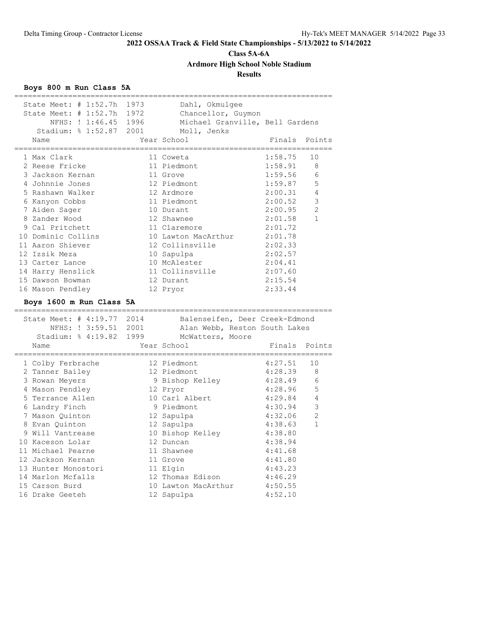**Class 5A-6A**

**Ardmore High School Noble Stadium**

**Results**

### **Boys 800 m Run Class 5A**

| State Meet: # 1:52.7h             | 1973 | Dahl, Okmulgee                    |                    |                |
|-----------------------------------|------|-----------------------------------|--------------------|----------------|
| State Meet: # 1:52.7h 1972        |      | Chancellor, Guymon                |                    |                |
| NFHS: ! 1:46.45                   | 1996 | Michael Granville, Bell Gardens   |                    |                |
| Stadium: % 1:52.87                | 2001 | Moll, Jenks                       |                    |                |
| Name                              |      | Year School                       | Finals             | Points         |
| _________                         |      |                                   |                    |                |
| 1 Max Clark                       |      | 11 Coweta                         | 1:58.75            | 10             |
| 2 Reese Fricke                    |      | 11 Piedmont                       | 1:58.91            | 8              |
| 3 Jackson Kernan                  |      | 11 Grove                          | 1:59.56            | 6              |
| 4 Johnnie Jones                   |      | 12 Piedmont                       | 1:59.87            | 5              |
| 5 Rashawn Walker                  |      | 12 Ardmore                        | 2:00.31            | $\overline{4}$ |
| 6 Kanyon Cobbs                    |      | 11 Piedmont                       | 2:00.52            | 3              |
| 7 Aiden Sager                     |      | 10 Durant                         | 2:00.95            | $\mathfrak{D}$ |
| 8 Zander Wood                     |      | 12 Shawnee                        | 2:01.58            | $\mathbf{1}$   |
| 9 Cal Pritchett                   |      | 11 Claremore                      | 2:01.72            |                |
| 10 Dominic Collins                |      | 10 Lawton MacArthur               | 2:01.78            |                |
|                                   |      |                                   |                    |                |
| 11 Aaron Shiever                  |      | 12 Collinsville                   | 2:02.33            |                |
| 12 Izsik Meza                     |      | 10 Sapulpa                        | 2:02.57            |                |
| 13 Carter Lance                   |      | 10 McAlester                      | 2:04.41            |                |
| 14 Harry Henslick                 |      | 11 Collinsville                   | 2:07.60            |                |
| 15 Dawson Bowman                  |      | 12 Durant                         | 2:15.54            |                |
| 16 Mason Pendley                  |      | 12 Pryor                          | 2:33.44            |                |
|                                   |      |                                   |                    |                |
| Boys 1600 m Run Class 5A          |      |                                   |                    |                |
| ------------------------          |      | ___________________________       |                    |                |
| State Meet: # 4:19.77             | 2014 | Balenseifen, Deer Creek-Edmond    |                    |                |
| NFHS: ! 3:59.51 2001              |      | Alan Webb, Reston South Lakes     |                    |                |
| Stadium: % 4:19.82 1999           |      | McWatters, Moore                  |                    |                |
| Name                              |      | Year School                       | Finals             | Points         |
|                                   |      |                                   |                    |                |
| 1 Colby Ferbrache                 |      | 12 Piedmont                       | 4:27.51            | 10             |
| 2 Tanner Bailey                   |      | 12 Piedmont                       | 4:28.39            | 8              |
| 3 Rowan Meyers                    |      | 9 Bishop Kelley                   | 4:28.49            | 6              |
| 4 Mason Pendley                   |      | 12 Pryor                          | 4:28.96            | 5              |
| 5 Terrance Allen                  |      | 10 Carl Albert                    | 4:29.84            | $\overline{4}$ |
| 6 Landry Finch                    |      | 9 Piedmont                        | 4:30.94            | 3              |
| 7 Mason Ouinton                   |      |                                   | 4:32.06            | $\overline{2}$ |
| 8 Evan Ouinton                    |      | 12 Sapulpa                        | 4:38.63            | $\mathbf{1}$   |
|                                   |      | 12 Sapulpa                        |                    |                |
| 9 Will Vantrease                  |      | 10 Bishop Kelley                  | 4:38.80            |                |
| 10 Kaceson Lolar                  |      | 12 Duncan                         | 4:38.94            |                |
| 11 Michael Pearne                 |      | 11 Shawnee                        | 4:41.68            |                |
| 12 Jackson Kernan                 |      | 11 Grove                          | 4:41.80            |                |
| 13 Hunter Monostori               |      | 11 Elgin                          | 4:43.23            |                |
| 14 Marlon Mcfalls                 |      | 12 Thomas Edison                  | 4:46.29            |                |
| 15 Carson Burd<br>16 Drake Geeteh |      | 10 Lawton MacArthur<br>12 Sapulpa | 4:50.55<br>4:52.10 |                |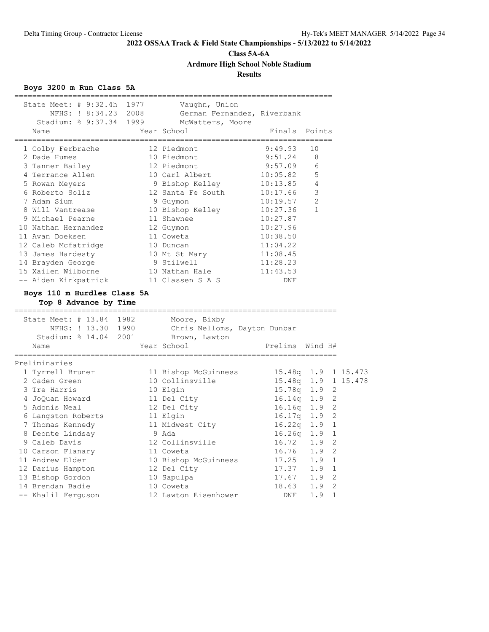**Class 5A-6A**

**Ardmore High School Noble Stadium**

### **Results**

### **Boys 3200 m Run Class 5A**

| :==================                                                                                                                      |                                                 |                          |                |                |
|------------------------------------------------------------------------------------------------------------------------------------------|-------------------------------------------------|--------------------------|----------------|----------------|
| State Meet: # 9:32.4h 1977 Vaughn, Union<br>NFHS: ! 8:34.23 2008 German Fernandez, Riverbank<br>Stadium: % 9:37.34 1999 McWatters, Moore |                                                 |                          |                |                |
| Name                                                                                                                                     | Year School                                     | Finals Points            |                |                |
| 1 Colby Ferbrache                                                                                                                        | 12 Piedmont                                     | 9:49.93                  | 10             |                |
| 2 Dade Humes                                                                                                                             | 10 Piedmont                                     | $9:51.24$ 8              |                |                |
| 3 Tanner Bailey                                                                                                                          | 12 Piedmont                                     | 9:57.09                  | 6              |                |
| .<br>4 Terrance Allen                                                                                                                    |                                                 |                          | 5              |                |
| 5 Rowan Meyers                                                                                                                           | 10 Carl Albert<br>9 Bishop Kelley               | $10:05.82$<br>$10:13.85$ | 4              |                |
| 6 Roberto Soliz                                                                                                                          | 12 Santa Fe South                               | 10:17.66                 | 3              |                |
| 7 Adam Sium                                                                                                                              | 9 Guymon                                        | 10:19.57                 | $\overline{2}$ |                |
| 8 Will Vantrease                                                                                                                         | 10 Bishop Kelley                                | 10:27.36                 | $\mathbf{1}$   |                |
| 9 Michael Pearne                                                                                                                         | 11 Shawnee                                      | 10:27.87                 |                |                |
| 10 Nathan Hernandez                                                                                                                      | 12 Guymon                                       | 10:27.96                 |                |                |
| 11 Avan Doeksen                                                                                                                          | 11 Coweta                                       | 10:38.50                 |                |                |
| 12 Caleb Mcfatridge                                                                                                                      |                                                 | 11:04.22                 |                |                |
| 13 James Hardesty                                                                                                                        | 10 Duncan<br>10 Mt St Mary                      | 11:08.45                 |                |                |
| 14 Brayden George                                                                                                                        |                                                 | 11:28.23                 |                |                |
| 15 Xailen Wilborne                                                                                                                       | 9 Stilwell<br>10 Nathan Hale                    | 11:43.53                 |                |                |
| -- Aiden Kirkpatrick 11 Classen S A S                                                                                                    |                                                 | DNF                      |                |                |
|                                                                                                                                          |                                                 |                          |                |                |
| Boys 110 m Hurdles Class 5A<br>Top 8 Advance by Time                                                                                     |                                                 |                          |                |                |
| State Meet: # 13.84 1982                                                                                                                 | Moore, Bixby                                    |                          |                |                |
|                                                                                                                                          | NFHS: ! 13.30 1990 Chris Nelloms, Dayton Dunbar |                          |                |                |
| Stadium: % 14.04 2001 Brown, Lawton                                                                                                      |                                                 |                          |                |                |
| Name                                                                                                                                     | Year School                                     | Prelims Wind H#          |                |                |
| Preliminaries                                                                                                                            |                                                 |                          |                |                |
| 1 Tyrrell Bruner                                                                                                                         | 11 Bishop McGuinness 15.48q 1.9 1 15.473        |                          |                |                |
| 2 Caden Green                                                                                                                            | 10 Collinsville                                 | 15.48q 1.9 1 15.478      |                |                |
| 3 Tre Harris                                                                                                                             | 10 Elgin                                        | 15.78q 1.9 2             |                |                |
| 4 JoQuan Howard                                                                                                                          | 11 Del City                                     | $16.14q$ 1.9             |                | 2              |
| 5 Adonis Neal                                                                                                                            |                                                 | 16.16q 1.9               |                | $\overline{2}$ |
| 6 Langston Roberts                                                                                                                       | -<br>12 Del City<br>11 Elgin                    | 16.17q 1.9               |                | 2              |
| 7 Thomas Kennedy                                                                                                                         | 11 Midwest City                                 | 16.22q 1.9               |                | 1              |
| 8 Deonte Lindsay                                                                                                                         | 9 Ada                                           | 16.26q 1.9               |                | 1              |
| 9 Caleb Davis                                                                                                                            | 12 Collinsville                                 | 16.72 1.9                |                | 2              |
|                                                                                                                                          | 11 Coweta                                       | 16.76 1.9                |                | $\overline{2}$ |
| 10 Carson Flanary<br>11 Andrew Elder                                                                                                     | 10 Bishop McGuinness 17.25 1.9 1                |                          |                |                |
| 12 Darius Hampton                                                                                                                        | 12 Del City                                     |                          |                | 1              |
| 13 Bishop Gordon                                                                                                                         | 10 Sapulpa                                      | 17.37 1.9<br>17.67 1.9   |                | $\overline{2}$ |
| 14 Brendan Badie                                                                                                                         | 10 Coweta                                       | $18.63$ 1.9<br>DNF       |                | $\overline{2}$ |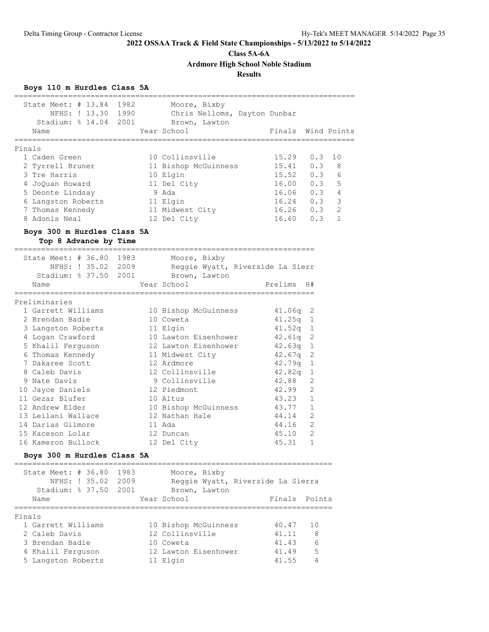**Class 5A-6A**

**Ardmore High School Noble Stadium**

### **Results**

### **Boys 110 m Hurdles Class 5A**

| State Meet: $\#$ 13.84      | 1982 | Moore, Bixby                 |                                   |                |                         |
|-----------------------------|------|------------------------------|-----------------------------------|----------------|-------------------------|
| NFHS: ! 13.30 1990          |      | Chris Nelloms, Dayton Dunbar |                                   |                |                         |
| Stadium: % 14.04 2001       |      | Brown, Lawton                |                                   |                |                         |
| Name                        |      | Year School                  | Finals Wind Points                |                |                         |
| ----------------------      |      |                              |                                   |                |                         |
| Finals                      |      |                              |                                   |                |                         |
| 1 Caden Green               |      | 10 Collinsville              | 15.29                             | 0.3            | 10                      |
| 2 Tyrrell Bruner            |      | 11 Bishop McGuinness         | $15.41$ 0.3 8                     |                |                         |
| 3 Tre Harris                |      | 10 Elgin                     | 15.52 0.3 6                       |                |                         |
| 4 JoQuan Howard             |      | 11 Del City                  | $16.00$ 0.3 5                     |                |                         |
| 5 Deonte Lindsay            |      | 9 Ada                        | 16.06  0.3  4                     |                |                         |
| 6 Langston Roberts          |      | 11 Elgin                     | $16.24$ 0.3                       |                | $\overline{\mathbf{3}}$ |
| 7 Thomas Kennedy            |      | 11 Midwest City              | 16.26 0.3 2                       |                |                         |
| 8 Adonis Neal               |      | 12 Del City                  | $16.60$ $0.3$                     |                | $\mathbf{1}$            |
|                             |      |                              |                                   |                |                         |
| Boys 300 m Hurdles Class 5A |      |                              |                                   |                |                         |
| Top 8 Advance by Time       |      |                              |                                   |                |                         |
| State Meet: # 36.80 1983    |      | Moore, Bixby                 |                                   |                |                         |
| NFHS: ! 35.02 2009          |      |                              | Reggie Wyatt, Riverside La Sierr  |                |                         |
|                             |      |                              |                                   |                |                         |
| Stadium: % 37.50 2001       |      | Brown, Lawton                |                                   |                |                         |
| Name                        |      | Year School                  | Prelims                           | H#             |                         |
|                             |      |                              |                                   |                |                         |
| Preliminaries               |      |                              |                                   |                |                         |
| 1 Garrett Williams          |      | 10 Bishop McGuinness         | $41.06q$ 2                        |                |                         |
| 2 Brendan Badie             |      | 10 Coweta                    | $41.25q$ 1                        |                |                         |
| 3 Langston Roberts          |      | 11 Elgin                     | 41.52 <sub>q</sub>                | 1              |                         |
| 4 Logan Crawford            |      | 10 Lawton Eisenhower         | 42.61q                            | 2              |                         |
| 5 Khalil Ferguson           |      | 12 Lawton Eisenhower         | $42.63q$ 1                        |                |                         |
| 6 Thomas Kennedy            |      | 11 Midwest City              | 42.67q                            | 2              |                         |
| 7 Dakaree Scott             |      | 12 Ardmore                   | 42.79q                            | 1              |                         |
| 8 Caleb Davis               |      | 12 Collinsville              | 42.82q                            | 1              |                         |
| 9 Nate Davis                |      | 9 Collinsville               | 42.88                             | 2              |                         |
| 10 Jayce Daniels            |      | 12 Piedmont                  | 42.99                             | $\mathfrak{D}$ |                         |
| 11 Gezar Blufer             |      | 10 Altus                     | 43.23 1                           |                |                         |
| 12 Andrew Elder             |      | 10 Bishop McGuinness         | 43.77 1                           |                |                         |
| 13 Leilani Wallace          |      | 12 Nathan Hale               | 44.14                             | 2              |                         |
| 14 Darias Gilmore           |      | 11 Ada                       | 44.16                             | 2              |                         |
|                             |      |                              |                                   |                |                         |
| 15 Kaceson Lolar            |      | 12 Duncan                    | 45.10                             | 2              |                         |
| 16 Kameron Bullock          |      | 12 Del City                  | 45.31                             | $\mathbf{1}$   |                         |
| Boys 300 m Hurdles Class 5A |      |                              |                                   |                |                         |
| State Meet: # 36.80 1983    |      | Moore, Bixby                 |                                   |                |                         |
| NFHS: ! 35.02 2009          |      |                              | Reggie Wyatt, Riverside La Sierra |                |                         |
|                             |      |                              |                                   |                |                         |
| Stadium: % 37.50            | 2001 | Brown, Lawton                |                                   |                |                         |
| Name<br>------------        |      | Year School                  | Finals                            | Points         |                         |
| Finals                      |      |                              |                                   |                |                         |
| 1 Garrett Williams          |      | 10 Bishop McGuinness         | 40.47                             | 10             |                         |
| 2 Caleb Davis               |      | 12 Collinsville              | 41.11                             | 8              |                         |
| 3 Brendan Badie             |      | 10 Coweta                    | 41.43                             | 6              |                         |
|                             |      |                              |                                   |                |                         |
| 4 Khalil Ferquson           |      | 12 Lawton Eisenhower         | 41.49                             | 5              |                         |
| 5 Langston Roberts          |      | 11 Elgin                     | 41.55                             | 4              |                         |

============================================================================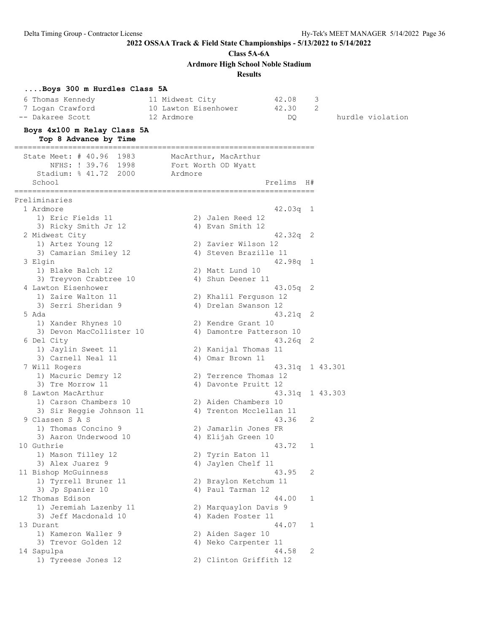**Class 5A-6A**

**Ardmore High School Noble Stadium**

**Results**

| Boys 300 m Hurdles Class 5A<br>6 Thomas Kennedy<br>7 Logan Crawford<br>-- Dakaree Scott<br>Boys 4x100 m Relay Class 5A | 42.08<br>11 Midwest City<br>10 Lawton Eisenhower<br>42.30<br>12 Ardmore | DQ.                  | 3<br>2<br>hurdle violation |
|------------------------------------------------------------------------------------------------------------------------|-------------------------------------------------------------------------|----------------------|----------------------------|
| Top 8 Advance by Time                                                                                                  |                                                                         |                      |                            |
| State Meet: # 40.96 1983<br>NFHS: ! 39.76 1998<br>Stadium: % 41.72 2000<br>School                                      | MacArthur, MacArthur<br>Fort Worth OD Wyatt<br>Ardmore                  | Prelims H#           |                            |
|                                                                                                                        |                                                                         |                      |                            |
| Preliminaries<br>1 Ardmore                                                                                             |                                                                         | $42.03q$ 1           |                            |
| 1) Eric Fields 11                                                                                                      | 2) Jalen Reed 12                                                        |                      |                            |
| 3) Ricky Smith Jr 12<br>2 Midwest City                                                                                 | 4) Evan Smith 12                                                        | $42.32q$ 2           |                            |
| 1) Artez Young 12                                                                                                      | 2) Zavier Wilson 12                                                     |                      |                            |
| 3) Camarian Smiley 12                                                                                                  | 4) Steven Brazille 11                                                   |                      |                            |
| 3 Elgin                                                                                                                |                                                                         | $42.98q$ 1           |                            |
| 1) Blake Balch 12                                                                                                      | 2) Matt Lund 10                                                         |                      |                            |
| 3) Treyvon Crabtree 10                                                                                                 | 4) Shun Deener 11                                                       |                      |                            |
| 4 Lawton Eisenhower                                                                                                    |                                                                         | $43.05q$ 2           |                            |
| 1) Zaire Walton 11                                                                                                     | 2) Khalil Ferguson 12                                                   |                      |                            |
| 3) Serri Sheridan 9                                                                                                    | 4) Drelan Swanson 12                                                    |                      |                            |
| 5 Ada                                                                                                                  | 2) Kendre Grant 10                                                      | $43.21q$ 2           |                            |
| 1) Xander Rhynes 10<br>3) Devon MacCollister 10                                                                        | 4) Damontre Patterson 10                                                |                      |                            |
| 6 Del City                                                                                                             |                                                                         | $43.26q$ 2           |                            |
| 1) Jaylin Sweet 11                                                                                                     | 2) Kanijal Thomas 11                                                    |                      |                            |
| 3) Carnell Neal 11                                                                                                     | 4) Omar Brown 11                                                        |                      |                            |
| 7 Will Rogers                                                                                                          |                                                                         |                      | 43.31q 1 43.301            |
| 1) Macuric Demry 12                                                                                                    | 2) Terrence Thomas 12                                                   |                      |                            |
| 3) Tre Morrow 11                                                                                                       | 4) Davonte Pruitt 12                                                    |                      |                            |
| 8 Lawton MacArthur                                                                                                     |                                                                         |                      | 43.31q 1 43.303            |
| 1) Carson Chambers 10                                                                                                  | 2) Aiden Chambers 10                                                    |                      |                            |
| 3) Sir Reggie Johnson 11<br>9 Classen S A S                                                                            | 4) Trenton Mcclellan 11                                                 | 43.36<br>2           |                            |
| 1) Thomas Concino 9                                                                                                    | 2) Jamarlin Jones FR                                                    |                      |                            |
| 3) Aaron Underwood 10                                                                                                  | 4) Elijah Green 10                                                      |                      |                            |
| 10 Guthrie                                                                                                             |                                                                         | 43.72<br>$\mathbf 1$ |                            |
| 1) Mason Tilley 12                                                                                                     | 2) Tyrin Eaton 11                                                       |                      |                            |
| 3) Alex Juarez 9                                                                                                       | 4) Jaylen Chelf 11                                                      |                      |                            |
| 11 Bishop McGuinness                                                                                                   |                                                                         | 43.95<br>2           |                            |
| 1) Tyrrell Bruner 11                                                                                                   | 2) Braylon Ketchum 11                                                   |                      |                            |
| 3) Jp Spanier 10                                                                                                       | 4) Paul Tarman 12                                                       |                      |                            |
| 12 Thomas Edison                                                                                                       | 2) Marquaylon Davis 9                                                   | 44.00<br>$\mathbf 1$ |                            |
| 1) Jeremiah Lazenby 11<br>3) Jeff Macdonald 10                                                                         | 4) Kaden Foster 11                                                      |                      |                            |
| 13 Durant                                                                                                              |                                                                         | 44.07<br>1           |                            |
| 1) Kameron Waller 9                                                                                                    | 2) Aiden Sager 10                                                       |                      |                            |
| 3) Trevor Golden 12                                                                                                    | 4) Neko Carpenter 11                                                    |                      |                            |
| 14 Sapulpa                                                                                                             |                                                                         | 44.58<br>2           |                            |
| 1) Tyreese Jones 12                                                                                                    | 2) Clinton Griffith 12                                                  |                      |                            |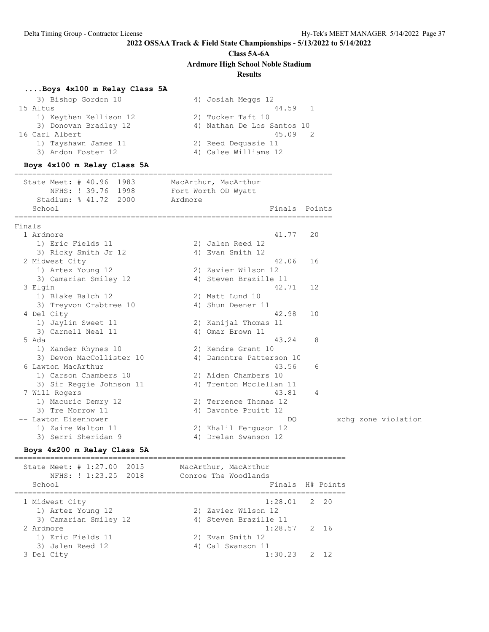## **Class 5A-6A Ardmore High School Noble Stadium**

#### **Results**

### **....Boys 4x100 m Relay Class 5A**

| 3) Bishop Gordon 10    | 4) Josiah Meggs 12         |
|------------------------|----------------------------|
| 15 Altus               | 44.59 1                    |
| 1) Keythen Kellison 12 | 2) Tucker Taft 10          |
| 3) Donovan Bradley 12  | 4) Nathan De Los Santos 10 |
| 16 Carl Albert         | 45.09                      |
| 1) Tayshawn James 11   | 2) Reed Dequasie 11        |
| 3) Andon Foster 12     | 4) Calee Williams 12       |
|                        |                            |

#### **Boys 4x100 m Relay Class 5A**

======================================================================= State Meet: # 40.96 1983 MacArthur, MacArthur NFHS: ! 39.76 1998 Fort Worth OD Wyatt Stadium: % 41.72 2000 Ardmore School **Finals** Points ======================================================================= Finals 1 Ardmore 41.77 20 1) Eric Fields 11 2) Jalen Reed 12 3) Ricky Smith Jr 12 (4) Evan Smith 12 2 Midwest City 42.06 16 1) Artez Young 12 2) Zavier Wilson 12 3) Camarian Smiley 12 4) Steven Brazille 11 3 Elgin 42.71 12 1) Blake Balch 12 2) Matt Lund 10 3) Treyvon Crabtree 10 <a>
4) Shun Deener 11 4 Del City 42.98 10 1) Jaylin Sweet 11 2) Kanijal Thomas 11 3) Carnell Neal 11 4) Omar Brown 11 5 Ada 43.24 8 1) Xander Rhynes 10 2) Kendre Grant 10 3) Devon MacCollister 10 4) Damontre Patterson 10 6 Lawton MacArthur 43.56 6 1) Carson Chambers 10 2) Aiden Chambers 10 3) Sir Reggie Johnson 11 4) Trenton Mcclellan 11 7 Will Rogers 43.81 4 1) Macuric Demry 12 2) Terrence Thomas 12 3) Tre Morrow 11 (4) Davonte Pruitt 12 3) Tre Morrow  $1\overline{1}$  (a) Davonte Pruitt 12<br>
-- Lawton Eisenhower (b) Davonte Pruitt 12 1) Zaire Walton 11 2) Khalil Ferguson 12<br>1) Zaire Walton 11 2) Khalil Ferguson 12

#### **Boys 4x200 m Relay Class 5A**

========================================================================== State Meet: # 1:27.00 2015 MacArthur, MacArthur NFHS: ! 1:23.25 2018 Conroe The Woodlands School **Finals** H# Points ========================================================================== 1 Midwest City 1:28.01 2 20 1) Artez Young 12 2) Zavier Wilson 12 3) Camarian Smiley 12 4) Steven Brazille 11 2 Ardmore 1:28.57 2 16

3 Del City 1:30.23 2 12

3) Serri Sheridan 9 4) Drelan Swanson 12

1) Eric Fields 11 2) Evan Smith 12 3) Jalen Reed 12 4) Cal Swanson 11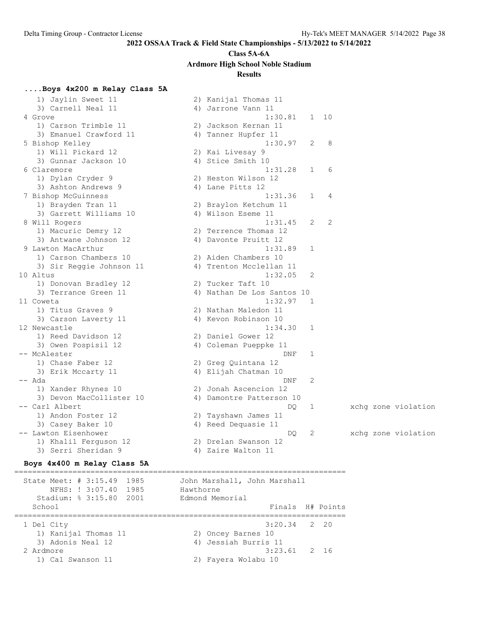### **Class 5A-6A**

**Ardmore High School Noble Stadium**

### **Results**

### **....Boys 4x200 m Relay Class 5A**

 1) Jaylin Sweet 11 2) Kanijal Thomas 11 3) Carnell Neal 11 4) Jarrone Vann 11 4 Grove 1:30.81 1 10 1) Carson Trimble 11 2) Jackson Kernan 11 3) Emanuel Crawford 11 (4) Tanner Hupfer 11 5 Bishop Kelley 1:30.97 2 8 1) Will Pickard 12 2) Kai Livesay 9 3) Gunnar Jackson 10 4) Stice Smith 10 6 Claremore 1:31.28 1 6 1) Dylan Cryder 9 2) Heston Wilson 12 3) Ashton Andrews 9 4) Lane Pitts 12 7 Bishop McGuinness 1:31.36 1 4 1) Brayden Tran 11 2) Braylon Ketchum 11 3) Garrett Williams 10 (4) Wilson Eseme 11 8 Will Rogers 1:31.45 2 2 1) Macuric Demry 12 2) Terrence Thomas 12 3) Antwane Johnson 12 (4) Davonte Pruitt 12 9 Lawton MacArthur 1:31.89 1 1) Carson Chambers 10 2) Aiden Chambers 10 3) Sir Reggie Johnson 11 4) Trenton Mcclellan 11 10 Altus 1:32.05 2 1) Donovan Bradley 12 2) Tucker Taft 10 3) Terrance Green 11 4) Nathan De Los Santos 10 11 Coweta 1:32.97 1 1) Titus Graves 9 2) Nathan Maledon 11 3) Carson Laverty 11 (4) Kevon Robinson 10 12 Newcastle 1:34.30 1 1) Reed Davidson 12 2) Daniel Gower 12 3) Owen Pospisil 12 4) Coleman Pueppke 11 -- McAlester DNF 1 1) Chase Faber 12 2) Greg Quintana 12 3) Erik Mccarty 11 1988 (4) Elijah Chatman 10 -- Ada DNF 2 1) Xander Rhynes 10 2) Jonah Ascencion 12 3) Devon MacCollister 10 4) Damontre Patterson 10 -- Carl Albert DQ 1 xchg zone violation 1) Andon Foster 12 2) Tayshawn James 11 3) Casey Baker 10 4) Reed Dequasie 11 -- Lawton Eisenhower DQ 2 xchg zone violation 1) Khalil Ferguson 12 2) Drelan Swanson 12 3) Serri Sheridan 9 1988 1999 12 4) Zaire Walton 11

### **Boys 4x400 m Relay Class 5A**

========================================================================== State Meet: # 3:15.49 1985 John Marshall, John Marshall NFHS: ! 3:07.40 1985 Hawthorne Stadium: % 3:15.80 2001 Edmond Memorial School **Finals H# Points** ========================================================================== 1 Del City 3:20.34 2 20 1) Kanijal Thomas 11 2) Oncey Barnes 10 3) Adonis Neal 12 4) Jessiah Burris 11 2 Ardmore 3:23.61 2 16 1) Cal Swanson 11 2) Fayera Wolabu 10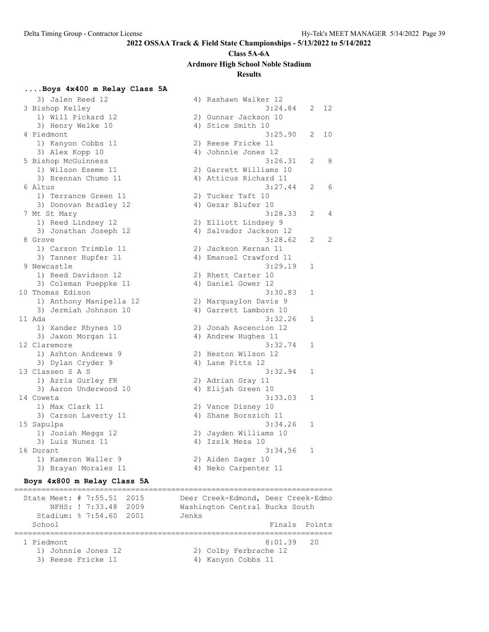### **Class 5A-6A**

**Ardmore High School Noble Stadium**

#### **Results**

### **....Boys 4x400 m Relay Class 5A**

3) Jalen Reed 12 (a) 4) Rashawn Walker 12<br>3:24.84 (a) 3:24.84 (a) 3:24.84 (a) 3:24.84 (a) 3:24.84 (a) 3:24.84 (a) 3:24.84 (a) 3:24.84 (a) 3:24.84 (a) 3:24.84 (a) 3:24.84 (a) 3:24.84 (a) 3:24.84 (a) 3:24.84 (a) 3:24.84 (a) 3 Bishop Kelley 3:24.84 2 12 1) Will Pickard 12 2) Gunnar Jackson 10 3) Henry Welke 10 4) Stice Smith 10 4 Piedmont 3:25.90 2 10 1) Kanyon Cobbs 11 2) Reese Fricke 11 3) Alex Kopp 10 4) Johnnie Jones 12 5 Bishop McGuinness 3:26.31 2 8 1) Wilson Eseme 11 2) Garrett Williams 10 3) Brennan Chumo 11 4) Atticus Richard 11 6 Altus 3:27.44 2 6 1) Terrance Green 11 2) Tucker Taft 10 3) Donovan Bradley 12 (4) Gezar Blufer 10 7 Mt St Mary 3:28.33 2 4 1) Reed Lindsey 12 2) Elliott Lindsey 9 3) Jonathan Joseph 12 4) Salvador Jackson 12 8 Grove 3:28.62 2 2 1) Carson Trimble 11 2) Jackson Kernan 11 3) Tanner Hupfer 11 (4) Emanuel Crawford 11 9 Newcastle 3:29.19 1 1) Reed Davidson 12 2) Rhett Carter 10 3) Coleman Pueppke 11 (4) Daniel Gower 12 10 Thomas Edison 3:30.83 1 1) Anthony Manipella 12 2) Marquaylon Davis 9 3) Jermiah Johnson 10 4) Garrett Lamborn 10 11 Ada 3:32.26 1 1) Xander Rhynes 10 2) Jonah Ascencion 12 3) Jaxon Morgan 11  $\hskip1cm$  4) Andrew Hughes 11 12 Claremore 3:32.74 1 1) Ashton Andrews 9 2) Heston Wilson 12 3) Dylan Cryder 9 19 4) Lane Pitts 12 13 Classen S A S 3:32.94 1 1) Azria Gurley FR 2) Adrian Gray 11 3) Aaron Underwood 10  $\hskip1cm$  4) Elijah Green 10 14 Coweta 3:33.03 1 1) Max Clark 11 2) Vance Disney 10 3) Carson Laverty 11 (4) Shane Borszich 11 15 Sapulpa 3:34.26 1 1) Josiah Meggs 12 2) Jayden Williams 10 3) Luis Nunez 11 (4) Izsik Meza 10 16 Durant 3:34.56 1 1) Kameron Waller 9 2) Aiden Sager 10 3) Brayan Morales 11 (4) Neko Carpenter 11

#### **Boys 4x800 m Relay Class 5A**

======================================================================= State Meet: # 7:55.51 2015 Deer Creek-Edmond, Deer Creek-Edmo NFHS: ! 7:33.48 2009 Washington Central Bucks South Stadium: % 7:54.60 2001 Jenks School **Finals** Points ======================================================================= 1 Piedmont 8:01.39 20 1) Johnnie Jones 12 2) Colby Ferbrache 12 3) Reese Fricke 11 4) Kanyon Cobbs 11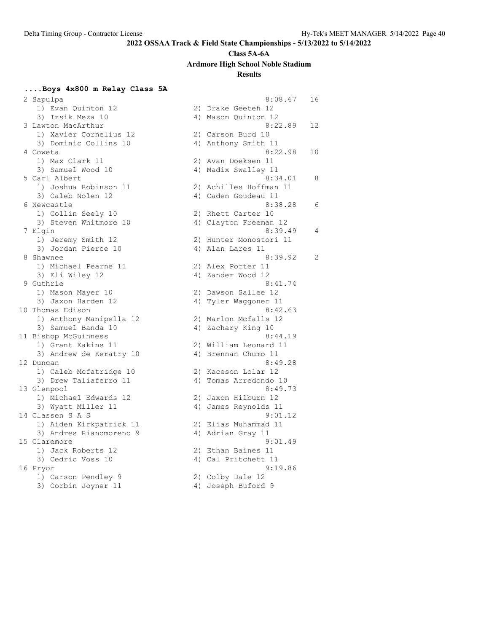#### **Class 5A-6A**

**Ardmore High School Noble Stadium**

### **Results**

### **....Boys 4x800 m Relay Class 5A**

| τ) πλαπ δατπροπ τς                      | 7) niqve peeren TT                        |    |
|-----------------------------------------|-------------------------------------------|----|
| 3) Izsik Meza 10                        | 4) Mason Quinton 12                       |    |
| 3 Lawton MacArthur                      | 8:22.89                                   | 12 |
| 1) Xavier Cornelius 12                  | 2) Carson Burd 10                         |    |
| 3) Dominic Collins 10                   | 4) Anthony Smith 11                       |    |
| 4 Coweta                                | 8:22.98                                   | 10 |
| 1) Max Clark 11                         | 2) Avan Doeksen 11                        |    |
| 3) Samuel Wood 10                       | 4) Madix Swalley 11                       |    |
| 5 Carl Albert                           | 8:34.01                                   | 8  |
| 1) Joshua Robinson 11                   | 2) Achilles Hoffman 11                    |    |
| 3) Caleb Nolen 12                       | 4) Caden Goudeau 11                       |    |
| 6 Newcastle                             | 8:38.28                                   | 6  |
| 1) Collin Seely 10                      | 2) Rhett Carter 10                        |    |
| 3) Steven Whitmore 10                   | 4) Clayton Freeman 12                     |    |
| 7 Elgin                                 | 8:39.49                                   | 4  |
| 1) Jeremy Smith 12                      | 2) Hunter Monostori 11                    |    |
| 3) Jordan Pierce 10                     | 4) Alan Lares 11                          |    |
| 8 Shawnee                               | 8:39.92                                   | 2  |
| 1) Michael Pearne 11                    | 2) Alex Porter 11                         |    |
| 3) Eli Wiley 12                         | 4) Zander Wood 12                         |    |
| 9 Guthrie                               | 8:41.74                                   |    |
| 1) Mason Mayer 10                       | 2) Dawson Sallee 12                       |    |
| 3) Jaxon Harden 12                      | 4) Tyler Waggoner 11                      |    |
| 10 Thomas Edison                        | 8:42.63                                   |    |
| 1) Anthony Manipella 12                 | 2) Marlon Mcfalls 12                      |    |
| 3) Samuel Banda 10                      | 4) Zachary King 10                        |    |
| 11 Bishop McGuinness                    | 8:44.19                                   |    |
| 1) Grant Eakins 11                      | 2) William Leonard 11                     |    |
| 3) Andrew de Keratry 10                 | 4) Brennan Chumo 11                       |    |
| 12 Duncan                               | 8:49.28                                   |    |
| 1) Caleb Mcfatridge 10                  | 2) Kaceson Lolar 12                       |    |
| 3) Drew Taliaferro 11                   | 4) Tomas Arredondo 10                     |    |
| 13 Glenpool                             | 8:49.73                                   |    |
| 1) Michael Edwards 12                   | 2) Jaxon Hilburn 12                       |    |
| 3) Wyatt Miller 11                      | 4) James Reynolds 11                      |    |
| 14 Classen S A S                        | 9:01.12                                   |    |
| 1) Aiden Kirkpatrick 11                 | 2) Elias Muhammad 11                      |    |
| 3) Andres Rianomoreno 9<br>15 Claremore | 4) Adrian Gray 11                         |    |
|                                         | 9:01.49                                   |    |
| 1) Jack Roberts 12                      | 2) Ethan Baines 11<br>4) Cal Pritchett 11 |    |
| 3) Cedric Voss 10                       | 9:19.86                                   |    |
| 16 Pryor<br>1) Carson Pendley 9         | 2) Colby Dale 12                          |    |
| $21$ Corpin Isinor 11                   | $\Lambda$ Togonh Duford $\Lambda$         |    |
|                                         |                                           |    |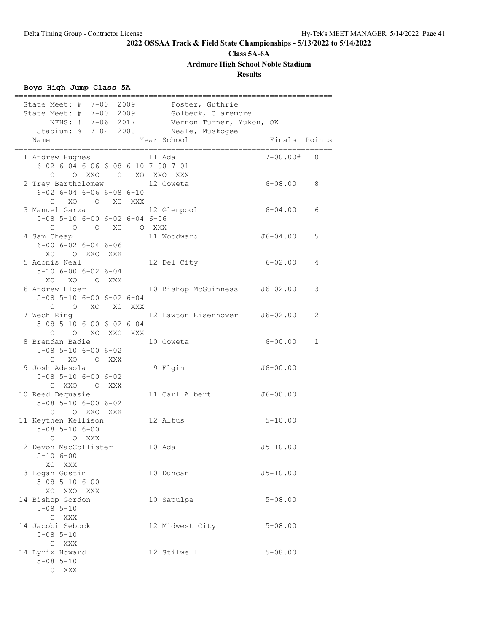**Class 5A-6A**

**Ardmore High School Noble Stadium**

**Results**

## **Boys High Jump Class 5A**

| State Meet: # 7-00 2009                                        |  | Foster, Guthrie                            |                                       |              |
|----------------------------------------------------------------|--|--------------------------------------------|---------------------------------------|--------------|
| State Meet: # 7-00 2009 Golbeck, Claremore                     |  |                                            |                                       |              |
|                                                                |  | NFHS: ! 7-06 2017 Vernon Turner, Yukon, OK |                                       |              |
| Stadium: % 7-02 2000 Neale, Muskogee                           |  |                                            |                                       |              |
| Name                                                           |  | Year School                                | Finals Points<br>;=================== |              |
| 1 Andrew Hughes                                                |  | 11 Ada                                     | 7-00.00#                              | 10           |
| $6 - 02$ $6 - 04$ $6 - 06$ $6 - 08$ $6 - 10$ $7 - 00$ $7 - 01$ |  |                                            |                                       |              |
| O XXO O XO XXO XXX<br>$\circ$                                  |  |                                            |                                       |              |
| 2 Trey Bartholomew                                             |  | 12 Coweta                                  | $6 - 08.00$                           | 8            |
| $6 - 02$ $6 - 04$ $6 - 06$ $6 - 08$ $6 - 10$                   |  |                                            |                                       |              |
| O XO O XO XXX<br>3 Manuel Garza                                |  |                                            | $6 - 04.00$                           | 6            |
| 5-08 5-10 6-00 6-02 6-04 6-06                                  |  | 12 Glenpool                                |                                       |              |
| 0 0 0 XO 0 XXX                                                 |  |                                            |                                       |              |
| 4 Sam Cheap                                                    |  | 11 Woodward                                | J6-04.00                              | 5            |
| $6 - 00$ $6 - 02$ $6 - 04$ $6 - 06$                            |  |                                            |                                       |              |
| XO OXXOXXX                                                     |  |                                            |                                       |              |
| 5 Adonis Neal                                                  |  | 12 Del City                                | $6 - 02.00$                           | 4            |
| $5 - 10$ 6-00 6-02 6-04                                        |  |                                            |                                       |              |
| XO XO O XXX                                                    |  |                                            |                                       |              |
| 6 Andrew Elder                                                 |  | 10 Bishop McGuinness                       | J6-02.00                              | 3            |
| $5 - 08$ $5 - 10$ $6 - 00$ $6 - 02$ $6 - 04$                   |  |                                            |                                       |              |
| O O XO XO XXX                                                  |  |                                            |                                       |              |
| 7 Wech Ring                                                    |  | 12 Lawton Eisenhower                       | J6-02.00                              | 2            |
| $5 - 08$ $5 - 10$ $6 - 00$ $6 - 02$ $6 - 04$                   |  |                                            |                                       |              |
| O O XO XXO XXX<br>8 Brendan Badie                              |  | 10 Coweta                                  | $6 - 00.00$                           | $\mathbf{1}$ |
| $5 - 08$ $5 - 10$ $6 - 00$ $6 - 02$                            |  |                                            |                                       |              |
| O XO O XXX                                                     |  |                                            |                                       |              |
| 9 Josh Adesola                                                 |  | 9 Elgin                                    | $J6 - 00.00$                          |              |
| $5 - 08$ $5 - 10$ $6 - 00$ $6 - 02$                            |  |                                            |                                       |              |
| O XXO O XXX                                                    |  |                                            |                                       |              |
| 10 Reed Dequasie                                               |  | 11 Carl Albert                             | $J6 - 00.00$                          |              |
| $5 - 08$ $5 - 10$ $6 - 00$ $6 - 02$                            |  |                                            |                                       |              |
| O O XXO XXX                                                    |  |                                            |                                       |              |
| 11 Keythen Kellison                                            |  | 12 Altus                                   | $5 - 10.00$                           |              |
| $5 - 08$ $5 - 10$ $6 - 00$                                     |  |                                            |                                       |              |
| O XXX<br>$\circ$                                               |  |                                            |                                       |              |
| 12 Devon MacCollister                                          |  | 10 Ada                                     | $J5 - 10.00$                          |              |
| $5 - 106 - 00$<br>XO XXX                                       |  |                                            |                                       |              |
| 13 Logan Gustin                                                |  | 10 Duncan                                  | $J5 - 10.00$                          |              |
| $5 - 08$ $5 - 10$ $6 - 00$                                     |  |                                            |                                       |              |
| XO XXO XXX                                                     |  |                                            |                                       |              |
| 14 Bishop Gordon                                               |  | 10 Sapulpa                                 | $5 - 08.00$                           |              |
| $5 - 08$ $5 - 10$                                              |  |                                            |                                       |              |
| O XXX                                                          |  |                                            |                                       |              |
| 14 Jacobi Sebock                                               |  | 12 Midwest City                            | $5 - 08.00$                           |              |
| $5 - 08$ $5 - 10$                                              |  |                                            |                                       |              |
| O XXX                                                          |  |                                            |                                       |              |
| 14 Lyrix Howard                                                |  | 12 Stilwell                                | $5 - 08.00$                           |              |
| $5 - 08$ $5 - 10$                                              |  |                                            |                                       |              |
| O XXX                                                          |  |                                            |                                       |              |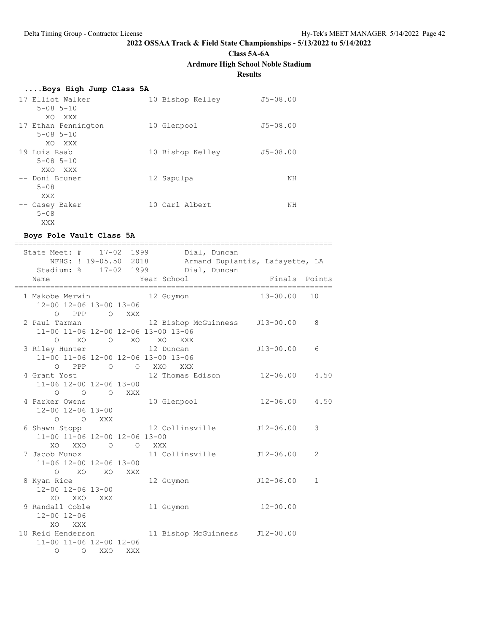**Class 5A-6A**

**Ardmore High School Noble Stadium**

### **Results**

| Boys High Jump Class 5A |                  |              |
|-------------------------|------------------|--------------|
| 17 Elliot Walker        | 10 Bishop Kelley | $J5 - 08.00$ |
| $5 - 08$ $5 - 10$       |                  |              |
| XO XXX                  |                  |              |
| 17 Ethan Pennington     | 10 Glenpool      | $J5 - 08.00$ |
| $5 - 08$ $5 - 10$       |                  |              |
| XO XXX                  |                  |              |
| 19 Luis Raab            | 10 Bishop Kelley | $J5 - 08.00$ |
| $5 - 08$ $5 - 10$       |                  |              |
| XXO XXX                 |                  |              |
| -- Doni Bruner          | 12 Sapulpa       | NΗ           |
| $5 - 08$                |                  |              |
| XXX                     |                  |              |
| -- Casey Baker          | 10 Carl Albert   | NΗ           |
| $5 - 08$                |                  |              |
| XXX                     |                  |              |

### **Boys Pole Vault Class 5A**

| NFHS: ! 19-05.50 2018                                                                     | ======== | State Meet: # 17-02 1999 Dial, Duncan<br>Armand Duplantis, Lafayette, LA<br>Stadium: % 17-02 1999 Dial, Duncan |                   |    |
|-------------------------------------------------------------------------------------------|----------|----------------------------------------------------------------------------------------------------------------|-------------------|----|
| Name                                                                                      |          | Year School                                                                                                    | Finals Points     |    |
| 1 Makobe Merwin 12 Guymon<br>12-00 12-06 13-00 13-06                                      |          |                                                                                                                | $13 - 00.00$      | 10 |
| PPP<br>$\overline{O}$<br>$\Omega$<br>2 Paul Tarman<br>11-00 11-06 12-00 12-06 13-00 13-06 | XXX      | 12 Bishop McGuinness J13-00.00                                                                                 |                   | 8  |
| XO<br>$\Omega$<br>3 Riley Hunter 12 Duncan<br>11-00 11-06 12-00 12-06 13-00 13-06         |          | O XO XO<br>XXX                                                                                                 | J13-00.00         | 6  |
| 0 PPP 0 0 XXO XXX<br>4 Grant Yost<br>11-06 12-00 12-06 13-00                              |          | 12 Thomas Edison                                                                                               | $12 - 06.00$ 4.50 |    |
| $\circ$<br>$\Omega$<br>4 Parker Owens 10 Glenpool<br>12-00 12-06 13-00                    | O XXX    |                                                                                                                | $12 - 06.00$ 4.50 |    |
| $O$ $O$ XXX<br>6 Shawn Stopp 12 Collinsville<br>11-00 11-06 12-00 12-06 13-00             |          |                                                                                                                | $J12-06.00$       | 3  |
| XO XXO O O XXX<br>7 Jacob Munoz<br>11-06 12-00 12-06 13-00                                |          | 11 Collinsville J12-06.00                                                                                      |                   | 2  |
| $O$ XO<br>8 Kyan Rice<br>12-00 12-06 13-00                                                | XO XXX   | 12 Guymon                                                                                                      | J12-06.00         | 1  |
| XO<br>XXO<br>XXX<br>9 Randall Coble<br>$12 - 00$ $12 - 06$                                |          | 11 Guymon                                                                                                      | $12 - 00.00$      |    |
| XO.<br>XXX<br>11-00 11-06 12-00 12-06<br>$\Omega$<br>$\Omega$<br>XXO                      | XXX      | 10 Reid Henderson 11 Bishop McGuinness J12-00.00                                                               |                   |    |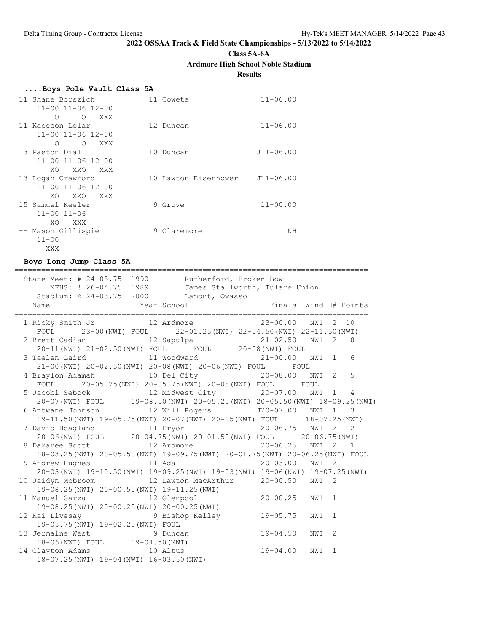**Class 5A-6A**

### **Ardmore High School Noble Stadium**

**Results**

| Boys Pole Vault Class 5A                |                                |               |
|-----------------------------------------|--------------------------------|---------------|
| 11 Shane Borszich                       | 11 Coweta                      | $11 - 06.00$  |
| $11 - 00$ $11 - 06$ $12 - 00$           |                                |               |
| $\Omega$<br>$\Omega$<br>XXX             |                                |               |
| 11 Kaceson Lolar                        | 12 Duncan                      | $11 - 06.00$  |
| $11 - 00$ $11 - 06$ $12 - 00$           |                                |               |
| $\circ$<br>XXX<br>O                     |                                |               |
| 13 Paeton Dial                          | 10 Duncan                      | $J11 - 06.00$ |
| $11 - 00$ $11 - 06$ $12 - 00$           |                                |               |
| XO.<br>XXO<br>XXX                       |                                |               |
| 13 Logan Crawford                       | 10 Lawton Eisenhower J11-06.00 |               |
| 11-00 11-06 12-00                       |                                |               |
| XO.<br>XXO<br>XXX X                     |                                |               |
| 15 Samuel Keeler<br>$11 - 00$ $11 - 06$ | 9 Grove                        | $11 - 00.00$  |
| XO<br>XXX X                             |                                |               |
|                                         | 9 Claremore                    | NΗ            |
| -- Mason Gillispie<br>$11 - 00$         |                                |               |
| XXX                                     |                                |               |
|                                         |                                |               |

**Boys Long Jump Class 5A**

| State Meet: # 24-03.75 1990 Rutherford, Broken Bow                                                                               |  |   |  |
|----------------------------------------------------------------------------------------------------------------------------------|--|---|--|
| NFHS: ! 26-04.75 1989 James Stallworth, Tulare Union                                                                             |  |   |  |
| Stadium: % 24-03.75 2000 Lamont, Owasso                                                                                          |  |   |  |
|                                                                                                                                  |  |   |  |
|                                                                                                                                  |  |   |  |
| FOUL 23-00 (NWI) FOUL 22-01.25 (NWI) 22-04.50 (NWI) 22-11.50 (NWI)                                                               |  |   |  |
|                                                                                                                                  |  |   |  |
| 2 Brett Cadian 12 Sapulpa 21-02.50 NWI 2 8<br>20-11 (NWI) 21-02.50 (NWI) FOUL FOUL 20-08 (NWI) FOUL                              |  |   |  |
|                                                                                                                                  |  |   |  |
| 21-00 (NWI) 20-02.50 (NWI) 20-08 (NWI) 20-06 (NWI) FOUL FOUL                                                                     |  |   |  |
| 4 Braylon Adamah 10 Del City 20-08.00 NWI 2 5                                                                                    |  |   |  |
| FOUL 20-05.75 (NWI) 20-05.75 (NWI) 20-08 (NWI) FOUL FOUL                                                                         |  |   |  |
|                                                                                                                                  |  |   |  |
| 5 Jacobi Sebock 12 Midwest City 20-07.00 NWI 1 4<br>20-07 (NWI) FOUL 19-08.50 (NWI) 20-05.25 (NWI) 20-05.50 (NWI) 18-09.25 (NWI) |  |   |  |
| 6 Antwane Johnson 12 Will Rogers 520-07.00 NWI 1 3                                                                               |  |   |  |
| 19-11.50(NWI) 19-05.75(NWI) 20-07(NWI) 20-05(NWI) FOUL 18-07.25(NWI)                                                             |  |   |  |
| 7 David Hoagland 11 Pryor 11 20-06.75 NWI 2 2                                                                                    |  |   |  |
| 20-06(NWI) FOUL 20-04.75(NWI) 20-01.50(NWI) FOUL 20-06.75(NWI)                                                                   |  |   |  |
| 8 Dakaree Scott 12 Ardmore 12 Ard 20-06.25 NWI 2 1                                                                               |  |   |  |
| 18-03.25(NWI) 20-05.50(NWI) 19-09.75(NWI) 20-01.75(NWI) 20-06.25(NWI) FOUL                                                       |  |   |  |
|                                                                                                                                  |  |   |  |
| 20-03 (NWI) 19-10.50 (NWI) 19-09.25 (NWI) 19-03 (NWI) 19-06 (NWI) 19-07.25 (NWI)                                                 |  |   |  |
| 10 Jaidyn Mcbroom 12 Lawton MacArthur 20-00.50 NWI 2                                                                             |  |   |  |
| 19-08.25(NWI) 20-00.50(NWI) 19-11.25(NWI)                                                                                        |  |   |  |
| 11 Manuel Garza (12 Glenpool (20-00.25 NWI 1                                                                                     |  |   |  |
| 19-08.25(NWI) 20-00.25(NWI) 20-00.25(NWI)                                                                                        |  |   |  |
| 12 Kai Livesay 6 10 3 9 Bishop Kelley 19-05.75 NWI 1                                                                             |  |   |  |
| 19-05.75 (NWI) 19-02.25 (NWI) FOUL                                                                                               |  |   |  |
| 19-05.75(NWI) 19-02.25(NWI) FOUL<br>13 Jermaine West 9 Duncan 19-04.50 NWI                                                       |  | 2 |  |
| Jermaine web:<br>18-06(NWI) FOUL 19-04.50(NWI)<br>Norther Marks 10 Altus 19-04.00 NWI                                            |  |   |  |
| 14 Clayton Adams 10 Altus                                                                                                        |  | 1 |  |
| 18-07.25(NWI) 19-04(NWI) 16-03.50(NWI)                                                                                           |  |   |  |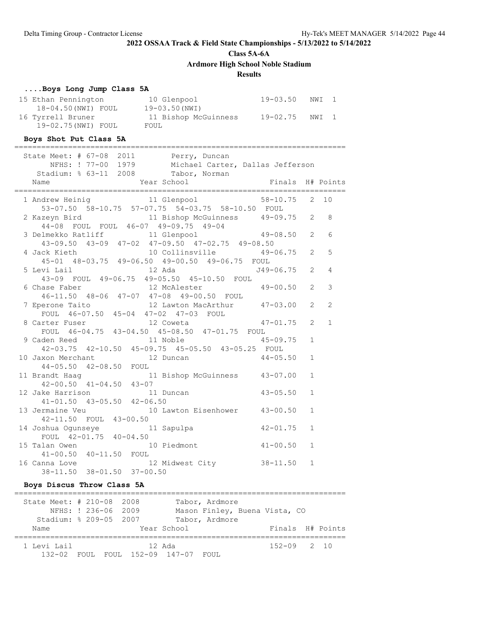**Class 5A-6A**

**Ardmore High School Noble Stadium**

### **Results**

### **....Boys Long Jump Class 5A**

| 15 Ethan Pennington | 10 Glenpool          | 19-03.50 | NWI 1 |  |
|---------------------|----------------------|----------|-------|--|
| 18-04.50(NWI) FOUL  | 19-03.50 (NWI)       |          |       |  |
| 16 Tyrrell Bruner   | 11 Bishop McGuinness | 19-02.75 | NWI 1 |  |
| 19-02.75(NWI) FOUL  | FOUL                 |          |       |  |

### **Boys Shot Put Class 5A**

|                                                                                                                                                                                                                                                                                                                                                                |                                                   | 8                                                                                                                                                                                                                                                                                                                                                                                                                                                                                                                                                                                                                                                                                                                                                                                                                                                                                                                                                                                                                                                                                                                                                                                              |
|----------------------------------------------------------------------------------------------------------------------------------------------------------------------------------------------------------------------------------------------------------------------------------------------------------------------------------------------------------------|---------------------------------------------------|------------------------------------------------------------------------------------------------------------------------------------------------------------------------------------------------------------------------------------------------------------------------------------------------------------------------------------------------------------------------------------------------------------------------------------------------------------------------------------------------------------------------------------------------------------------------------------------------------------------------------------------------------------------------------------------------------------------------------------------------------------------------------------------------------------------------------------------------------------------------------------------------------------------------------------------------------------------------------------------------------------------------------------------------------------------------------------------------------------------------------------------------------------------------------------------------|
|                                                                                                                                                                                                                                                                                                                                                                |                                                   |                                                                                                                                                                                                                                                                                                                                                                                                                                                                                                                                                                                                                                                                                                                                                                                                                                                                                                                                                                                                                                                                                                                                                                                                |
|                                                                                                                                                                                                                                                                                                                                                                |                                                   | 6                                                                                                                                                                                                                                                                                                                                                                                                                                                                                                                                                                                                                                                                                                                                                                                                                                                                                                                                                                                                                                                                                                                                                                                              |
|                                                                                                                                                                                                                                                                                                                                                                |                                                   |                                                                                                                                                                                                                                                                                                                                                                                                                                                                                                                                                                                                                                                                                                                                                                                                                                                                                                                                                                                                                                                                                                                                                                                                |
|                                                                                                                                                                                                                                                                                                                                                                |                                                   | 5                                                                                                                                                                                                                                                                                                                                                                                                                                                                                                                                                                                                                                                                                                                                                                                                                                                                                                                                                                                                                                                                                                                                                                                              |
|                                                                                                                                                                                                                                                                                                                                                                |                                                   |                                                                                                                                                                                                                                                                                                                                                                                                                                                                                                                                                                                                                                                                                                                                                                                                                                                                                                                                                                                                                                                                                                                                                                                                |
|                                                                                                                                                                                                                                                                                                                                                                |                                                   | $\overline{4}$                                                                                                                                                                                                                                                                                                                                                                                                                                                                                                                                                                                                                                                                                                                                                                                                                                                                                                                                                                                                                                                                                                                                                                                 |
|                                                                                                                                                                                                                                                                                                                                                                |                                                   |                                                                                                                                                                                                                                                                                                                                                                                                                                                                                                                                                                                                                                                                                                                                                                                                                                                                                                                                                                                                                                                                                                                                                                                                |
|                                                                                                                                                                                                                                                                                                                                                                |                                                   | 3                                                                                                                                                                                                                                                                                                                                                                                                                                                                                                                                                                                                                                                                                                                                                                                                                                                                                                                                                                                                                                                                                                                                                                                              |
|                                                                                                                                                                                                                                                                                                                                                                |                                                   |                                                                                                                                                                                                                                                                                                                                                                                                                                                                                                                                                                                                                                                                                                                                                                                                                                                                                                                                                                                                                                                                                                                                                                                                |
|                                                                                                                                                                                                                                                                                                                                                                |                                                   | $\overline{2}$                                                                                                                                                                                                                                                                                                                                                                                                                                                                                                                                                                                                                                                                                                                                                                                                                                                                                                                                                                                                                                                                                                                                                                                 |
|                                                                                                                                                                                                                                                                                                                                                                |                                                   |                                                                                                                                                                                                                                                                                                                                                                                                                                                                                                                                                                                                                                                                                                                                                                                                                                                                                                                                                                                                                                                                                                                                                                                                |
|                                                                                                                                                                                                                                                                                                                                                                |                                                   | $\mathbf{1}$                                                                                                                                                                                                                                                                                                                                                                                                                                                                                                                                                                                                                                                                                                                                                                                                                                                                                                                                                                                                                                                                                                                                                                                   |
|                                                                                                                                                                                                                                                                                                                                                                |                                                   |                                                                                                                                                                                                                                                                                                                                                                                                                                                                                                                                                                                                                                                                                                                                                                                                                                                                                                                                                                                                                                                                                                                                                                                                |
|                                                                                                                                                                                                                                                                                                                                                                |                                                   |                                                                                                                                                                                                                                                                                                                                                                                                                                                                                                                                                                                                                                                                                                                                                                                                                                                                                                                                                                                                                                                                                                                                                                                                |
|                                                                                                                                                                                                                                                                                                                                                                |                                                   |                                                                                                                                                                                                                                                                                                                                                                                                                                                                                                                                                                                                                                                                                                                                                                                                                                                                                                                                                                                                                                                                                                                                                                                                |
|                                                                                                                                                                                                                                                                                                                                                                |                                                   |                                                                                                                                                                                                                                                                                                                                                                                                                                                                                                                                                                                                                                                                                                                                                                                                                                                                                                                                                                                                                                                                                                                                                                                                |
|                                                                                                                                                                                                                                                                                                                                                                |                                                   |                                                                                                                                                                                                                                                                                                                                                                                                                                                                                                                                                                                                                                                                                                                                                                                                                                                                                                                                                                                                                                                                                                                                                                                                |
|                                                                                                                                                                                                                                                                                                                                                                |                                                   |                                                                                                                                                                                                                                                                                                                                                                                                                                                                                                                                                                                                                                                                                                                                                                                                                                                                                                                                                                                                                                                                                                                                                                                                |
|                                                                                                                                                                                                                                                                                                                                                                |                                                   |                                                                                                                                                                                                                                                                                                                                                                                                                                                                                                                                                                                                                                                                                                                                                                                                                                                                                                                                                                                                                                                                                                                                                                                                |
|                                                                                                                                                                                                                                                                                                                                                                |                                                   |                                                                                                                                                                                                                                                                                                                                                                                                                                                                                                                                                                                                                                                                                                                                                                                                                                                                                                                                                                                                                                                                                                                                                                                                |
|                                                                                                                                                                                                                                                                                                                                                                |                                                   |                                                                                                                                                                                                                                                                                                                                                                                                                                                                                                                                                                                                                                                                                                                                                                                                                                                                                                                                                                                                                                                                                                                                                                                                |
|                                                                                                                                                                                                                                                                                                                                                                | $\mathbf{1}$                                      |                                                                                                                                                                                                                                                                                                                                                                                                                                                                                                                                                                                                                                                                                                                                                                                                                                                                                                                                                                                                                                                                                                                                                                                                |
|                                                                                                                                                                                                                                                                                                                                                                |                                                   |                                                                                                                                                                                                                                                                                                                                                                                                                                                                                                                                                                                                                                                                                                                                                                                                                                                                                                                                                                                                                                                                                                                                                                                                |
|                                                                                                                                                                                                                                                                                                                                                                | $\mathbf{1}$                                      |                                                                                                                                                                                                                                                                                                                                                                                                                                                                                                                                                                                                                                                                                                                                                                                                                                                                                                                                                                                                                                                                                                                                                                                                |
|                                                                                                                                                                                                                                                                                                                                                                |                                                   |                                                                                                                                                                                                                                                                                                                                                                                                                                                                                                                                                                                                                                                                                                                                                                                                                                                                                                                                                                                                                                                                                                                                                                                                |
|                                                                                                                                                                                                                                                                                                                                                                | $\mathbf{1}$                                      |                                                                                                                                                                                                                                                                                                                                                                                                                                                                                                                                                                                                                                                                                                                                                                                                                                                                                                                                                                                                                                                                                                                                                                                                |
|                                                                                                                                                                                                                                                                                                                                                                |                                                   |                                                                                                                                                                                                                                                                                                                                                                                                                                                                                                                                                                                                                                                                                                                                                                                                                                                                                                                                                                                                                                                                                                                                                                                                |
|                                                                                                                                                                                                                                                                                                                                                                | $\mathbf{1}$                                      |                                                                                                                                                                                                                                                                                                                                                                                                                                                                                                                                                                                                                                                                                                                                                                                                                                                                                                                                                                                                                                                                                                                                                                                                |
|                                                                                                                                                                                                                                                                                                                                                                |                                                   |                                                                                                                                                                                                                                                                                                                                                                                                                                                                                                                                                                                                                                                                                                                                                                                                                                                                                                                                                                                                                                                                                                                                                                                                |
| State Meet: # 67-08 2011 Perry, Duncan<br>Stadium: % 63-11 2008 Tabor, Norman<br>Name<br>44-05.50 42-08.50 FOUL<br>12 Jake Harrison 11 Duncan<br>41-01.50 43-05.50 42-06.50<br>14 Joshua Ogunseye 11 Sapulpa<br>FOUL 42-01.75 40-04.50<br>15 Talan Owen 10 Piedmont<br>41-00.50  40-11.50  FOUL<br>16 Canna Love 12 Midwest City<br>38-11.50 38-01.50 37-00.50 | 53-07.50 58-10.75 57-07.75 54-03.75 58-10.50 FOUL | NFHS: ! 77-00 1979 Michael Carter, Dallas Jefferson<br>1 Andrew Heinig 11 Glenpool 58-10.75 2 10<br>2 Kazeyn Bird 11 Bishop McGuinness 49-09.75 2<br>44-08 FOUL FOUL 46-07 49-09.75 49-04<br>3 Delmekko Ratliff 11 Glenpool 49-08.50 2<br>43-09.50 43-09 47-02 47-09.50 47-02.75 49-08.50<br>4 Jack Kieth 10 Collinsville 49-06.75 2<br>45-01 48-03.75 49-06.50 49-00.50 49-06.75 FOUL<br>5 Levi Lail 12 Ada J49-06.75 2<br>43-09 FOUL 49-06.75 49-05.50 45-10.50 FOUL<br>6 Chase Faber 12 McAlester 49-00.50 2<br>46-11.50 48-06 47-07 47-08 49-00.50 FOUL<br>$\overline{2}$<br>7 Eperone Taito 12 Lawton MacArthur 47-03.00<br>FOUL 46-07.50 45-04 47-02 47-03 FOUL<br>8 Carter Fuser 12 Coweta 47-01.75<br>FOUL 46-04.75 43-04.50 45-08.50 47-01.75 FOUL<br>$\overline{2}$<br>9 Caden Reed 11 Noble 45-09.75<br>42-03.75 42-10.50 45-09.75 45-05.50 43-05.25 FOUL<br>$\mathbf{1}$<br>10 Jaxon Merchant 12 Duncan 44-05.50<br>$\mathbf{1}$<br>11 Brandt Haag 11 Bishop McGuinness 43-07.00<br>42-00.50 41-04.50 43-07<br>$\mathbf{1}$<br>$43 - 05.50$<br>$\mathbf{1}$<br>13 Jermaine Veu 10 Lawton Eisenhower 43-00.50<br>42-11.50 FOUL 43-00.50<br>$42 - 01.75$<br>$41 - 00.50$<br>38-11.50 |

### **Boys Discus Throw Class 5A**

| State Meet: # 210-08 2008 | NFHS: ! 236-06 2009<br>Stadium: % 209-05 2007 | Tabor, Ardmore<br>Mason Finley, Buena Vista, CO<br>Tabor, Ardmore |                 |                  |
|---------------------------|-----------------------------------------------|-------------------------------------------------------------------|-----------------|------------------|
| Name                      |                                               | Year School                                                       |                 | Finals H# Points |
| 1 Levi Lail<br>132-02     |                                               | 12 Ada<br>FOUL FOUL 152-09 147-07 FOUL                            | $152 - 09$ 2 10 |                  |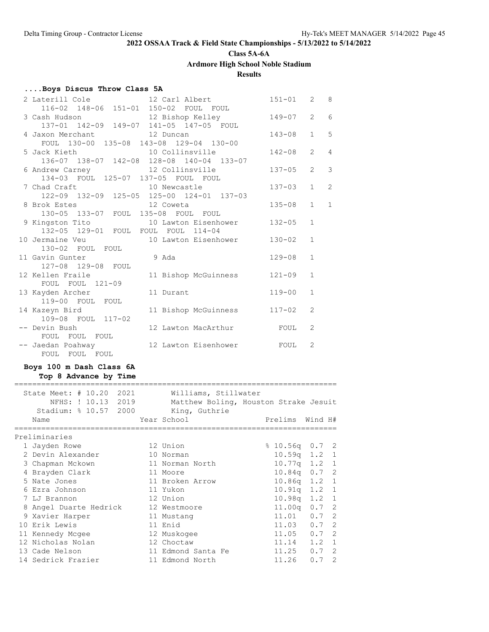# **Class 5A-6A**

**Ardmore High School Noble Stadium**

### **Results**

### **....Boys Discus Throw Class 5A**

| 2 Laterill Cole<br>12 Carl Albert                                                             | $151 - 01$ | 2              | 8              |
|-----------------------------------------------------------------------------------------------|------------|----------------|----------------|
| 116-02 148-06 151-01 150-02 FOUL FOUL                                                         |            |                |                |
| 12 Bishop Kelley<br>3 Cash Hudson 12 Bishop Kelley<br>137-01 142-09 149-07 141-05 147-05 FOUL | $149 - 07$ | $\overline{2}$ | 6              |
|                                                                                               |            |                |                |
| 4 Jaxon Merchant 12 Duncan                                                                    | $143 - 08$ | $\mathbf{1}$   | 5              |
| FOUL 130-00 135-08 143-08 129-04 130-00                                                       |            |                |                |
| 5 Jack Kieth 10 Collinsville                                                                  | $142 - 08$ | $\overline{2}$ | $\overline{4}$ |
| 136-07 138-07 142-08 128-08 140-04 133-07                                                     |            |                |                |
| 6 Andrew Carney 12 Collinsville                                                               | $137 - 05$ | $\overline{2}$ | 3              |
| 134-03 FOUL 125-07 137-05 FOUL FOUL                                                           |            |                |                |
| 7 Chad Craft 10 Newcastle                                                                     | $137 - 03$ | $\mathbf{1}$   | 2              |
| 122-09 132-09 125-05 125-00 124-01 137-03                                                     |            |                |                |
| 8 Brok Estes<br>12 Coweta                                                                     | $135 - 08$ | $\mathbf{1}$   | $\mathbf{1}$   |
| 130-05 133-07 FOUL 135-08 FOUL FOUL                                                           |            |                |                |
| 9 Kingston Tito<br>10 Lawton Eisenhower                                                       | $132 - 05$ | $\mathbf{1}$   |                |
| 132-05 129-01 FOUL FOUL FOUL 114-04                                                           |            |                |                |
| 10 Jermaine Veu<br>10 Lawton Eisenhower                                                       | $130 - 02$ | $\mathbf{1}$   |                |
| 130-02 FOUL FOUL                                                                              |            |                |                |
| 11 Gavin Gunter<br>9 Ada                                                                      | $129 - 08$ | $\mathbf{1}$   |                |
| 127-08 129-08 FOUL                                                                            |            |                |                |
| 12 Kellen Fraile<br>11 Bishop McGuinness                                                      | $121 - 09$ | $\mathbf{1}$   |                |
| FOUL FOUL 121-09                                                                              |            |                |                |
| 13 Kayden Archer<br>11 Durant                                                                 | $119 - 00$ | $\mathbf{1}$   |                |
| 119-00 FOUL FOUL                                                                              |            | $\mathfrak{D}$ |                |
| 14 Kazeyn Bird<br>11 Bishop McGuinness<br>109-08 FOUL 117-02                                  | $117 - 02$ |                |                |
| -- Devin Bush<br>12 Lawton MacArthur                                                          | FOUL       | $\mathfrak{D}$ |                |
| FOUL FOUL FOUL                                                                                |            |                |                |
| -- Jaedan Poahway<br>12 Lawton Eisenhower                                                     | FOUL       | 2              |                |
| FOUL FOUL FOUL                                                                                |            |                |                |
|                                                                                               |            |                |                |

### **Boys 100 m Dash Class 6A**

### **Top 8 Advance by Time**

|   | State Meet: $\#$ 10.20<br>2021<br>NFHS: ! 10.13 2019<br>Stadium: % 10.57 2000 | Williams, Stillwater<br>Matthew Boling, Houston Strake Jesuit<br>King, Guthrie |                            |         |                |
|---|-------------------------------------------------------------------------------|--------------------------------------------------------------------------------|----------------------------|---------|----------------|
|   | Name                                                                          | Year School                                                                    | Prelims Wind H#            |         |                |
|   | Preliminaries                                                                 |                                                                                |                            |         |                |
|   | 1 Jayden Rowe                                                                 | 12 Union                                                                       | $\frac{2}{3}$ 10.56q 0.7 2 |         |                |
|   | 2 Devin Alexander                                                             | 10 Norman                                                                      | $10.59q$ 1.2 1             |         |                |
|   | 3 Chapman Mckown                                                              | 11 Norman North                                                                | $10.77q$ $1.2$             |         | 1              |
|   | 4 Brayden Clark                                                               | 11 Moore                                                                       | 10.84q                     | $0.7-2$ |                |
|   | 5 Nate Jones                                                                  | 11 Broken Arrow                                                                | $10.86q$ 1.2               |         | $\overline{1}$ |
|   | 6 Ezra Johnson                                                                | 11 Yukon                                                                       | $10.91q$ 1.2 1             |         |                |
|   | 7 LJ Brannon                                                                  | 12 Union                                                                       | $10.98q$ 1.2 1             |         |                |
| 8 | Angel Duarte Hedrick                                                          | 12 Westmoore                                                                   | 11.00 <sub>q</sub>         | 0.7     | 2              |
|   | 9 Xavier Harper                                                               | 11 Mustang                                                                     | $11.01$ 0.7 2              |         |                |
|   | 10 Erik Lewis                                                                 | 11 Enid                                                                        | 11.03                      | $0.7-2$ |                |
|   | 11 Kennedy Mcgee                                                              | 12 Muskogee                                                                    | 11.05                      | 0.7     | 2              |
|   | 12 Nicholas Nolan                                                             | 12 Choctaw                                                                     | 11.14                      | 1.2     | $\mathbf{1}$   |
|   | 13 Cade Nelson                                                                | 11 Edmond Santa Fe                                                             | 11.25                      | 0.7     | $\mathcal{L}$  |
|   | 14 Sedrick Frazier                                                            | 11 Edmond North                                                                | 11.26                      | 0.7     | $\mathcal{L}$  |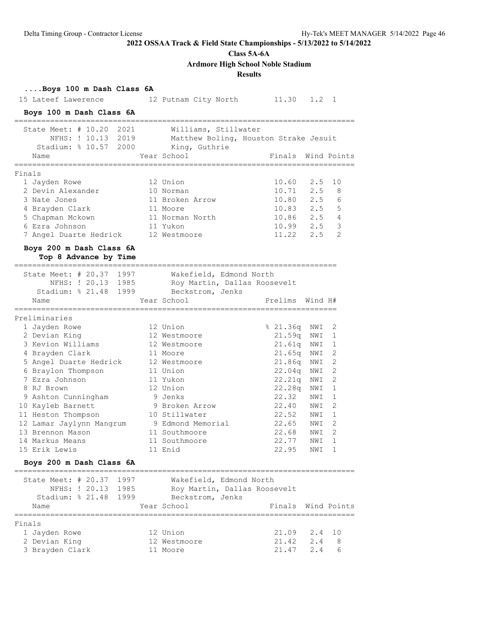#### **Class 5A-6A**

**Ardmore High School Noble Stadium**

#### **Results**

**....Boys 100 m Dash Class 6A** 15 Lateef Lawerence 12 Putnam City North 11.30 1.2 1 **Boys 100 m Dash Class 6A** ============================================================================ State Meet: # 10.20 2021 Williams, Stillwater NFHS: ! 10.13 2019 Matthew Boling, Houston Strake Jesuit Stadium: % 10.57 2000 King, Guthrie Name The Year School The Points Wind Points ============================================================================ Finals 1 Jayden Rowe 12 Union 10.60 2.5 10 2 Devin Alexander 10 Norman 10.71 2.5 8 3 Nate Jones 11 Broken Arrow 10.80 2.5 6 4 Brayden Clark 11 Moore 10.83 2.5 5 5 Chapman Mckown 11 Norman North 10.86 2.5 4 6 Ezra Johnson 11 Yukon 10.99 2.5 3 7 Angel Duarte Hedrick 12 Westmoore 11.22 2.5 2 **Boys 200 m Dash Class 6A Top 8 Advance by Time** ======================================================================== State Meet: # 20.37 1997 Wakefield, Edmond North NFHS: ! 20.13 1985 Roy Martin, Dallas Roosevelt Stadium: % 21.48 1999 Beckstrom, Jenks Name Year School Prelims Wind H# ======================================================================== Preliminaries 1 Jayden Rowe 12 Union % 21.36q NWI 2 2 Devian King 12 Westmoore 21.59q NWI 1 3 Kevion Williams 12 Westmoore 21.61q NWI 1 4 Brayden Clark 11 Moore 21.65q NWI 2 5 Angel Duarte Hedrick 12 Westmoore 21.86q NWI 2 6 Braylon Thompson 11 Union 22.04q NWI 2 7 Ezra Johnson 11 Yukon 22.21q NWI 2 8 RJ Brown 12 Union 22.28q NWI 1 9 Ashton Cunningham 9 Jenks 22.32 NWI 1 10 Kayleb Barnett 9 Broken Arrow 22.40 NWI 2 11 Heston Thompson 10 Stillwater 22.52 NWI 1 12 Lamar Jaylynn Mangrum 9 Edmond Memorial 22.65 NWI 2 13 Brennon Mason 11 Southmoore 22.68 NWI 2 14 Markus Means 11 Southmoore 22.77 NWI 1 15 Erik Lewis 11 Enid 22.95 NWI 1 **Boys 200 m Dash Class 6A** ============================================================================ State Meet: # 20.37 1997 Wakefield, Edmond North NFHS: ! 20.13 1985 Roy Martin, Dallas Roosevelt Stadium: % 21.48 1999 Beckstrom, Jenks Name Year School Finals Wind Points ============================================================================ Finals 1 Jayden Rowe 12 Union 21.09 2.4 10 2 Devian King 12 Westmoore 21.42 2.4 8 3 Brayden Clark 11 Moore 21.47 2.4 6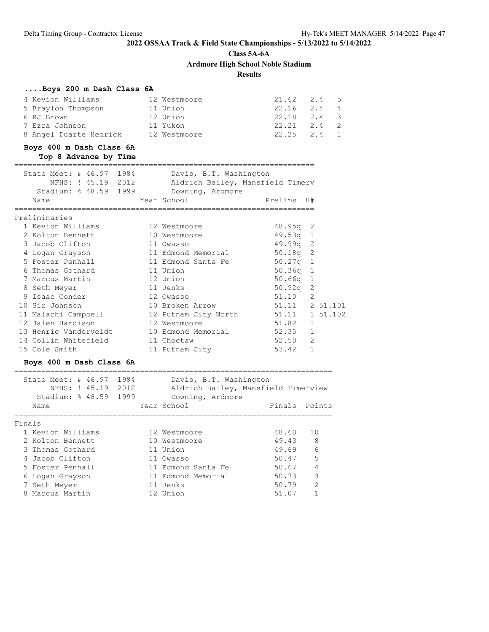**Class 5A-6A**

**Ardmore High School Noble Stadium**

**Results**

#### **....Boys 200 m Dash Class 6A**

| 4 Kevion Williams      | 12 Westmoore | $21.62 \t 2.4 \t 5$ |  |
|------------------------|--------------|---------------------|--|
| 5 Braylon Thompson     | 11 Union     | $22.16$ $2.4$ 4     |  |
| 6 RJ Brown             | 12 Union     | 22.18 2.4 3         |  |
| 7 Ezra Johnson         | 11 Yukon     | $22.21$ $2.4$ 2     |  |
| 8 Angel Duarte Hedrick | 12 Westmoore | $22.25$ $2.4$ 1     |  |

### **Boys 400 m Dash Class 6A Top 8 Advance by Time**

=================================================================== State Meet: # 46.97 1984 Davis, B.T. Washington NFHS: ! 45.19 2012 Aldrich Bailey, Mansfield Timerv Stadium: % 48.59 1999 Downing, Ardmore Name The Year School Contract Prelims H# =================================================================== Preliminaries 1 Kevion Williams 12 Westmoore 48.95q 2 2 Kolton Bennett 10 Westmoore 49.53q 1 3 Jacob Clifton 11 Owasso 49.99q 2 4 Logan Grayson 11 Edmond Memorial 50.18q 2 5 Foster Penhall 11 Edmond Santa Fe 50.27q 1 6 Thomas Gothard 11 Union 50.36q 1 7 Marcus Martin 12 Union 50.66q 1 8 Seth Meyer 11 Jenks 50.92q 2 9 Isaac Conder 12 Owasso 51.10 2 10 Sir Johnson 10 Broken Arrow 51.11 2 51.101 11 Malachi Campbell 12 Putnam City North 51.11 1 51.102 12 Jalen Hardison 12 Westmoore 51.82 1 13 Henric Vanderveldt 10 Edmond Memorial 52.35 1 14 Collin Whitefield 11 Choctaw 52.50 2 15 Cole Smith 11 Putnam City 53.42 1

#### **Boys 400 m Dash Class 6A**

| State Meet: $\#$ 46.97<br>NFHS: ! 45.19<br>Stadium: $% 48.59$<br>Name | 1984<br>2012<br>1999 | Davis, B.T. Washington<br>Aldrich Bailey, Mansfield Timerview<br>Downing, Ardmore<br>Year School | Finals | Points          |
|-----------------------------------------------------------------------|----------------------|--------------------------------------------------------------------------------------------------|--------|-----------------|
|                                                                       |                      |                                                                                                  |        |                 |
| Finals                                                                |                      |                                                                                                  |        |                 |
| 1 Kevion Williams                                                     |                      | 12 Westmoore                                                                                     | 48.60  | 1 O             |
| 2 Kolton Bennett                                                      |                      | 10 Westmoore                                                                                     | 49.43  | 8               |
| 3 Thomas Gothard                                                      |                      | 11 Union                                                                                         | 49.69  | $6\overline{6}$ |
| 4 Jacob Clifton                                                       |                      | 11 Owasso                                                                                        | 50.47  | 5               |
| 5 Foster Penhall                                                      |                      | 11 Edmond Santa Fe                                                                               | 50.67  | 4               |
| 6 Logan Grayson                                                       |                      | 11 Edmond Memorial                                                                               | 50.73  | 3               |
| 7 Seth Meyer                                                          |                      | 11 Jenks                                                                                         | 50.79  | $\mathcal{P}$   |
| Marcus Martin                                                         |                      | 12 Union                                                                                         | 51.07  |                 |
|                                                                       |                      |                                                                                                  |        |                 |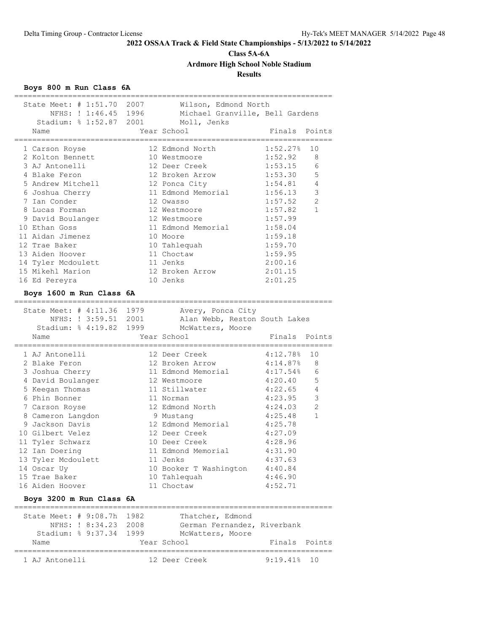**Class 5A-6A**

**Ardmore High School Noble Stadium**

**Results**

### **Boys 800 m Run Class 6A**

| 11 Edmond Memorial<br>4:31.90<br>4:37.63<br>10 Booker T Washington<br>4:40.84<br>10 Tahlequah<br>4:46.90<br>11 Choctaw<br>4:52.71<br>Thatcher, Edmond<br>German Fernandez, Riverbank<br>McWatters, Moore<br>Year School<br>Finals Points | $\mathbf{1}$                                                                                                                                   |
|------------------------------------------------------------------------------------------------------------------------------------------------------------------------------------------------------------------------------------------|------------------------------------------------------------------------------------------------------------------------------------------------|
|                                                                                                                                                                                                                                          |                                                                                                                                                |
|                                                                                                                                                                                                                                          |                                                                                                                                                |
|                                                                                                                                                                                                                                          |                                                                                                                                                |
|                                                                                                                                                                                                                                          |                                                                                                                                                |
|                                                                                                                                                                                                                                          |                                                                                                                                                |
|                                                                                                                                                                                                                                          |                                                                                                                                                |
|                                                                                                                                                                                                                                          |                                                                                                                                                |
| 4:28.96<br>10 Deer Creek                                                                                                                                                                                                                 |                                                                                                                                                |
| 12 Deer Creek<br>4:27.09                                                                                                                                                                                                                 |                                                                                                                                                |
| 12 Edmond Memorial<br>4:25.78                                                                                                                                                                                                            |                                                                                                                                                |
| 9 Mustang<br>4:25.48                                                                                                                                                                                                                     |                                                                                                                                                |
| 12 Edmond North<br>4:24.03                                                                                                                                                                                                               | $\overline{2}$                                                                                                                                 |
| 4:23.95<br>11 Norman                                                                                                                                                                                                                     | 3                                                                                                                                              |
| 11 Stillwater<br>4:22.65                                                                                                                                                                                                                 | 4                                                                                                                                              |
| 4:20.40<br>12 Westmoore                                                                                                                                                                                                                  | 5                                                                                                                                              |
| 11 Edmond Memorial<br>4:17.54%                                                                                                                                                                                                           | 6                                                                                                                                              |
| 12 Broken Arrow<br>4:14.87%                                                                                                                                                                                                              | 8                                                                                                                                              |
| 4:12.78%<br>12 Deer Creek                                                                                                                                                                                                                | 10                                                                                                                                             |
| Year School<br>Finals                                                                                                                                                                                                                    | Points                                                                                                                                         |
| McWatters, Moore                                                                                                                                                                                                                         |                                                                                                                                                |
| Alan Webb, Reston South Lakes                                                                                                                                                                                                            |                                                                                                                                                |
| Avery, Ponca City                                                                                                                                                                                                                        |                                                                                                                                                |
|                                                                                                                                                                                                                                          |                                                                                                                                                |
| 2:01.25                                                                                                                                                                                                                                  |                                                                                                                                                |
| 12 Broken Arrow<br>2:01.15                                                                                                                                                                                                               |                                                                                                                                                |
| 2:00.16                                                                                                                                                                                                                                  |                                                                                                                                                |
| 11 Choctaw<br>1:59.95                                                                                                                                                                                                                    |                                                                                                                                                |
| 10 Tahlequah<br>1:59.70                                                                                                                                                                                                                  |                                                                                                                                                |
| 1:59.18                                                                                                                                                                                                                                  |                                                                                                                                                |
| 11 Edmond Memorial<br>1:58.04                                                                                                                                                                                                            |                                                                                                                                                |
| 12 Westmoore<br>1:57.99                                                                                                                                                                                                                  |                                                                                                                                                |
| 12 Westmoore<br>1:57.82                                                                                                                                                                                                                  | $\mathbf{1}$                                                                                                                                   |
| 12 Owasso<br>1:57.52                                                                                                                                                                                                                     | $\overline{2}$                                                                                                                                 |
| 11 Edmond Memorial<br>1:56.13                                                                                                                                                                                                            | $\mathsf 3$                                                                                                                                    |
| 12 Ponca City<br>1:54.81                                                                                                                                                                                                                 | $\overline{4}$                                                                                                                                 |
| 12 Broken Arrow<br>1:53.30                                                                                                                                                                                                               | 5                                                                                                                                              |
| 12 Deer Creek<br>1:53.15                                                                                                                                                                                                                 | 6                                                                                                                                              |
| 1:52.27%<br>12 Edmond North<br>1:52.92<br>10 Westmoore                                                                                                                                                                                   | 10<br>8                                                                                                                                        |
|                                                                                                                                                                                                                                          |                                                                                                                                                |
| Year School<br>Finals Points                                                                                                                                                                                                             |                                                                                                                                                |
|                                                                                                                                                                                                                                          |                                                                                                                                                |
|                                                                                                                                                                                                                                          |                                                                                                                                                |
|                                                                                                                                                                                                                                          | State Meet: # 1:51.70 2007 Wilson, Edmond North<br>NFHS: ! 1:46.45 1996 Michael Granville, Bell Gardens<br>Stadium: % 1:52.87 2001 Moll, Jenks |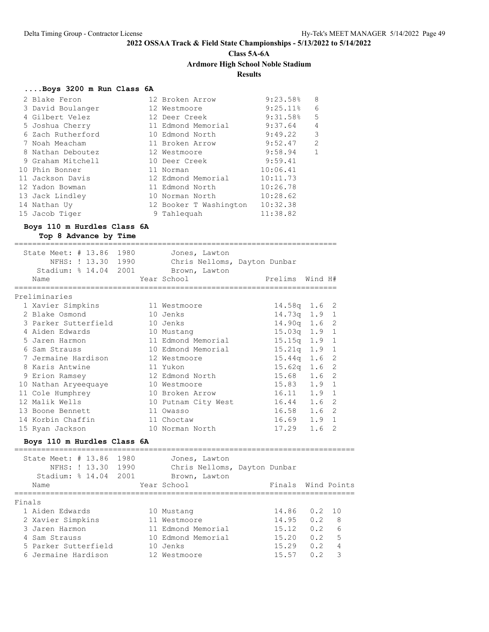# **Class 5A-6A**

# **Ardmore High School Noble Stadium**

### **Results**

### **....Boys 3200 m Run Class 6A**

| 2 Blake Feron     | 12 Broken Arrow        | 9:23.58%               | 8              |
|-------------------|------------------------|------------------------|----------------|
| 3 David Boulanger | 12 Westmoore           | $9:25.11$ <sup>8</sup> | 6              |
| 4 Gilbert Velez   | 12 Deer Creek          | 9:31.58%               | 5              |
| 5 Joshua Cherry   | 11 Edmond Memorial     | 9:37.64                | $\overline{4}$ |
| 6 Zach Rutherford | 10 Edmond North        | 9:49.22                | 3              |
| 7 Noah Meacham    | 11 Broken Arrow        | 9:52.47                | $\overline{2}$ |
| 8 Nathan Deboutez | 12 Westmoore           | 9:58.94                | $\mathbf{1}$   |
| 9 Graham Mitchell | 10 Deer Creek          | 9:59.41                |                |
| 10 Phin Bonner    | 11 Norman              | 10:06.41               |                |
| 11 Jackson Davis  | 12 Edmond Memorial     | 10:11.73               |                |
| 12 Yadon Bowman   | 11 Edmond North        | 10:26.78               |                |
| 13 Jack Lindley   | 10 Norman North        | 10:28.62               |                |
| 14 Nathan Uy      | 12 Booker T Washington | 10:32.38               |                |
| 15 Jacob Tiger    | 9 Tahlequah            | 11:38.82               |                |

### **Boys 110 m Hurdles Class 6A Top 8 Advance by Time**

| State Meet: # 13.86 1980<br>NFHS: ! 13.30 1990<br>Stadium: % 14.04 2001 Brown, Lawton | Jones, Lawton<br>Chris Nelloms, Dayton Dunbar |                                |
|---------------------------------------------------------------------------------------|-----------------------------------------------|--------------------------------|
| Name                                                                                  | Year School                                   | Prelims Wind H#                |
| Preliminaries                                                                         |                                               |                                |
| 1 Xavier Simpkins                                                                     | 11 Westmoore                                  | $14.58q$ 1.6 2                 |
| 2 Blake Osmond                                                                        | 10 Jenks                                      | $14.73q$ 1.9 1                 |
| 3 Parker Sutterfield                                                                  | 10 Jenks                                      | $14.90q$ 1.6 2                 |
| 4 Aiden Edwards                                                                       | 10 Mustang                                    | $15.03q$ 1.9 1                 |
| 5 Jaren Harmon                                                                        | 11 Edmond Memorial                            | $\mathbf{1}$<br>$15.15q$ $1.9$ |
| 6 Sam Strauss                                                                         | 10 Edmond Memorial                            | $15.21q$ $1.9$ 1               |
| 7 Jermaine Hardison                                                                   | 12 Westmoore                                  | $15.44q$ 1.6 2                 |
| 8 Karis Antwine                                                                       | 11 Yukon                                      | $15.62q$ 1.6 2                 |
| 9 Erion Ramsey                                                                        | 12 Edmond North                               | $15.68$ $1.6$ 2                |
| 10 Nathan Aryeequaye                                                                  | 10 Westmoore                                  | $15.83$ $1.9$<br>1             |
| 11 Cole Humphrey                                                                      | 10 Broken Arrow                               | 16.11 1.9<br>1                 |
| 12 Malik Wells                                                                        | 10 Putnam City West                           | 2<br>1.6<br>16.44              |
| 13 Boone Bennett                                                                      | 11 Owasso                                     | -2<br>16.58 1.6                |
| 14 Korbin Chaffin                                                                     | 11 Choctaw                                    | $1.9 \quad 1$<br>16.69         |
| 15 Ryan Jackson                                                                       | 10 Norman North                               | 2<br>17.29<br>1.6              |

#### **Boys 110 m Hurdles Class 6A**

|        | State Meet: $\#$ 13.86<br>Stadium: $% 14.04$<br>Name | NFHS: ! 13.30 | 1980<br>1990<br>2001 | Jones, Lawton<br>Chris Nelloms, Dayton Dunbar<br>Brown, Lawton<br>Year School | Finals Wind Points |     |       |
|--------|------------------------------------------------------|---------------|----------------------|-------------------------------------------------------------------------------|--------------------|-----|-------|
| Finals |                                                      |               |                      |                                                                               |                    |     |       |
|        | 1 Aiden Edwards                                      |               |                      | 10 Mustang                                                                    | 14.86              | 0.2 | - 1 O |
|        | 2 Xavier Simpkins                                    |               |                      | 11 Westmoore                                                                  | 14.95              | 0.2 | 8     |
|        | 3 Jaren Harmon                                       |               |                      | 11 Edmond Memorial                                                            | 15.12              | 0.2 | 6     |
|        | 4 Sam Strauss                                        |               |                      | 10 Edmond Memorial                                                            | 15.20              | 0.2 | 5     |
|        | 5 Parker Sutterfield                                 |               |                      | 10 Jenks                                                                      | 15.29              | 0.2 | 4     |
|        | 6 Jermaine Hardison                                  |               |                      | 12 Westmoore                                                                  | 15.57              | 0 2 | Κ     |
|        |                                                      |               |                      |                                                                               |                    |     |       |

============================================================================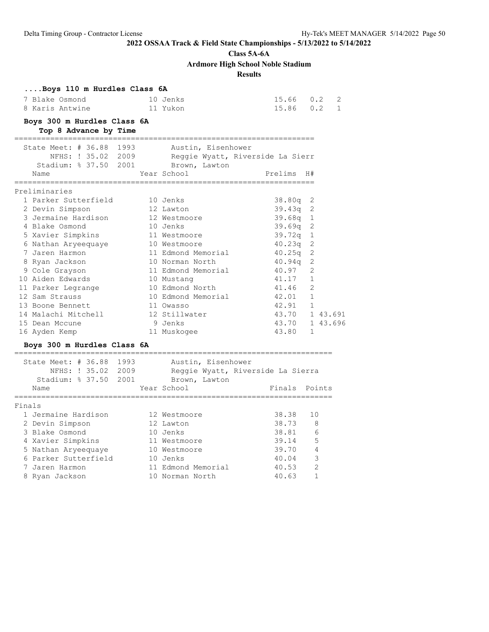### **Class 5A-6A**

**Ardmore High School Noble Stadium**

### **Results**

| $15.66$ 0.2 2<br>10 Jenks<br>$15.86$ 0.2 1<br>8 Karis Antwine<br>11 Yukon<br>Boys 300 m Hurdles Class 6A<br>Top 8 Advance by Time<br>State Meet: # 36.88 1993 Austin, Eisenhower<br>NFHS: ! 35.02 2009 Reggie Wyatt, Riverside La Sierr<br>Stadium: % 37.50 2001 Brown, Lawton<br>Prelims<br>Year School<br>Name<br>H#<br>============<br>Preliminaries<br>1 Parker Sutterfield<br>10 Jenks<br>38.80q<br>2<br>$39.43q$ 2<br>2 Devin Simpson<br>12 Lawton<br>39.68q<br>1<br>3 Jermaine Hardison<br>12 Westmoore<br>4 Blake Osmond<br>39.69q<br>2<br>10 Jenks<br>39.72q 1<br>5 Xavier Simpkins<br>11 Westmoore<br>$\overline{2}$<br>40.23q<br>6 Nathan Aryeequaye<br>10 Westmoore<br>2<br>7 Jaren Harmon<br>11 Edmond Memorial<br>40.25q<br>2<br>10 Norman North<br>40.94q<br>8 Ryan Jackson<br>40.97<br>2<br>9 Cole Grayson<br>11 Edmond Memorial<br>$\overline{1}$<br>10 Aiden Edwards<br>41.17<br>10 Mustang<br>2<br>41.46<br>11 Parker Legrange<br>10 Edmond North<br>42.01 1<br>12 Sam Strauss<br>10 Edmond Memorial<br>13 Boone Bennett<br>42.91<br>$\overline{1}$<br>11 Owasso<br>43.70 1 43.691<br>14 Malachi Mitchell<br>12 Stillwater<br>43.70 1 43.696<br>15 Dean Mccune<br>9 Jenks<br>16 Ayden Kemp<br>43.80<br>1<br>11 Muskogee<br>Boys 300 m Hurdles Class 6A<br>=============================<br>State Meet: # 36.88<br>1993<br>Austin, Eisenhower<br>NFHS: ! 35.02 2009<br>Reggie Wyatt, Riverside La Sierra<br>Stadium: % 37.50 2001<br>Brown, Lawton<br>Year School<br>Finals<br>Points<br>Name<br>Finals<br>1 Jermaine Hardison<br>38.38<br>10<br>12 Westmoore<br>38.73<br>12 Lawton<br>2 Devin Simpson<br>8 | Boys 110 m Hurdles Class 6A<br>7 Blake Osmond |  |  |  |
|-------------------------------------------------------------------------------------------------------------------------------------------------------------------------------------------------------------------------------------------------------------------------------------------------------------------------------------------------------------------------------------------------------------------------------------------------------------------------------------------------------------------------------------------------------------------------------------------------------------------------------------------------------------------------------------------------------------------------------------------------------------------------------------------------------------------------------------------------------------------------------------------------------------------------------------------------------------------------------------------------------------------------------------------------------------------------------------------------------------------------------------------------------------------------------------------------------------------------------------------------------------------------------------------------------------------------------------------------------------------------------------------------------------------------------------------------------------------------------------------------------------------------------------------------------------------------------------------------------------------------------|-----------------------------------------------|--|--|--|
|                                                                                                                                                                                                                                                                                                                                                                                                                                                                                                                                                                                                                                                                                                                                                                                                                                                                                                                                                                                                                                                                                                                                                                                                                                                                                                                                                                                                                                                                                                                                                                                                                               |                                               |  |  |  |
|                                                                                                                                                                                                                                                                                                                                                                                                                                                                                                                                                                                                                                                                                                                                                                                                                                                                                                                                                                                                                                                                                                                                                                                                                                                                                                                                                                                                                                                                                                                                                                                                                               |                                               |  |  |  |
|                                                                                                                                                                                                                                                                                                                                                                                                                                                                                                                                                                                                                                                                                                                                                                                                                                                                                                                                                                                                                                                                                                                                                                                                                                                                                                                                                                                                                                                                                                                                                                                                                               |                                               |  |  |  |
|                                                                                                                                                                                                                                                                                                                                                                                                                                                                                                                                                                                                                                                                                                                                                                                                                                                                                                                                                                                                                                                                                                                                                                                                                                                                                                                                                                                                                                                                                                                                                                                                                               |                                               |  |  |  |
|                                                                                                                                                                                                                                                                                                                                                                                                                                                                                                                                                                                                                                                                                                                                                                                                                                                                                                                                                                                                                                                                                                                                                                                                                                                                                                                                                                                                                                                                                                                                                                                                                               |                                               |  |  |  |
|                                                                                                                                                                                                                                                                                                                                                                                                                                                                                                                                                                                                                                                                                                                                                                                                                                                                                                                                                                                                                                                                                                                                                                                                                                                                                                                                                                                                                                                                                                                                                                                                                               |                                               |  |  |  |
|                                                                                                                                                                                                                                                                                                                                                                                                                                                                                                                                                                                                                                                                                                                                                                                                                                                                                                                                                                                                                                                                                                                                                                                                                                                                                                                                                                                                                                                                                                                                                                                                                               |                                               |  |  |  |
|                                                                                                                                                                                                                                                                                                                                                                                                                                                                                                                                                                                                                                                                                                                                                                                                                                                                                                                                                                                                                                                                                                                                                                                                                                                                                                                                                                                                                                                                                                                                                                                                                               |                                               |  |  |  |
|                                                                                                                                                                                                                                                                                                                                                                                                                                                                                                                                                                                                                                                                                                                                                                                                                                                                                                                                                                                                                                                                                                                                                                                                                                                                                                                                                                                                                                                                                                                                                                                                                               |                                               |  |  |  |
|                                                                                                                                                                                                                                                                                                                                                                                                                                                                                                                                                                                                                                                                                                                                                                                                                                                                                                                                                                                                                                                                                                                                                                                                                                                                                                                                                                                                                                                                                                                                                                                                                               |                                               |  |  |  |
|                                                                                                                                                                                                                                                                                                                                                                                                                                                                                                                                                                                                                                                                                                                                                                                                                                                                                                                                                                                                                                                                                                                                                                                                                                                                                                                                                                                                                                                                                                                                                                                                                               |                                               |  |  |  |
|                                                                                                                                                                                                                                                                                                                                                                                                                                                                                                                                                                                                                                                                                                                                                                                                                                                                                                                                                                                                                                                                                                                                                                                                                                                                                                                                                                                                                                                                                                                                                                                                                               |                                               |  |  |  |
|                                                                                                                                                                                                                                                                                                                                                                                                                                                                                                                                                                                                                                                                                                                                                                                                                                                                                                                                                                                                                                                                                                                                                                                                                                                                                                                                                                                                                                                                                                                                                                                                                               |                                               |  |  |  |
|                                                                                                                                                                                                                                                                                                                                                                                                                                                                                                                                                                                                                                                                                                                                                                                                                                                                                                                                                                                                                                                                                                                                                                                                                                                                                                                                                                                                                                                                                                                                                                                                                               |                                               |  |  |  |
|                                                                                                                                                                                                                                                                                                                                                                                                                                                                                                                                                                                                                                                                                                                                                                                                                                                                                                                                                                                                                                                                                                                                                                                                                                                                                                                                                                                                                                                                                                                                                                                                                               |                                               |  |  |  |
|                                                                                                                                                                                                                                                                                                                                                                                                                                                                                                                                                                                                                                                                                                                                                                                                                                                                                                                                                                                                                                                                                                                                                                                                                                                                                                                                                                                                                                                                                                                                                                                                                               |                                               |  |  |  |
|                                                                                                                                                                                                                                                                                                                                                                                                                                                                                                                                                                                                                                                                                                                                                                                                                                                                                                                                                                                                                                                                                                                                                                                                                                                                                                                                                                                                                                                                                                                                                                                                                               |                                               |  |  |  |
|                                                                                                                                                                                                                                                                                                                                                                                                                                                                                                                                                                                                                                                                                                                                                                                                                                                                                                                                                                                                                                                                                                                                                                                                                                                                                                                                                                                                                                                                                                                                                                                                                               |                                               |  |  |  |
|                                                                                                                                                                                                                                                                                                                                                                                                                                                                                                                                                                                                                                                                                                                                                                                                                                                                                                                                                                                                                                                                                                                                                                                                                                                                                                                                                                                                                                                                                                                                                                                                                               |                                               |  |  |  |
|                                                                                                                                                                                                                                                                                                                                                                                                                                                                                                                                                                                                                                                                                                                                                                                                                                                                                                                                                                                                                                                                                                                                                                                                                                                                                                                                                                                                                                                                                                                                                                                                                               |                                               |  |  |  |
|                                                                                                                                                                                                                                                                                                                                                                                                                                                                                                                                                                                                                                                                                                                                                                                                                                                                                                                                                                                                                                                                                                                                                                                                                                                                                                                                                                                                                                                                                                                                                                                                                               |                                               |  |  |  |
|                                                                                                                                                                                                                                                                                                                                                                                                                                                                                                                                                                                                                                                                                                                                                                                                                                                                                                                                                                                                                                                                                                                                                                                                                                                                                                                                                                                                                                                                                                                                                                                                                               |                                               |  |  |  |
|                                                                                                                                                                                                                                                                                                                                                                                                                                                                                                                                                                                                                                                                                                                                                                                                                                                                                                                                                                                                                                                                                                                                                                                                                                                                                                                                                                                                                                                                                                                                                                                                                               |                                               |  |  |  |
|                                                                                                                                                                                                                                                                                                                                                                                                                                                                                                                                                                                                                                                                                                                                                                                                                                                                                                                                                                                                                                                                                                                                                                                                                                                                                                                                                                                                                                                                                                                                                                                                                               |                                               |  |  |  |
|                                                                                                                                                                                                                                                                                                                                                                                                                                                                                                                                                                                                                                                                                                                                                                                                                                                                                                                                                                                                                                                                                                                                                                                                                                                                                                                                                                                                                                                                                                                                                                                                                               |                                               |  |  |  |
|                                                                                                                                                                                                                                                                                                                                                                                                                                                                                                                                                                                                                                                                                                                                                                                                                                                                                                                                                                                                                                                                                                                                                                                                                                                                                                                                                                                                                                                                                                                                                                                                                               |                                               |  |  |  |
|                                                                                                                                                                                                                                                                                                                                                                                                                                                                                                                                                                                                                                                                                                                                                                                                                                                                                                                                                                                                                                                                                                                                                                                                                                                                                                                                                                                                                                                                                                                                                                                                                               |                                               |  |  |  |
|                                                                                                                                                                                                                                                                                                                                                                                                                                                                                                                                                                                                                                                                                                                                                                                                                                                                                                                                                                                                                                                                                                                                                                                                                                                                                                                                                                                                                                                                                                                                                                                                                               |                                               |  |  |  |
|                                                                                                                                                                                                                                                                                                                                                                                                                                                                                                                                                                                                                                                                                                                                                                                                                                                                                                                                                                                                                                                                                                                                                                                                                                                                                                                                                                                                                                                                                                                                                                                                                               |                                               |  |  |  |
|                                                                                                                                                                                                                                                                                                                                                                                                                                                                                                                                                                                                                                                                                                                                                                                                                                                                                                                                                                                                                                                                                                                                                                                                                                                                                                                                                                                                                                                                                                                                                                                                                               |                                               |  |  |  |
|                                                                                                                                                                                                                                                                                                                                                                                                                                                                                                                                                                                                                                                                                                                                                                                                                                                                                                                                                                                                                                                                                                                                                                                                                                                                                                                                                                                                                                                                                                                                                                                                                               |                                               |  |  |  |
|                                                                                                                                                                                                                                                                                                                                                                                                                                                                                                                                                                                                                                                                                                                                                                                                                                                                                                                                                                                                                                                                                                                                                                                                                                                                                                                                                                                                                                                                                                                                                                                                                               |                                               |  |  |  |
| 3 Blake Osmond<br>38.81<br>10 Jenks<br>6                                                                                                                                                                                                                                                                                                                                                                                                                                                                                                                                                                                                                                                                                                                                                                                                                                                                                                                                                                                                                                                                                                                                                                                                                                                                                                                                                                                                                                                                                                                                                                                      |                                               |  |  |  |
| 4 Xavier Simpkins<br>11 Westmoore<br>39.14<br>5                                                                                                                                                                                                                                                                                                                                                                                                                                                                                                                                                                                                                                                                                                                                                                                                                                                                                                                                                                                                                                                                                                                                                                                                                                                                                                                                                                                                                                                                                                                                                                               |                                               |  |  |  |
| $\overline{4}$<br>39.70<br>5 Nathan Aryeequaye<br>10 Westmoore                                                                                                                                                                                                                                                                                                                                                                                                                                                                                                                                                                                                                                                                                                                                                                                                                                                                                                                                                                                                                                                                                                                                                                                                                                                                                                                                                                                                                                                                                                                                                                |                                               |  |  |  |
| 6 Parker Sutterfield<br>3<br>10 Jenks<br>40.04                                                                                                                                                                                                                                                                                                                                                                                                                                                                                                                                                                                                                                                                                                                                                                                                                                                                                                                                                                                                                                                                                                                                                                                                                                                                                                                                                                                                                                                                                                                                                                                |                                               |  |  |  |
| 2<br>11 Edmond Memorial<br>7 Jaren Harmon<br>40.53                                                                                                                                                                                                                                                                                                                                                                                                                                                                                                                                                                                                                                                                                                                                                                                                                                                                                                                                                                                                                                                                                                                                                                                                                                                                                                                                                                                                                                                                                                                                                                            |                                               |  |  |  |
| $\mathbf{1}$<br>10 Norman North<br>40.63<br>8 Ryan Jackson                                                                                                                                                                                                                                                                                                                                                                                                                                                                                                                                                                                                                                                                                                                                                                                                                                                                                                                                                                                                                                                                                                                                                                                                                                                                                                                                                                                                                                                                                                                                                                    |                                               |  |  |  |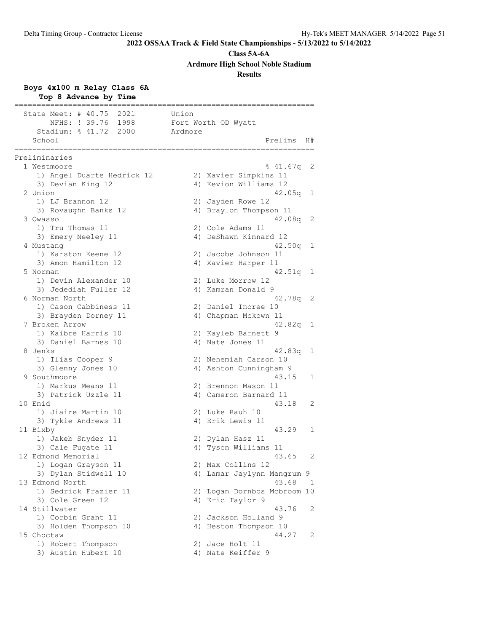**Class 5A-6A**

**Ardmore High School Noble Stadium**

### **Results**

### **Boys 4x100 m Relay Class 6A**

| Top 8 Advance by Time                                                                               |                                                          |
|-----------------------------------------------------------------------------------------------------|----------------------------------------------------------|
| State Meet: # 40.75 2021<br>NFHS: ! 39.76<br>1998<br>Stadium: $\frac{1}{6}$ 41.72<br>2000<br>School | Union<br>Fort Worth OD Wyatt<br>Ardmore<br>Prelims<br>H# |
| ==================<br>Preliminaries                                                                 |                                                          |
| 1 Westmoore                                                                                         | 841.67q<br>2                                             |
| 1) Angel Duarte Hedrick 12                                                                          | 2) Xavier Simpkins 11                                    |
| 3) Devian King 12                                                                                   | 4) Kevion Williams 12                                    |
| 2 Union                                                                                             | 42.05q<br>ı                                              |
| 1) LJ Brannon 12                                                                                    | 2) Jayden Rowe 12                                        |
| 3) Rovaughn Banks 12                                                                                | 4) Braylon Thompson 11                                   |
| 3 Owasso                                                                                            | 42.08q<br>2                                              |
| 1) Tru Thomas 11                                                                                    | 2) Cole Adams 11                                         |
| 3) Emery Neeley 11                                                                                  | 4) DeShawn Kinnard 12                                    |
| 4 Mustang                                                                                           | 42.50q<br>1                                              |
| 1) Karston Keene 12                                                                                 | 2) Jacobe Johnson 11                                     |
| 3) Amon Hamilton 12                                                                                 | 4) Xavier Harper 11                                      |
| 5 Norman                                                                                            | 42.51q<br>1                                              |
| 1) Devin Alexander 10                                                                               | 2) Luke Morrow 12                                        |
| 3) Jedediah Fuller 12                                                                               | 4) Kamran Donald 9                                       |
| 6 Norman North                                                                                      | 2<br>42.78q                                              |
| 1) Cason Cabbiness 11                                                                               | 2) Daniel Inoree 10                                      |
| 3) Brayden Dorney 11                                                                                | 4) Chapman Mckown 11                                     |
| 7 Broken Arrow                                                                                      | 42.82q<br>1                                              |
| 1) Kaibre Harris 10                                                                                 | 2) Kayleb Barnett 9                                      |
| 3) Daniel Barnes 10                                                                                 | 4) Nate Jones 11                                         |
| 8 Jenks                                                                                             | 42.83q<br>1                                              |
| 1) Ilias Cooper 9                                                                                   | 2) Nehemiah Carson 10                                    |
| 3) Glenny Jones 10                                                                                  | 4) Ashton Cunningham 9                                   |
| 9 Southmoore                                                                                        | 43.15<br>1                                               |
| 1) Markus Means 11                                                                                  | 2) Brennon Mason 11                                      |
| 3) Patrick Uzzle 11                                                                                 | 4) Cameron Barnard 11                                    |
| 10 Enid                                                                                             | 43.18<br>2                                               |
| 1) Jiaire Martin 10                                                                                 | 2) Luke Rauh 10                                          |
| 3) Tykie Andrews 11                                                                                 | 4) Erik Lewis 11                                         |
| 11 Bixby                                                                                            | 43.29<br>1                                               |
| 1) Jakeb Snyder 11                                                                                  | 2) Dylan Hasz 11                                         |
| 3) Cale Fugate 11                                                                                   | 4) Tyson Williams 11                                     |
| 12 Edmond Memorial                                                                                  | 43.65<br>2                                               |
| 1) Logan Grayson 11                                                                                 | 2) Max Collins 12                                        |
| 3) Dylan Stidwell 10                                                                                | 4) Lamar Jaylynn Mangrum 9                               |
| 13 Edmond North                                                                                     | 43.68<br>1                                               |
| 1) Sedrick Frazier 11                                                                               | 2) Logan Dornbos Mcbroom 10                              |
| 3) Cole Green 12<br>14 Stillwater                                                                   | 4) Eric Taylor 9<br>43.76                                |
| 1) Corbin Grant 11                                                                                  | 2<br>2) Jackson Holland 9                                |
|                                                                                                     |                                                          |
| 3) Holden Thompson 10                                                                               | 4) Heston Thompson 10                                    |
| 15 Choctaw                                                                                          | 44.27<br>2                                               |
| 1) Robert Thompson                                                                                  | 2) Jace Holt 11                                          |
| 3) Austin Hubert 10                                                                                 | 4) Nate Keiffer 9                                        |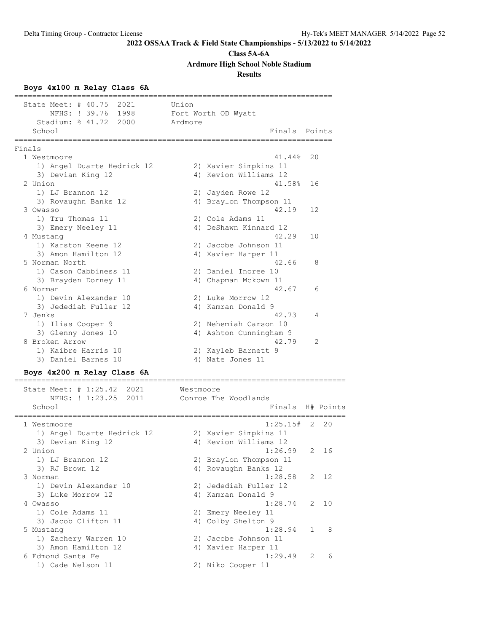#### **Class 5A-6A**

**Ardmore High School Noble Stadium**

### **Results**

#### **Boys 4x100 m Relay Class 6A**

======================================================================= State Meet: # 40.75 2021 Union NFHS: ! 39.76 1998 Fort Worth OD Wyatt Stadium: % 41.72 2000 Ardmore School **Finals** Points **Points** ======================================================================= Finals 1 Westmoore 41.44% 20 1) Angel Duarte Hedrick 12 2) Xavier Simpkins 11 3) Devian King 12 4) Kevion Williams 12 2 Union 41.58% 16<br>1) LJ Brannon 12 (2) Jayden Rowe 12 1) LJ Brannon 12 2) Jayden Rowe 12 3) Rovaughn Banks 12 4) Braylon Thompson 11 3 Owasso 42.19 12 1) Tru Thomas 11 2) Cole Adams 11 3) Emery Neeley 11 4) DeShawn Kinnard 12<br>10 42.29 42 4 Mustang 42.29 10 1) Karston Keene 12 2) Jacobe Johnson 11 3) Amon Hamilton 12 (4) Xavier Harper 11 5 Norman North 42.66 8 1) Cason Cabbiness 11 2) Daniel Inoree 10 3) Brayden Dorney 11 (4) 4) Chapman Mckown 11 6 Norman 42.67 6<br>1) Devin Alexander 10 2) Luke Morrow 12 1) Devin Alexander 10 2) Luke Morrow 12 3) Jedediah Fuller 12 4) Kamran Donald 9 7 Jenks 42.73 4 1) Ilias Cooper 9 2) Nehemiah Carson 10 3) Glenny Jones 10 4) Ashton Cunningham 9 8 Broken Arrow 42.79 2 1) Kaibre Harris 10 2) Kayleb Barnett 9 3) Daniel Barnes 10 (4) Nate Jones 11

#### **Boys 4x200 m Relay Class 6A** ==========================================================================

| State Meet: # 1:25.42 2021<br>NFHS: ! 1:23.25 2011 | Westmoore<br>Conroe The Woodlands |
|----------------------------------------------------|-----------------------------------|
| School                                             | Finals H# Points                  |
| 1 Westmoore                                        | $1:25.15#$ 2 20                   |
| 1) Angel Duarte Hedrick 12                         | 2) Xavier Simpkins 11             |
| 3) Devian King 12                                  | 4) Kevion Williams 12             |
| 2 Union                                            | 1:26.99<br>2 16                   |
| 1) LJ Brannon 12                                   | 2) Braylon Thompson 11            |
| 3) RJ Brown 12                                     | 4) Rovaughn Banks 12              |
| 3 Norman                                           | 1:28.58<br>2 12                   |
| 1) Devin Alexander 10                              | 2) Jedediah Fuller 12             |
| 3) Luke Morrow 12                                  | 4) Kamran Donald 9                |
| 4 Owasso                                           | $1:28.74$ 2 10                    |
| 1) Cole Adams 11                                   | 2) Emery Neeley 11                |
| 3) Jacob Clifton 11                                | 4) Colby Shelton 9                |
| 5 Mustang                                          | 8<br>1:28.94                      |
| 1) Zachery Warren 10                               | Jacobe Johnson 11<br>2)           |
| 3) Amon Hamilton 12                                | 4) Xavier Harper 11               |
| 6 Edmond Santa Fe                                  | 1:29.49<br>$\mathcal{L}$<br>6     |
| 1) Cade Nelson 11                                  | 2) Niko Cooper 11                 |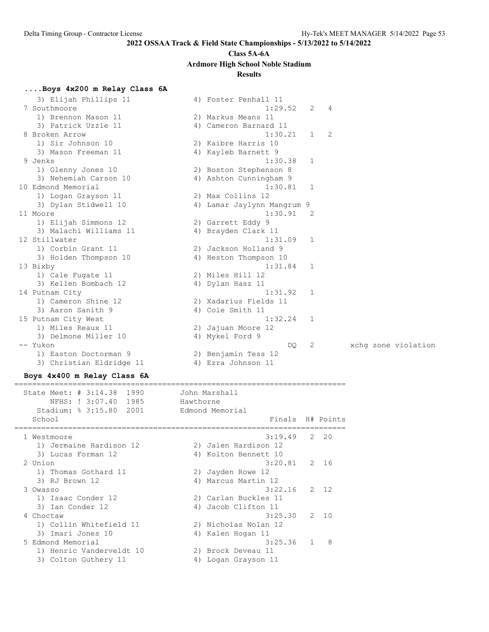# **Class 5A-6A**

**Ardmore High School Noble Stadium**

### **Results**

### **....Boys 4x200 m Relay Class 6A**

| 3) Elijah Phillips 11    | 4) Foster Penhall 11       |                |                |  |                     |
|--------------------------|----------------------------|----------------|----------------|--|---------------------|
| 7 Southmoore             | 1:29.52                    | 2              | $\overline{4}$ |  |                     |
| 1) Brennon Mason 11      | 2) Markus Means 11         |                |                |  |                     |
| 3) Patrick Uzzle 11      | 4) Cameron Barnard 11      |                |                |  |                     |
| 8 Broken Arrow           | 1:30.21                    | 1              | 2              |  |                     |
| 1) Sir Johnson 10        | 2) Kaibre Harris 10        |                |                |  |                     |
| 3) Mason Freeman 11      | 4) Kayleb Barnett 9        |                |                |  |                     |
| 9 Jenks                  | 1:30.38                    | 1              |                |  |                     |
| 1) Glenny Jones 10       | 2) Boston Stephenson 8     |                |                |  |                     |
| 3) Nehemiah Carson 10    | 4) Ashton Cunningham 9     |                |                |  |                     |
| 10 Edmond Memorial       | 1:30.81                    | $\mathbf{1}$   |                |  |                     |
| 1) Logan Grayson 11      | 2) Max Collins 12          |                |                |  |                     |
| 3) Dylan Stidwell 10     | 4) Lamar Jaylynn Mangrum 9 |                |                |  |                     |
| 11 Moore                 | 1:30.91                    | $\overline{2}$ |                |  |                     |
| 1) Elijah Simmons 12     | 2) Garrett Eddy 9          |                |                |  |                     |
| 3) Malachi Williams 11   | 4) Brayden Clark 11        |                |                |  |                     |
| 12 Stillwater            | 1:31.09                    | 1              |                |  |                     |
| 1) Corbin Grant 11       | 2) Jackson Holland 9       |                |                |  |                     |
| 3) Holden Thompson 10    | 4) Heston Thompson 10      |                |                |  |                     |
| 13 Bixby                 | 1:31.84                    | 1              |                |  |                     |
| 1) Cale Fugate 11        | 2) Miles Hill 12           |                |                |  |                     |
| 3) Kellen Bombach 12     | 4) Dylan Hasz 11           |                |                |  |                     |
| 14 Putnam City           | 1:31.92                    | 1              |                |  |                     |
| 1) Cameron Shine 12      | 2) Xadarius Fields 11      |                |                |  |                     |
| 3) Aaron Sanith 9        | 4) Cole Smith 11           |                |                |  |                     |
| 15 Putnam City West      | 1:32.24                    | -1             |                |  |                     |
| 1) Miles Reaux 11        | 2) Jajuan Moore 12         |                |                |  |                     |
| 3) Delmone Miller 10     | 4) Mykel Ford 9            |                |                |  |                     |
| -- Yukon                 | DQ                         | 2              |                |  | xchq zone violation |
| 1) Easton Doctorman 9    | 2) Benjamin Tess 12        |                |                |  |                     |
| 3) Christian Eldridge 11 | 4) Ezra Johnson 11         |                |                |  |                     |

#### **Boys 4x400 m Relay Class 6A**

### ==========================================================================

 State Meet: # 3:14.38 1990 John Marshall NFHS: ! 3:07.40 1985 Hawthorne Stadium: % 3:15.80 2001 Edmond Memorial School **Finals** H# Points ========================================================================== 1 Westmoore 3:19.49 2 20 1) Jermaine Hardison 12 2) Jalen Hardison 12 3) Lucas Forman 12 (4) Kolton Bennett 10 2 Union 3:20.81 2 16 1) Thomas Gothard 11 2) Jayden Rowe 12 3) RJ Brown 12 **4**) Marcus Martin 12 3 Owasso 3:22.16 2 12 1) Isaac Conder 12 2) Carlan Buckles 11 3) Ian Conder 12 4) Jacob Clifton 11 4 Choctaw 3:25.30 2 10 1) Collin Whitefield 11 2) Nicholas Nolan 12 3) Imari Jones 10  $\hskip1cm$  4) Kalen Hogan 11 5 Edmond Memorial 3:25.36 1 8 1) Henric Vanderveldt 10 2) Brock Deveau 11 3) Colton Guthery 11 (4) Logan Grayson 11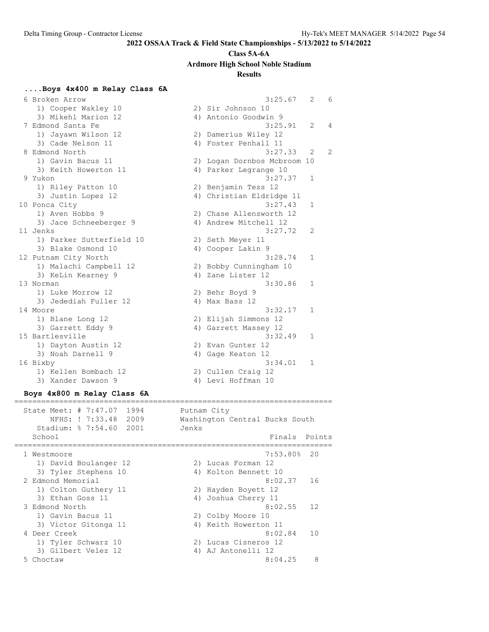#### **Class 5A-6A**

**Ardmore High School Noble Stadium**

#### **Results**

### **....Boys 4x400 m Relay Class 6A**

 6 Broken Arrow 3:25.67 2 6 1) Cooper Wakley 10 2) Sir Johnson 10 3) Mikehl Marion 12 (4) Antonio Goodwin 9 7 Edmond Santa Fe 3:25.91 2 4 1) Jayawn Wilson 12 2) Damerius Wiley 12 3) Cade Nelson 11 (4) Foster Penhall 11 8 Edmond North 3:27.33 2 2 1) Gavin Bacus 11 2) Logan Dornbos Mcbroom 10 3) Keith Howerton 11 4) Parker Legrange 10 9 Yukon 3:27.37 1 1) Riley Patton 10 2) Benjamin Tess 12 3) Justin Lopez 12 4) Christian Eldridge 11 10 Ponca City 3:27.43 1 1) Aven Hobbs 9 2) Chase Allensworth 12 3) Jace Schneeberger 9 4) Andrew Mitchell 12 11 Jenks 3:27.72 2 1) Parker Sutterfield 10 2) Seth Meyer 11 3) Blake Osmond 10 4) Cooper Lakin 9 12 Putnam City North 3:28.74 1 1) Malachi Campbell 12 2) Bobby Cunningham 10 3) KeLin Kearney 9 4) Zane Lister 12 13 Norman 3:30.86 1 1) Luke Morrow 12 2) Behr Boyd 9 3) Jedediah Fuller 12 (and 4) Max Bass 12 14 Moore 3:32.17 1 1) Blane Long 12 2) Elijah Simmons 12 3) Garrett Eddy 9 12 12 4) Garrett Massey 12 15 Bartlesville 3:32.49 1 1) Dayton Austin 12 2) Evan Gunter 12 3) Noah Darnell 9 4) Gage Keaton 12 16 Bixby 3:34.01 1 1) Kellen Bombach 12 2) Cullen Craig 12 3) Xander Dawson 9 1988 1998 1999 10 4) Levi Hoffman 10

#### **Boys 4x800 m Relay Class 6A**

======================================================================= State Meet: # 7:47.07 1994 Putnam City NFHS: ! 7:33.48 2009 Washington Central Bucks South Stadium: % 7:54.60 2001 Jenks School **Finals** Points **Points** Points **Points** Points **Points** Points **Points** Points **Points** Points **Points Points Points Points Points Points Points Points Points Points Points Points Points P** ======================================================================= 1 Westmoore 7:53.80% 20 1) David Boulanger 12 12 2) Lucas Forman 12 3) Tyler Stephens 10 <a>> 4) Kolton Bennett 10 2 Edmond Memorial 8:02.37 16 1) Colton Guthery 11 2) Hayden Boyett 12 3) Ethan Goss 11  $\hskip1cm$  4) Joshua Cherry 11 3 Edmond North 8:02.55 12 1) Gavin Bacus 11 2) Colby Moore 10 3) Victor Gitonga 11 (4) Keith Howerton 11 4 Deer Creek 8:02.84 10 1) Tyler Schwarz 10 2) Lucas Cisneros 12 3) Gilbert Velez 12 (4) AJ Antonelli 12 5 Choctaw 8:04.25 8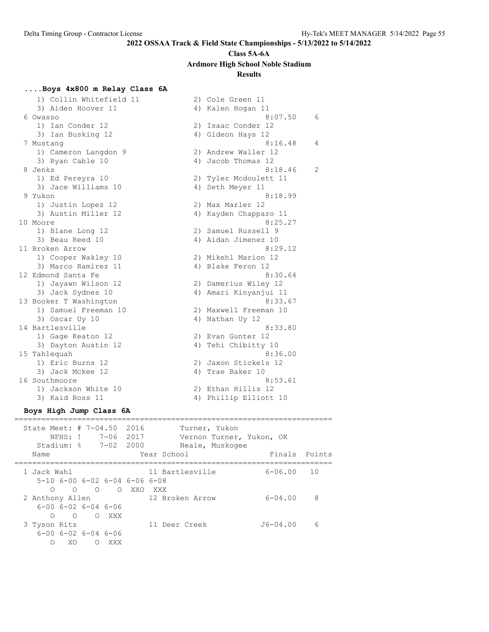# **Class 5A-6A**

**Ardmore High School Noble Stadium**

### **Results**

### **....Boys 4x800 m Relay Class 6A**

1) Collin Whitefield 11 2) Cole Green 11 3) Aiden Hoover 11 4) Kalen Hogan 11 6 Owasso 8:07.50 6 1) Ian Conder 12 2) Isaac Conder 12 3) Ian Busking 12 4) Gideon Hays 12 7 Mustang 8:16.48 4 1) Cameron Langdon 9 2) Andrew Waller 12 3) Ryan Cable 10 4) Jacob Thomas 12 8 Jenks 2 (18.46 2) 1) Ed Pereyra 10 2) Tyler Mcdoulett 11 3) Jace Williams 10  $\hskip1cm$  4) Seth Meyer 11 9 Yukon 8:18.99 1) Justin Lopez 12 2) Max Marler 12 3) Austin Miller 12 4) Kayden Chapparo 11 10 Moore 8:25.27 1) Blane Long 12 2) Samuel Russell 9 3) Beau Reed 10 10 10 10 10 10 4) Aidan Jimenez 10 11 Broken Arrow 8:29.12 1) Cooper Wakley 10 2) Mikehl Marion 12 3) Marco Ramirez 11 4) Blake Feron 12 12 Edmond Santa Fe 8:30.64 1) Jayawn Wilson 12 2) Damerius Wiley 12 3) Jack Sydnes 10 4) Amari Kinyanjui 11 13 Booker T Washington 8:33.67 1) Samuel Freeman 10 2) Maxwell Freeman 10 3) Oscar Uy 10 4) Nathan Uy 12 14 Bartlesville 8:33.80 1) Gage Keaton 12 2) Evan Gunter 12 3) Dayton Austin 12 (4) Tehi Chibitty 10 15 Tahlequah 8:36.00 1) Eric Burns 12 2) Jaxon Stickels 12 3) Jack Mckee 12 (4) Trae Baker 10 16 Southmoore 8:53.61 1) Jackson White 10 2) Ethan Hillis 12 3) Kaid Ross 11 4) Phillip Elliott 10

#### **Boys High Jump Class 6A** =======================================================================

| State Meet: # 7-04.50 2016 | NFHS: !<br>Stadium: % 7-02 2000                   |                  | 7-06 2017 |             |                 | Turner, Yukon<br>Neale, Muskogee | Vernon Turner, Yukon, OK |        |
|----------------------------|---------------------------------------------------|------------------|-----------|-------------|-----------------|----------------------------------|--------------------------|--------|
| Name                       |                                                   |                  |           | Year School |                 |                                  | Finals                   | Points |
| 1 Jack Wahl                | 5-10 6-00 6-02 6-04 6-06 6-08                     |                  |           |             | 11 Bartlesville |                                  | $6 - 06.00$              | 10     |
| ∩<br>2 Anthony Allen       | $\bigcirc$                                        |                  | OOXXO     | XXX X       | 12 Broken Arrow |                                  | $6 - 04.00$              | 8      |
| ∩                          | $6 - 00$ $6 - 02$ $6 - 04$ $6 - 06$<br>$\bigcirc$ | $\bigcirc$       | XXX       |             |                 |                                  |                          |        |
| 3 Tyson Ritz<br>∩          | $6 - 00$ $6 - 02$ $6 - 04$ $6 - 06$<br>XO         | $\left( \right)$ | XXX       |             | 11 Deer Creek   |                                  | $J6 - 04.00$             | 6      |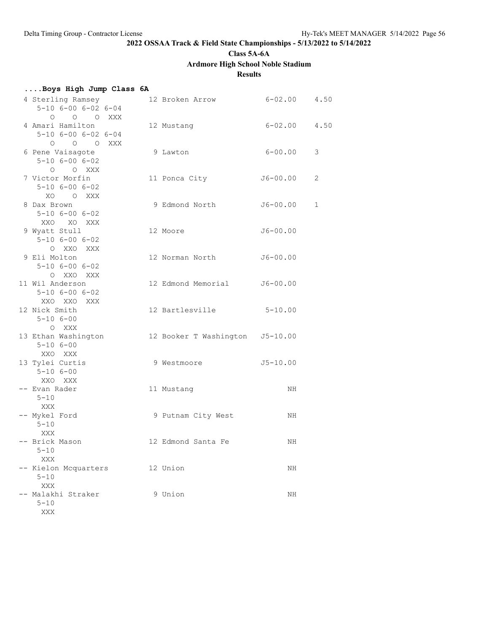**Class 5A-6A**

## **Ardmore High School Noble Stadium**

### **Results**

| Boys High Jump Class 6A                                               |                                 |                  |   |
|-----------------------------------------------------------------------|---------------------------------|------------------|---|
| 4 Sterling Ramsey<br>$5 - 10$ $6 - 00$ $6 - 02$ $6 - 04$<br>O O O XXX | 12 Broken Arrow 6-02.00 4.50    |                  |   |
| 4 Amari Hamilton<br>$5 - 10$ $6 - 00$ $6 - 02$ $6 - 04$<br>O O O XXX  | 12 Mustang                      | $6 - 02.00$ 4.50 |   |
| 6 Pene Vaisagote<br>$5 - 10$ $6 - 00$ $6 - 02$<br>O O XXX             | 9 Lawton                        | $6 - 00.00$      | 3 |
| 7 Victor Morfin<br>$5 - 10$ $6 - 00$ $6 - 02$<br>XO OXXX              | 11 Ponca City                   | $J6 - 00.00$     | 2 |
| 8 Dax Brown<br>$5 - 10$ $6 - 00$ $6 - 02$<br>XXO XO XXX               | 9 Edmond North                  | $J6 - 00.00$     | 1 |
| 9 Wyatt Stull<br>$5 - 10$ $6 - 00$ $6 - 02$<br>O XXO XXX              | 12 Moore                        | $J6 - 00.00$     |   |
| 9 Eli Molton<br>$5 - 10$ $6 - 00$ $6 - 02$<br>O XXO XXX               | 12 Norman North                 | $J6 - 00.00$     |   |
| 11 Wil Anderson<br>$5 - 10$ $6 - 00$ $6 - 02$<br>XXO XXO XXX          | 12 Edmond Memorial J6-00.00     |                  |   |
| 12 Nick Smith<br>$5 - 106 - 00$<br>O XXX                              | 12 Bartlesville 5-10.00         |                  |   |
| 13 Ethan Washington<br>$5 - 106 - 00$<br>XXO XXX                      | 12 Booker T Washington J5-10.00 |                  |   |
| 13 Tylei Curtis<br>$5 - 106 - 00$<br>XXO XXX                          | 9 Westmoore                     | $J5 - 10.00$     |   |
| -- Evan Rader<br>$5 - 10$<br>XXX                                      | 11 Mustang                      | ΝH               |   |
| -- Mykel Ford<br>$5 - 10$<br>XXX                                      | 9 Putnam City West              | ΝH               |   |
| -- Brick Mason<br>5-10<br>XXX                                         | 12 Edmond Santa Fe              | ΝH               |   |
| -- Kielon Mcquarters<br>$5 - 10$<br>XXX                               | 12 Union                        | ΝH               |   |
| -- Malakhi Straker<br>$5 - 10$<br>XXX                                 | 9 Union                         | ΝH               |   |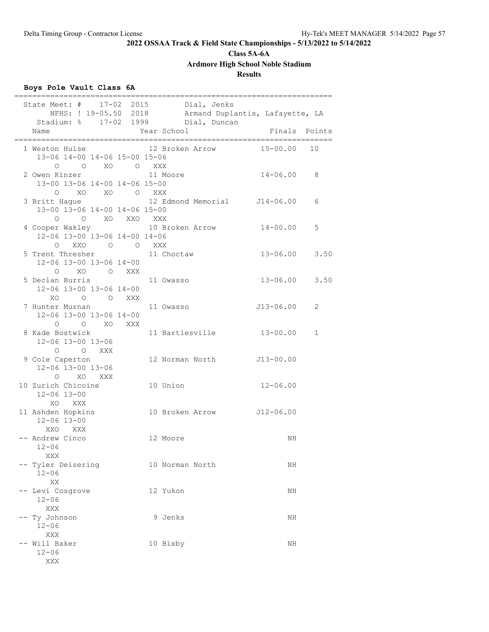**Class 5A-6A**

**Ardmore High School Noble Stadium**

### **Results**

### **Boys Pole Vault Class 6A**

|                                           |                              | ==================                                             |  |                 | ============                                                               |                                                                        |             |
|-------------------------------------------|------------------------------|----------------------------------------------------------------|--|-----------------|----------------------------------------------------------------------------|------------------------------------------------------------------------|-------------|
| Name                                      |                              |                                                                |  | Year School     | State Meet: # 17-02 2015 Dial, Jenks<br>Stadium: % 17-02 1999 Dial, Duncan | NFHS: ! 19-05.50 2018 Armand Duplantis, Lafayette, LA<br>Finals Points |             |
| 1 Weston Hulse                            |                              | 13-06 14-00 14-06 15-00 15-06                                  |  |                 | 12 Broken Arrow                                                            | 15-00.00                                                               | 10          |
| 2 Owen Kinzer                             |                              | 0 0 XO 0 XXX<br>13-00 13-06 14-00 14-06 15-00                  |  | 11 Moore        |                                                                            | $14 - 06.00$                                                           | 8           |
| 3 Britt Hague<br>$\circ$                  |                              | O XO XO O XXX<br>13-00 13-06 14-00 14-06 15-00<br>O XO XXO XXX |  |                 |                                                                            | 12 Edmond Memorial J14-06.00                                           | 6           |
|                                           |                              | 12-06 13-00 13-06 14-00 14-06<br>O XXO O O XXX                 |  |                 | 4 Cooper Wakley 10 Broken Arrow                                            | $14 - 00.00$                                                           | 5           |
| 5 Trent Thresher                          |                              | 12-06 13-00 13-06 14-00<br>O XO O XXX                          |  | 11 Choctaw      |                                                                            | $13 - 06.00$ 3.50                                                      |             |
| 5 Declan Burris                           |                              | 12-06 13-00 13-06 14-00<br>XO O O XXX                          |  | 11 Owasso       |                                                                            | $13 - 06.00$ 3.50                                                      |             |
| 7 Hunter Murnan                           |                              | 12-06 13-00 13-06 14-00<br>O O XO XXX                          |  | 11 Owasso       |                                                                            | J13-06.00                                                              | 2           |
| 8 Kade Bostwick                           | 12-06 13-00 13-06<br>O O XXX |                                                                |  |                 | 11 Bartlesville                                                            | $13 - 00.00$                                                           | $\mathbf 1$ |
| 9 Cole Caperton                           | 12-06 13-00 13-06            | O XO XXX                                                       |  |                 |                                                                            | 12 Norman North J13-00.00                                              |             |
| 10 Zurich Chicoine<br>$12 - 06$ $13 - 00$ | XO XXX                       |                                                                |  | 10 Union        |                                                                            | $12 - 06.00$                                                           |             |
| 11 Ashden Hopkins<br>$12 - 06$ $13 - 00$  | XXO XXX                      |                                                                |  |                 |                                                                            | 10 Broken Arrow J12-06.00                                              |             |
| -- Andrew Cinco<br>$12 - 06$<br>XXX       |                              |                                                                |  | 12 Moore        |                                                                            | ΝH                                                                     |             |
| -- Tyler Deisering<br>$12 - 06$<br>XX     |                              |                                                                |  | 10 Norman North |                                                                            | ΝH                                                                     |             |
| -- Levi Cosgrove<br>$12 - 06$<br>XXX      |                              |                                                                |  | 12 Yukon        |                                                                            | NH                                                                     |             |
| -- Ty Johnson<br>$12 - 06$<br>XXX         |                              |                                                                |  | 9 Jenks         |                                                                            | ΝH                                                                     |             |
| -- Will Baker<br>$12 - 06$<br>XXX         |                              |                                                                |  | 10 Bixby        |                                                                            | ΝH                                                                     |             |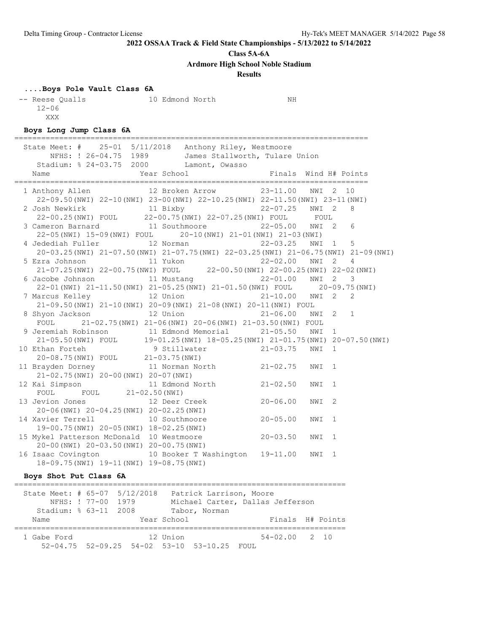**Class 5A-6A**

**Ardmore High School Noble Stadium**

#### **Results**

#### **....Boys Pole Vault Class 6A**

| -- Reese Oualls | 10 Edmond North | NΗ |
|-----------------|-----------------|----|
| $12 - 06$       |                 |    |
| XXX             |                 |    |

#### **Boys Long Jump Class 6A**

=============================================================================== State Meet: # 25-01 5/11/2018 Anthony Riley, Westmoore NFHS: ! 26-04.75 1989 James Stallworth, Tulare Union Stadium: % 24-03.75 2000 Lamont, Owasso Name Year School Finals Wind H# Points =============================================================================== 1 Anthony Allen 12 Broken Arrow 23-11.00 NWI 2 10 22-09.50(NWI) 22-10(NWI) 23-00(NWI) 22-10.25(NWI) 22-11.50(NWI) 23-11(NWI) 2 Josh Newkirk 11 Bixby 22-07.25 NWI 2 8 22-00.25(NWI) FOUL 22-00.75(NWI) 22-07.25(NWI) FOUL FOUL 3 Cameron Barnard 11 Southmoore 22-05.00 NWI 2 6 22-05(NWI) 15-09(NWI) FOUL 20-10(NWI) 21-01(NWI) 21-03(NWI) 4 Jedediah Fuller 12 Norman 22-03.25 NWI 1 5 20-03.25(NWI) 21-07.50(NWI) 21-07.75(NWI) 22-03.25(NWI) 21-06.75(NWI) 21-09(NWI) 5 Ezra Johnson 11 Yukon 22-02.00 NWI 2 4 21-07.25(NWI) 22-00.75(NWI) FOUL 22-00.50(NWI) 22-00.25(NWI) 22-02(NWI) 6 Jacobe Johnson 11 Mustang 22-01.00 NWI 2 3 22-01(NWI) 21-11.50(NWI) 21-05.25(NWI) 21-01.50(NWI) FOUL 20-09.75(NWI) 7 Marcus Kelley 12 Union 21-10.00 NWI 2 2 21-09.50(NWI) 21-10(NWI) 20-09(NWI) 21-08(NWI) 20-11(NWI) FOUL 8 Shyon Jackson 12 Union 21-06.00 NWI 2 1 FOUL 21-02.75(NWI) 21-06(NWI) 20-06(NWI) 21-03.50(NWI) FOUL 9 Jeremiah Robinson 11 Edmond Memorial 21-05.50 NWI 1 21-05.50(NWI) FOUL 19-01.25(NWI) 18-05.25(NWI) 21-01.75(NWI) 20-07.50(NWI) 10 Ethan Forteh 9 Stillwater 21-03.75 NWI 1 20-08.75(NWI) FOUL 21-03.75(NWI) 11 Brayden Dorney 11 Norman North 21-02.75 NWI 1 21-02.75(NWI) 20-00(NWI) 20-07(NWI) 12 Kai Simpson 11 Edmond North 21-02.50 NWI 1 FOUL FOUL 21-02.50 (NWI) 13 Jevion Jones 12 Deer Creek 20-06.00 NWI 2 20-06(NWI) 20-04.25(NWI) 20-02.25(NWI) 14 Xavier Terrell 10 Southmoore 20-05.00 NWI 1 19-00.75(NWI) 20-05(NWI) 18-02.25(NWI) 15 Mykel Patterson McDonald 10 Westmoore 20-03.50 NWI 1 20-00(NWI) 20-03.50(NWI) 20-00.75(NWI) 16 Isaac Covington 10 Booker T Washington 19-11.00 NWI 1 18-09.75(NWI) 19-11(NWI) 19-08.75(NWI)

#### **Boys Shot Put Class 6A**

========================================================================== State Meet: # 65-07 5/12/2018 Patrick Larrison, Moore NFHS: ! 77-00 1979 Michael Carter, Dallas Jefferson Stadium: % 63-11 2008 Tabor, Norman Name  $Year School$  Finals H# Points ========================================================================== 1 Gabe Ford 12 Union 54-02.00 2 10 52-04.75 52-09.25 54-02 53-10 53-10.25 FOUL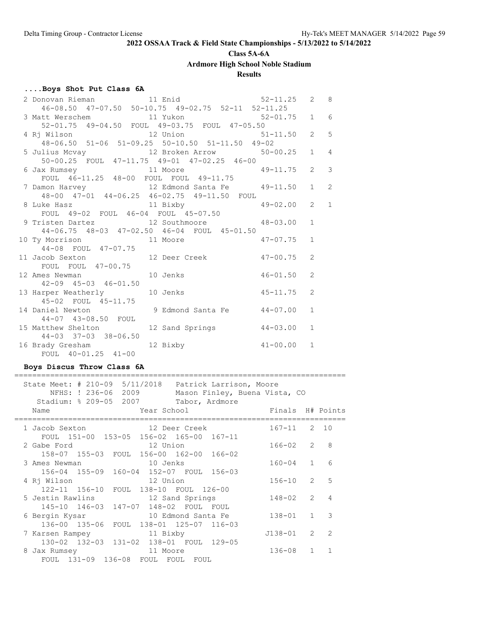**Class 5A-6A**

**Ardmore High School Noble Stadium**

### **Results**

### **....Boys Shot Put Class 6A**

| 2 Donovan Rieman 11 Enid 52-11.25 2 8                                                                                                        |  |                |                         |
|----------------------------------------------------------------------------------------------------------------------------------------------|--|----------------|-------------------------|
| 46-08.50 47-07.50 50-10.75 49-02.75 52-11 52-11.25<br>3 Matt Werschem 11 Yukon 52-01.75 1 6<br>52-01.75 49-04.50 FOUL 49-03.75 FOUL 47-05.50 |  |                |                         |
|                                                                                                                                              |  |                |                         |
|                                                                                                                                              |  |                |                         |
|                                                                                                                                              |  | $2 \quad 5$    |                         |
| 48-06.50 51-06 51-09.25 50-10.50 51-11.50 49-02                                                                                              |  |                |                         |
| 5 Julius Movay - 20 00 01 00.20 00-10.00 01-11.00 49-02<br>5 Julius Movay - 12 Broken Arrow - 50-00.25                                       |  | $1 \quad 4$    |                         |
| 50-00.25 FOUL 47-11.75 49-01 47-02.25 46-00                                                                                                  |  |                |                         |
| 6 Jax Rumsey 11 Moore 49-11.75<br>FOUL 46-11.25 48-00 FOUL FOUL 49-11.75                                                                     |  | $2^{\circ}$    | $\overline{\mathbf{3}}$ |
|                                                                                                                                              |  |                |                         |
| 7 Damon Harvey 12 Edmond Santa Fe 49-11.50                                                                                                   |  | $1 \quad$      | 2                       |
| 48-00 47-01 44-06.25 46-02.75 49-11.50 FOUL                                                                                                  |  |                |                         |
| 8 Luke Hasz 11 Bixby 49-02.00<br>FOUL 49-02 FOUL 46-04 FOUL 45-07.50                                                                         |  | $\overline{2}$ | $\overline{1}$          |
|                                                                                                                                              |  |                |                         |
| 9 Tristen Dartez 12 Southmoore 48-03.00                                                                                                      |  | $\mathbf{1}$   |                         |
| 44-06.75 48-03 47-02.50 46-04 FOUL 45-01.50                                                                                                  |  |                |                         |
| 10 Ty Morrison 11 Moore 47-07.75                                                                                                             |  | $\mathbf{1}$   |                         |
| 44-08 FOUL 47-07.75                                                                                                                          |  |                |                         |
| 11 Jacob Sexton 12 Deer Creek 47-00.75                                                                                                       |  | $\overline{2}$ |                         |
| FOUL FOUL 47-00.75                                                                                                                           |  |                |                         |
| 12 Ames Newman 10 Jenks 46-01.50                                                                                                             |  | 2              |                         |
| 42-09 45-03 46-01.50                                                                                                                         |  |                |                         |
| 13 Harper Weatherly 10 Jenks 10 45-11.75                                                                                                     |  | $\overline{2}$ |                         |
| 45-02 FOUL 45-11.75                                                                                                                          |  |                |                         |
| 14 Daniel Newton 9 Edmond Santa Fe 44-07.00                                                                                                  |  | $\mathbf{1}$   |                         |
| 44-07 43-08.50 FOUL                                                                                                                          |  |                |                         |
| 15 Matthew Shelton 12 Sand Springs 44-03.00                                                                                                  |  | $\mathbf{1}$   |                         |
| $44 - 03$ $37 - 03$ $38 - 06.50$                                                                                                             |  |                |                         |
| 16 Brady Gresham 12 Bixby 41-00.00                                                                                                           |  | $\mathbf{1}$   |                         |
| FOUL 40-01.25 41-00                                                                                                                          |  |                |                         |

### **Boys Discus Throw Class 6A**

| 5/11/2018 Patrick Larrison, Moore<br>State Meet: # 210-09<br>NFHS: ! 236-06 2009<br>Mason Finley, Buena Vista, CO<br>Stadium: % 209-05 2007<br>Tabor, Ardmore |                  |                          |
|---------------------------------------------------------------------------------------------------------------------------------------------------------------|------------------|--------------------------|
| Year School The Manuscript School<br>Name                                                                                                                     | Finals H# Points |                          |
| 1 Jacob Sexton 12 Deer Creek<br>FOUL 151-00 153-05 156-02 165-00 167-11                                                                                       | $167 - 11$ 2 10  |                          |
| 12 Union<br>2 Gabe Ford<br>158-07 155-03 FOUL 156-00 162-00 166-02                                                                                            | 166-02 2         | - 8                      |
| 3 Ames Newman<br>10 Jenks<br>156-04 155-09 160-04 152-07 FOUL 156-03                                                                                          | $160 - 04$ 1     | 6                        |
| 4 Rj Wilson<br>12 Union<br>122-11 156-10 FOUL 138-10 FOUL 126-00                                                                                              | $156 - 10$ 2 5   |                          |
| 5 Jestin Rawlins 12 Sand Springs<br>145-10 146-03 147-07 148-02 FOUL FOUL                                                                                     | 148-02 2         | $\overline{4}$           |
| 6 Bergin Kysar                   10 Edmond Santa Fe<br>136-00 135-06 FOUL 138-01 125-07 116-03                                                                | $138 - 01$ 1     | $\overline{\phantom{a}}$ |
| 7 Karsen Rampey<br>11 Bixby<br>130-02 132-03 131-02 138-01 FOUL 129-05                                                                                        | $J138 - 01$ 2    | $\overline{2}$           |
| 8 Jax Rumsey<br>11 Moore<br>FOUL 131-09 136-08 FOUL FOUL FOUL                                                                                                 | 136-08 1         | $\overline{1}$           |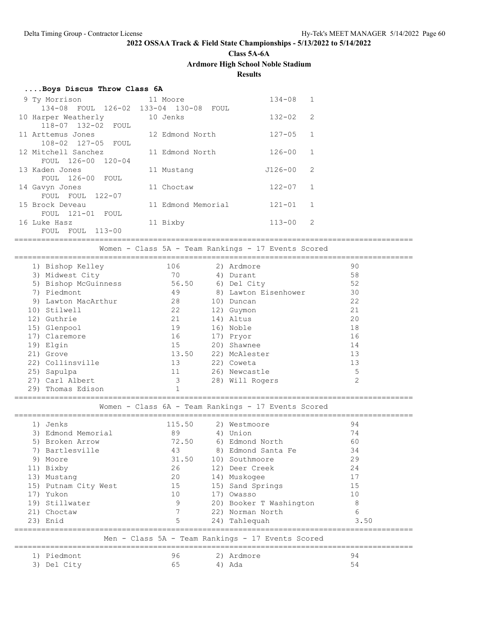**Class 5A-6A**

**Ardmore High School Noble Stadium**

**Results**

| Boys Discus Throw Class 6A |  |  |  |
|----------------------------|--|--|--|
|----------------------------|--|--|--|

| 9 Ty Morrison       | 11 Moore                              | $134 - 08$  | $\mathbf{1}$  |
|---------------------|---------------------------------------|-------------|---------------|
|                     | 134-08 FOUL 126-02 133-04 130-08 FOUL |             |               |
| 10 Harper Weatherly | 10 Jenks                              | $132 - 02$  | 2             |
| 118-07 132-02 FOUL  |                                       |             |               |
| 11 Arttemus Jones   | 12 Edmond North                       | $127 - 05$  | $\mathbf{1}$  |
| 108-02 127-05 FOUL  |                                       |             |               |
| 12 Mitchell Sanchez | 11 Edmond North                       | $126 - 00$  | $\mathbf{1}$  |
| FOUL 126-00 120-04  |                                       |             |               |
| 13 Kaden Jones      | 11 Mustang                            | $J126 - 00$ | $\mathcal{L}$ |
| FOUL 126-00 FOUL    |                                       |             |               |
| 14 Gavyn Jones      | 11 Choctaw                            | $122 - 07$  | $\mathbf{1}$  |
| FOUL 122-07<br>FOUL |                                       |             |               |
| 15 Brock Deveau     | 11 Edmond Memorial                    | $121 - 01$  | $\mathbf{1}$  |
| FOUL 121-01 FOUL    |                                       |             |               |
| 16 Luke Hasz        | 11 Bixby                              | $113 - 00$  | $\mathcal{L}$ |
| FOUL 113-00<br>FOUL |                                       |             |               |

=========================================================================================

Women - Class 5A - Team Rankings - 17 Events Scored

|    | 1) Bishop Kelley     | 106   | 2) Ardmore           | 90             |  |
|----|----------------------|-------|----------------------|----------------|--|
|    | 3) Midwest City      | 70    | 4) Durant            | 58             |  |
|    | 5) Bishop McGuinness | 56.50 | 6) Del City          | 52             |  |
|    | 7) Piedmont          | 49    | 8) Lawton Eisenhower | 30             |  |
| 9) | Lawton MacArthur     | 28    | 10) Duncan           | 22             |  |
|    | 10) Stilwell         | 22    | 12) Guymon           | 21             |  |
|    | 12) Guthrie          | 21    | 14) Altus            | 20             |  |
|    | 15) Glenpool         | 19    | 16) Noble            | 18             |  |
|    | 17) Claremore        | 16    | 17) Pryor            | 16             |  |
|    | 19) Elgin            | 15    | 20) Shawnee          | 14             |  |
|    | 21) Grove            | 13.50 | 22) McAlester        | 13             |  |
|    | 22) Collinsville     | 13    | 22) Coweta           | 13             |  |
|    | 25) Sapulpa          | 11    | 26) Newcastle        | 5              |  |
|    | 27) Carl Albert      | 3     | 28) Will Rogers      | $\overline{2}$ |  |
|    |                      |       |                      |                |  |

29) Thomas Edison 1 =========================================================================================

Women - Class 6A - Team Rankings - 17 Events Scored

| 1)  | Jenks                | 115.50 |    | 2) Westmoore                                      | 94   |
|-----|----------------------|--------|----|---------------------------------------------------|------|
| 3)  | Edmond Memorial      | 89     | 4) | Union                                             | 74   |
| 5)  | Broken Arrow         | 72.50  |    | 6) Edmond North                                   | 60   |
| 7)  | Bartlesville         | 43     |    | 8) Edmond Santa Fe                                | 34   |
| 9)  | Moore                | 31.50  |    | 10) Southmoore                                    | 29   |
|     | 11) Bixby            | 26     |    | 12) Deer Creek                                    | 24   |
| 13) | Mustang              | 20     |    | 14) Muskogee                                      | 17   |
|     | 15) Putnam City West | 15     |    | 15) Sand Springs                                  | 15   |
| 17) | Yukon                | 10     |    | 17) Owasso                                        | 10   |
| 19) | Stillwater           | 9      |    | 20) Booker T Washington                           | 8    |
|     | 21) Choctaw          |        |    | 22) Norman North                                  | 6    |
|     | 23) Enid             | 5      |    | 24) Tahlequah                                     | 3.50 |
|     |                      |        |    | Men - Class 5A - Team Rankings - 17 Events Scored |      |
| 1)  | Piedmont             | 96     |    | 2) Ardmore                                        | 94   |
| 3)  | Del City             | 65     | 4) | Ada                                               | 54   |